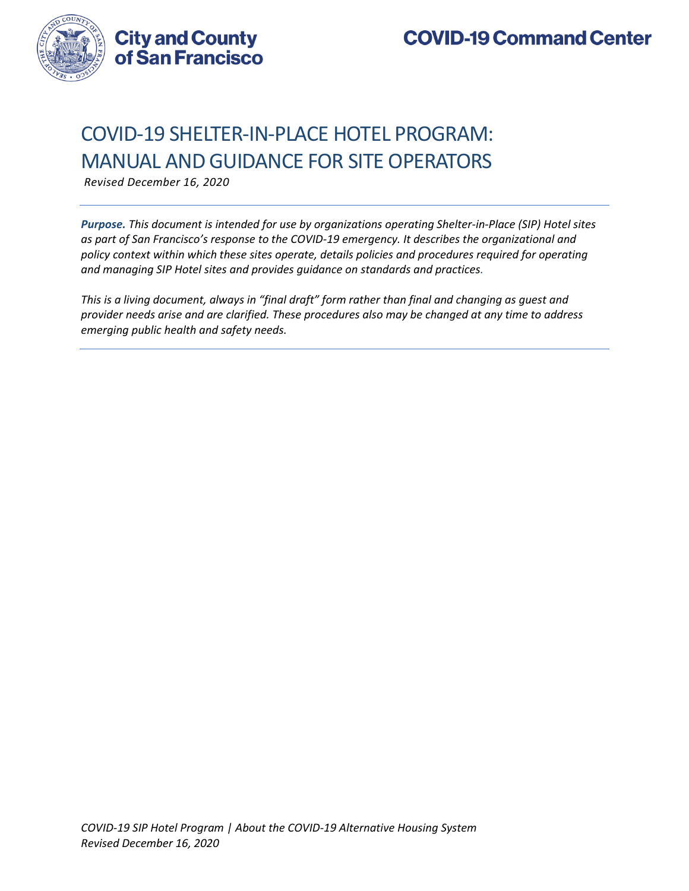

# COVID-19 SHELTER-IN-PLACE HOTEL PROGRAM: MANUAL AND GUIDANCE FOR SITE OPERATORS

*Revised December 16, 2020*

*Purpose. This document is intended for use by organizations operating Shelter-in-Place (SIP) Hotel sites as part of San Francisco's response to the COVID-19 emergency. It describes the organizational and policy context within which these sites operate, details policies and procedures required for operating and managing SIP Hotel sites and provides guidance on standards and practices.*

*This is a living document, always in "final draft" form rather than final and changing as guest and provider needs arise and are clarified. These procedures also may be changed at any time to address emerging public health and safety needs.*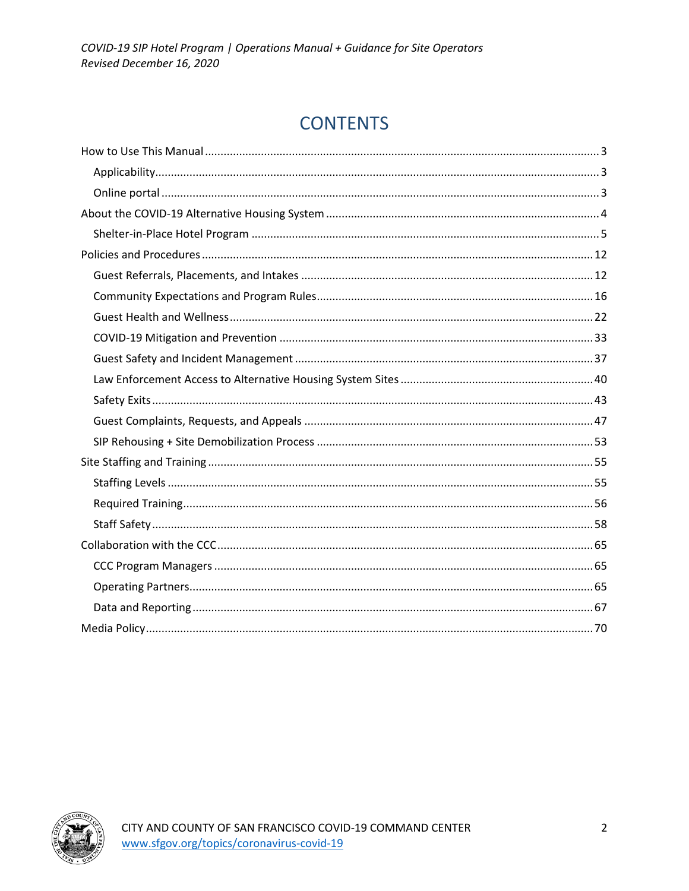# **CONTENTS**

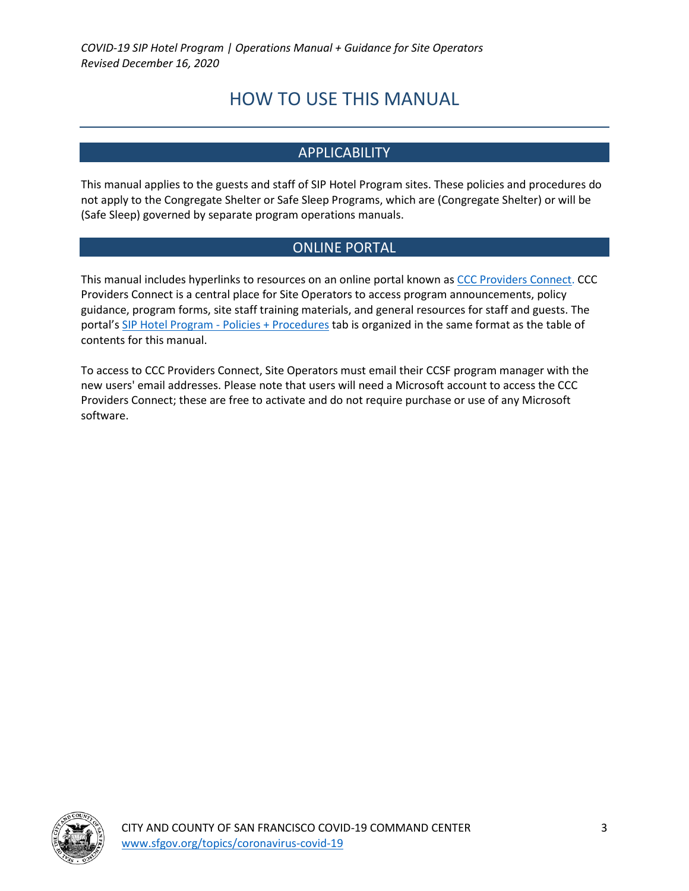# HOW TO USE THIS MANUAL

# **APPLICABILITY**

This manual applies to the guests and staff of SIP Hotel Program sites. These policies and procedures do not apply to the Congregate Shelter or Safe Sleep Programs, which are (Congregate Shelter) or will be (Safe Sleep) governed by separate program operations manuals.

# ONLINE PORTAL

This manual includes hyperlinks to resources on an online portal known as CCC Providers Connect. CCC Providers Connect is a central place for Site Operators to access program announcements, policy guidance, program forms, site staff training materials, and general resources for staff and guests. The portal's SIP Hotel Program - Policies + Procedures tab is organized in the same format as the table of contents for this manual.

To access to CCC Providers Connect, Site Operators must email their CCSF program manager with the new users' email addresses. Please note that users will need a Microsoft account to access the CCC Providers Connect; these are free to activate and do not require purchase or use of any Microsoft software.

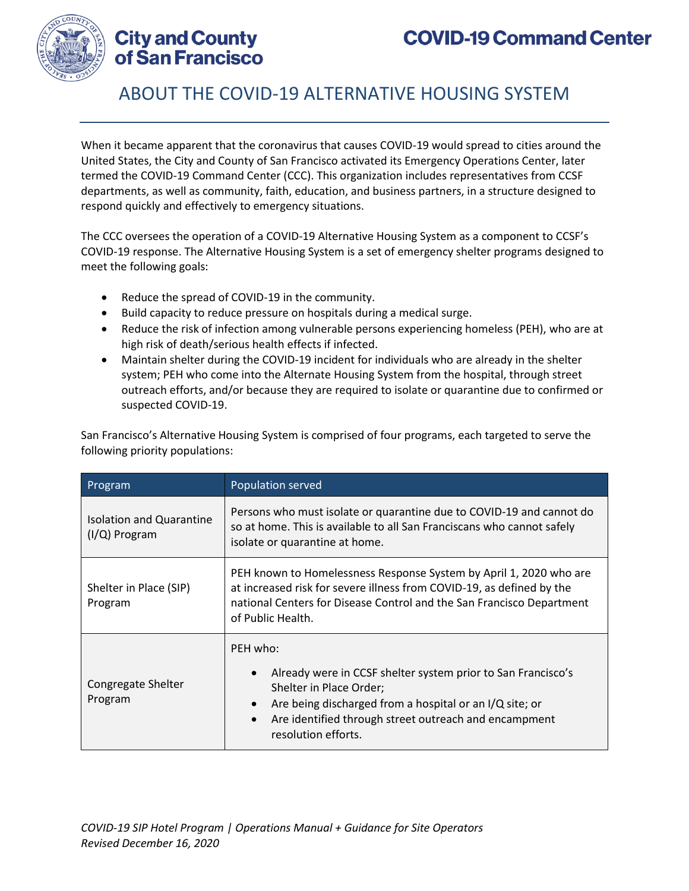

**City and County** of San Francisco

# ABOUT THE COVID-19 ALTERNATIVE HOUSING SYSTEM

When it became apparent that the coronavirus that causes COVID-19 would spread to cities around the United States, the City and County of San Francisco activated its Emergency Operations Center, later termed the COVID-19 Command Center (CCC). This organization includes representatives from CCSF departments, as well as community, faith, education, and business partners, in a structure designed to respond quickly and effectively to emergency situations.

The CCC oversees the operation of a COVID-19 Alternative Housing System as a component to CCSF's COVID-19 response. The Alternative Housing System is a set of emergency shelter programs designed to meet the following goals:

- Reduce the spread of COVID-19 in the community.
- Build capacity to reduce pressure on hospitals during a medical surge.
- Reduce the risk of infection among vulnerable persons experiencing homeless (PEH), who are at high risk of death/serious health effects if infected.
- Maintain shelter during the COVID-19 incident for individuals who are already in the shelter system; PEH who come into the Alternate Housing System from the hospital, through street outreach efforts, and/or because they are required to isolate or quarantine due to confirmed or suspected COVID-19.

San Francisco's Alternative Housing System is comprised of four programs, each targeted to serve the following priority populations:

| Program                                          | Population served                                                                                                                                                                                                                                                                     |  |
|--------------------------------------------------|---------------------------------------------------------------------------------------------------------------------------------------------------------------------------------------------------------------------------------------------------------------------------------------|--|
| <b>Isolation and Quarantine</b><br>(I/Q) Program | Persons who must isolate or quarantine due to COVID-19 and cannot do<br>so at home. This is available to all San Franciscans who cannot safely<br>isolate or quarantine at home.                                                                                                      |  |
| Shelter in Place (SIP)<br>Program                | PEH known to Homelessness Response System by April 1, 2020 who are<br>at increased risk for severe illness from COVID-19, as defined by the<br>national Centers for Disease Control and the San Francisco Department<br>of Public Health.                                             |  |
| Congregate Shelter<br>Program                    | PEH who:<br>Already were in CCSF shelter system prior to San Francisco's<br>$\bullet$<br>Shelter in Place Order;<br>Are being discharged from a hospital or an I/Q site; or<br>$\bullet$<br>Are identified through street outreach and encampment<br>$\bullet$<br>resolution efforts. |  |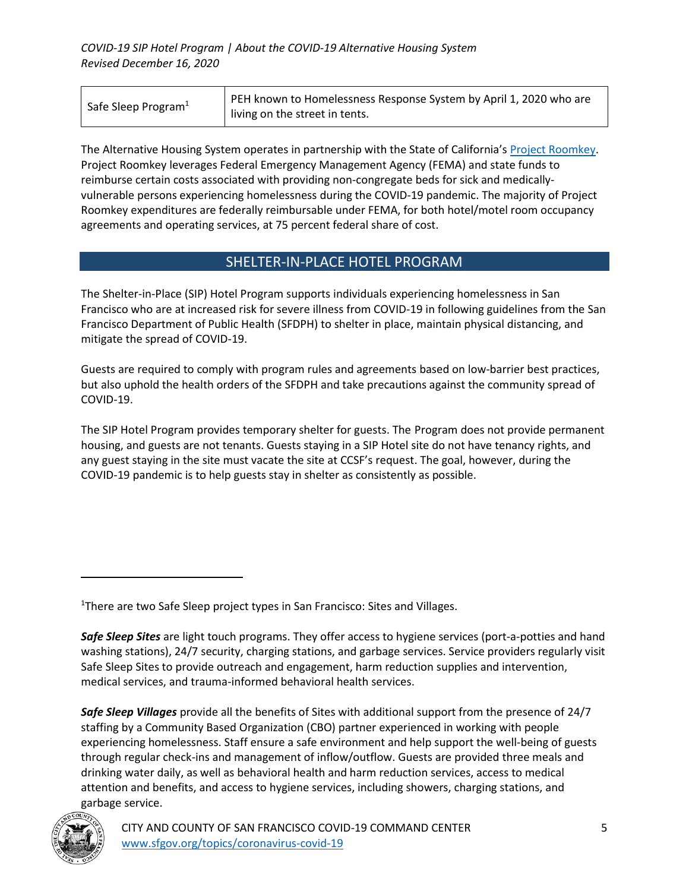| Safe Sleep Program <sup>1</sup> | PEH known to Homelessness Response System by April 1, 2020 who are |
|---------------------------------|--------------------------------------------------------------------|
|                                 | living on the street in tents.                                     |

The Alternative Housing System operates in partnership with the State of California's Project Roomkey. Project Roomkey leverages Federal Emergency Management Agency (FEMA) and state funds to reimburse certain costs associated with providing non-congregate beds for sick and medicallyvulnerable persons experiencing homelessness during the COVID-19 pandemic. The majority of Project Roomkey expenditures are federally reimbursable under FEMA, for both hotel/motel room occupancy agreements and operating services, at 75 percent federal share of cost.

### SHELTER-IN-PLACE HOTEL PROGRAM

The Shelter-in-Place (SIP) Hotel Program supports individuals experiencing homelessness in San Francisco who are at increased risk for severe illness from COVID-19 in following guidelines from the San Francisco Department of Public Health (SFDPH) to shelter in place, maintain physical distancing, and mitigate the spread of COVID-19.

Guests are required to comply with program rules and agreements based on low-barrier best practices, but also uphold the health orders of the SFDPH and take precautions against the community spread of COVID-19.

The SIP Hotel Program provides temporary shelter for guests. The Program does not provide permanent housing, and guests are not tenants. Guests staying in a SIP Hotel site do not have tenancy rights, and any guest staying in the site must vacate the site at CCSF's request. The goal, however, during the COVID-19 pandemic is to help guests stay in shelter as consistently as possible.

<sup>1</sup>There are two Safe Sleep project types in San Francisco: Sites and Villages.

*Safe Sleep Villages* provide all the benefits of Sites with additional support from the presence of 24/7 staffing by a Community Based Organization (CBO) partner experienced in working with people experiencing homelessness. Staff ensure a safe environment and help support the well-being of guests through regular check-ins and management of inflow/outflow. Guests are provided three meals and drinking water daily, as well as behavioral health and harm reduction services, access to medical attention and benefits, and access to hygiene services, including showers, charging stations, and garbage service.



*Safe Sleep Sites* are light touch programs. They offer access to hygiene services (port-a-potties and hand washing stations), 24/7 security, charging stations, and garbage services. Service providers regularly visit Safe Sleep Sites to provide outreach and engagement, harm reduction supplies and intervention, medical services, and trauma-informed behavioral health services.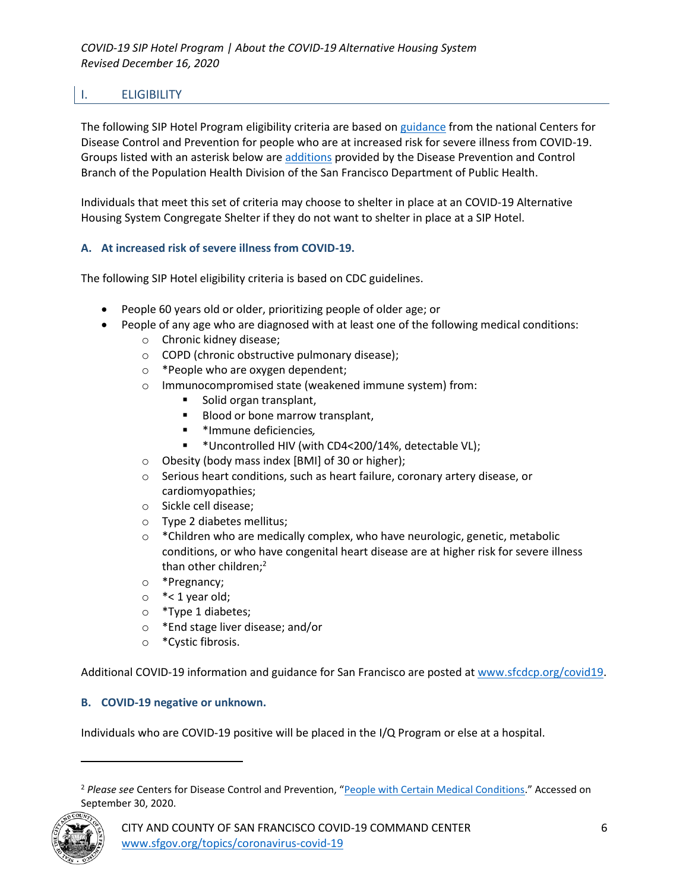# I. ELIGIBILITY

The following SIP Hotel Program eligibility criteria are based on guidance from the national Centers for Disease Control and Prevention for people who are at increased risk for severe illness from COVID-19. Groups listed with an asterisk below are additions provided by the Disease Prevention and Control Branch of the Population Health Division of the San Francisco Department of Public Health.

Individuals that meet this set of criteria may choose to shelter in place at an COVID-19 Alternative Housing System Congregate Shelter if they do not want to shelter in place at a SIP Hotel.

### **A. At increased risk of severe illness from COVID-19.**

The following SIP Hotel eligibility criteria is based on CDC guidelines.

- People 60 years old or older, prioritizing people of older age; or
- People of any age who are diagnosed with at least one of the following medical conditions:
	- o Chronic kidney disease;
	- o COPD (chronic obstructive pulmonary disease);
	- o \*People who are oxygen dependent;
	- o Immunocompromised state (weakened immune system) from:
		- Solid organ transplant,
		- Blood or bone marrow transplant,
		- \*Immune deficiencies*,*
		- \*Uncontrolled HIV (with CD4<200/14%, detectable VL);
	- o Obesity (body mass index [BMI] of 30 or higher);
	- o Serious heart conditions, such as heart failure, coronary artery disease, or cardiomyopathies;
	- o Sickle cell disease;
	- o Type 2 diabetes mellitus;
	- $\circ$  \*Children who are medically complex, who have neurologic, genetic, metabolic conditions, or who have congenital heart disease are at higher risk for severe illness than other children;<sup>2</sup>
	- o \*Pregnancy;
	- $\circ$  \*< 1 year old;
	- o \*Type 1 diabetes;
	- o \*End stage liver disease; and/or
	- o \*Cystic fibrosis.

Additional COVID-19 information and guidance for San Francisco are posted at www.sfcdcp.org/covid19.

### **B. COVID-19 negative or unknown.**

Individuals who are COVID-19 positive will be placed in the I/Q Program or else at a hospital.

<sup>2</sup> *Please see* Centers for Disease Control and Prevention, "People with Certain Medical Conditions." Accessed on September 30, 2020.

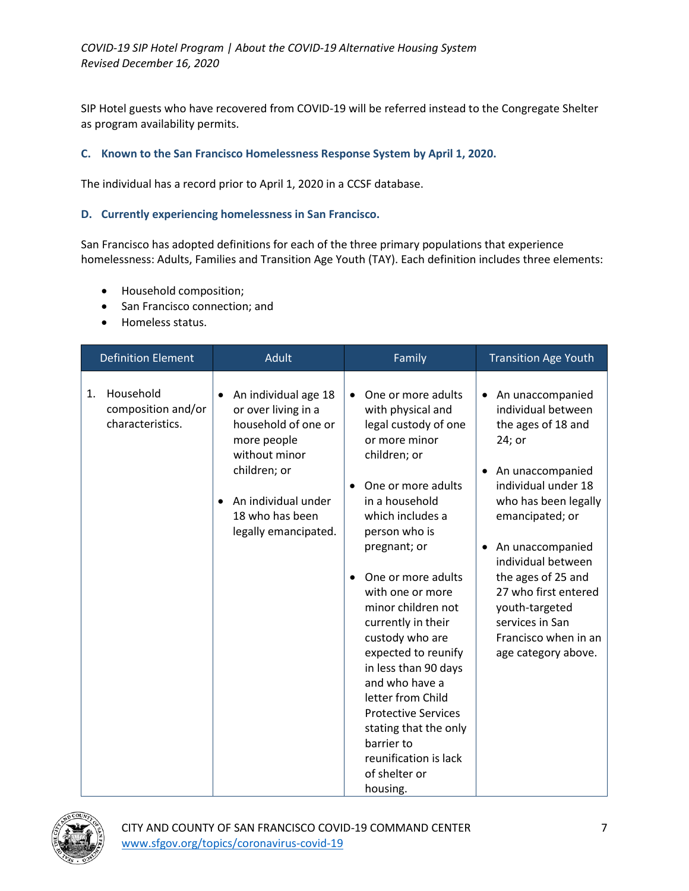SIP Hotel guests who have recovered from COVID-19 will be referred instead to the Congregate Shelter as program availability permits.

#### **C. Known to the San Francisco Homelessness Response System by April 1, 2020.**

The individual has a record prior to April 1, 2020 in a CCSF database.

#### **D. Currently experiencing homelessness in San Francisco.**

San Francisco has adopted definitions for each of the three primary populations that experience homelessness: Adults, Families and Transition Age Youth (TAY). Each definition includes three elements:

- Household composition;
- San Francisco connection; and
- Homeless status.

| <b>Definition Element</b>                                 | <b>Adult</b>                                                                                                                                                                         | Family                                                                                                                                                                                                                                                                                                                                                                                                                                                                                                                                                         | <b>Transition Age Youth</b>                                                                                                                                                                                                                                                                                                                |
|-----------------------------------------------------------|--------------------------------------------------------------------------------------------------------------------------------------------------------------------------------------|----------------------------------------------------------------------------------------------------------------------------------------------------------------------------------------------------------------------------------------------------------------------------------------------------------------------------------------------------------------------------------------------------------------------------------------------------------------------------------------------------------------------------------------------------------------|--------------------------------------------------------------------------------------------------------------------------------------------------------------------------------------------------------------------------------------------------------------------------------------------------------------------------------------------|
| Household<br>1.<br>composition and/or<br>characteristics. | An individual age 18<br>or over living in a<br>household of one or<br>more people<br>without minor<br>children; or<br>An individual under<br>18 who has been<br>legally emancipated. | One or more adults<br>$\bullet$<br>with physical and<br>legal custody of one<br>or more minor<br>children; or<br>One or more adults<br>$\bullet$<br>in a household<br>which includes a<br>person who is<br>pregnant; or<br>One or more adults<br>$\bullet$<br>with one or more<br>minor children not<br>currently in their<br>custody who are<br>expected to reunify<br>in less than 90 days<br>and who have a<br>letter from Child<br><b>Protective Services</b><br>stating that the only<br>barrier to<br>reunification is lack<br>of shelter or<br>housing. | An unaccompanied<br>individual between<br>the ages of 18 and<br>24; or<br>An unaccompanied<br>individual under 18<br>who has been legally<br>emancipated; or<br>• An unaccompanied<br>individual between<br>the ages of 25 and<br>27 who first entered<br>youth-targeted<br>services in San<br>Francisco when in an<br>age category above. |

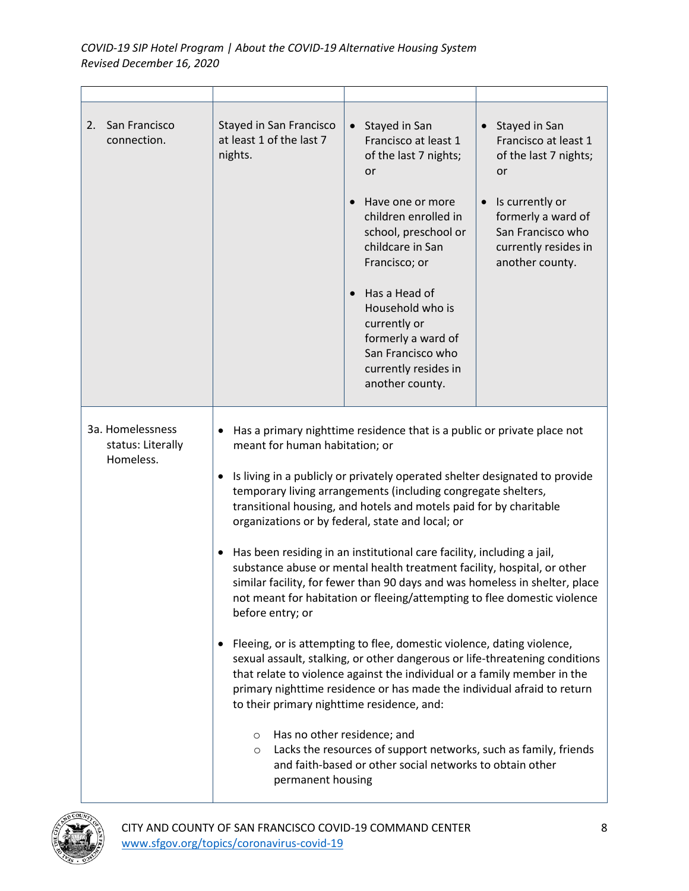| San Francisco<br>2.<br>connection.                 | Stayed in San Francisco<br>at least 1 of the last 7<br>nights.                                                                                                                                                                                                                                                                                                                                                                                                                                                                                                                                                                                                                                                                                                                                                                                                                                                                                                                                                                                                                                                                                                                                                                                                                                               | Stayed in San<br>$\bullet$<br>Francisco at least 1<br>of the last 7 nights;<br>or<br>Have one or more<br>children enrolled in<br>school, preschool or<br>childcare in San<br>Francisco; or<br>Has a Head of<br>Household who is<br>currently or<br>formerly a ward of<br>San Francisco who<br>currently resides in<br>another county. | • Stayed in San<br>Francisco at least 1<br>of the last 7 nights;<br>or<br>Is currently or<br>formerly a ward of<br>San Francisco who<br>currently resides in<br>another county. |
|----------------------------------------------------|--------------------------------------------------------------------------------------------------------------------------------------------------------------------------------------------------------------------------------------------------------------------------------------------------------------------------------------------------------------------------------------------------------------------------------------------------------------------------------------------------------------------------------------------------------------------------------------------------------------------------------------------------------------------------------------------------------------------------------------------------------------------------------------------------------------------------------------------------------------------------------------------------------------------------------------------------------------------------------------------------------------------------------------------------------------------------------------------------------------------------------------------------------------------------------------------------------------------------------------------------------------------------------------------------------------|---------------------------------------------------------------------------------------------------------------------------------------------------------------------------------------------------------------------------------------------------------------------------------------------------------------------------------------|---------------------------------------------------------------------------------------------------------------------------------------------------------------------------------|
| 3a. Homelessness<br>status: Literally<br>Homeless. | Has a primary nighttime residence that is a public or private place not<br>meant for human habitation; or<br>Is living in a publicly or privately operated shelter designated to provide<br>$\bullet$<br>temporary living arrangements (including congregate shelters,<br>transitional housing, and hotels and motels paid for by charitable<br>organizations or by federal, state and local; or<br>Has been residing in an institutional care facility, including a jail,<br>substance abuse or mental health treatment facility, hospital, or other<br>similar facility, for fewer than 90 days and was homeless in shelter, place<br>not meant for habitation or fleeing/attempting to flee domestic violence<br>before entry; or<br>Fleeing, or is attempting to flee, domestic violence, dating violence,<br>sexual assault, stalking, or other dangerous or life-threatening conditions<br>that relate to violence against the individual or a family member in the<br>primary nighttime residence or has made the individual afraid to return<br>to their primary nighttime residence, and:<br>Has no other residence; and<br>$\circ$<br>Lacks the resources of support networks, such as family, friends<br>$\circ$<br>and faith-based or other social networks to obtain other<br>permanent housing |                                                                                                                                                                                                                                                                                                                                       |                                                                                                                                                                                 |

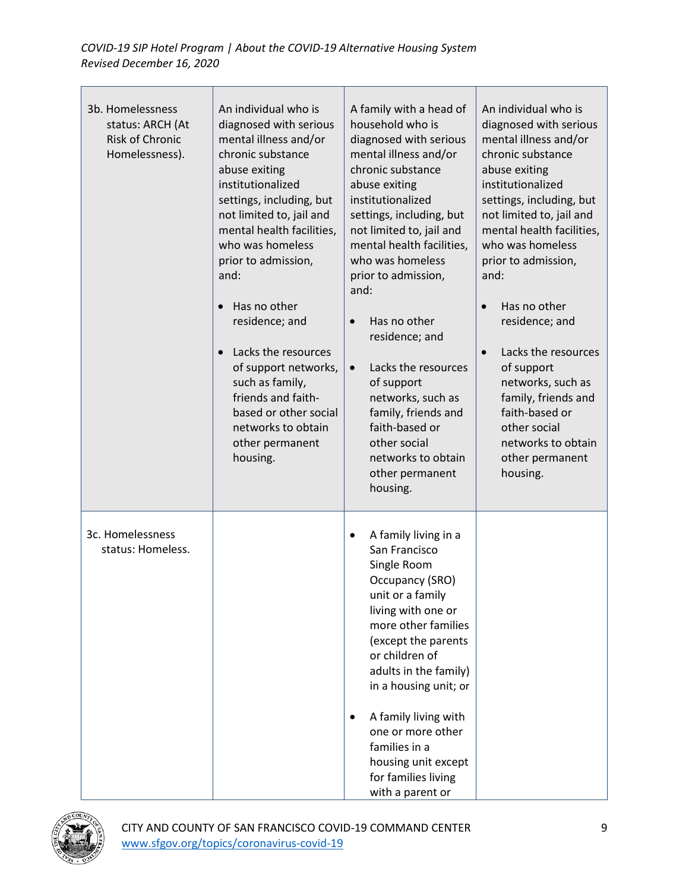### *COVID-19 SIP Hotel Program | About the COVID-19 Alternative Housing System Revised December 16, 2020*

| 3b. Homelessness<br>status: ARCH (At<br>Risk of Chronic<br>Homelessness). | An individual who is<br>diagnosed with serious<br>mental illness and/or<br>chronic substance<br>abuse exiting<br>institutionalized<br>settings, including, but<br>not limited to, jail and<br>mental health facilities,<br>who was homeless<br>prior to admission,<br>and:<br>Has no other<br>residence; and<br>Lacks the resources<br>of support networks,<br>such as family,<br>friends and faith-<br>based or other social<br>networks to obtain<br>other permanent<br>housing. | A family with a head of<br>household who is<br>diagnosed with serious<br>mental illness and/or<br>chronic substance<br>abuse exiting<br>institutionalized<br>settings, including, but<br>not limited to, jail and<br>mental health facilities,<br>who was homeless<br>prior to admission,<br>and:<br>Has no other<br>$\bullet$<br>residence; and<br>Lacks the resources<br>$\bullet$<br>of support<br>networks, such as<br>family, friends and<br>faith-based or<br>other social<br>networks to obtain<br>other permanent<br>housing. | An individual who is<br>diagnosed with serious<br>mental illness and/or<br>chronic substance<br>abuse exiting<br>institutionalized<br>settings, including, but<br>not limited to, jail and<br>mental health facilities,<br>who was homeless<br>prior to admission,<br>and:<br>Has no other<br>$\bullet$<br>residence; and<br>Lacks the resources<br>$\bullet$<br>of support<br>networks, such as<br>family, friends and<br>faith-based or<br>other social<br>networks to obtain<br>other permanent<br>housing. |
|---------------------------------------------------------------------------|------------------------------------------------------------------------------------------------------------------------------------------------------------------------------------------------------------------------------------------------------------------------------------------------------------------------------------------------------------------------------------------------------------------------------------------------------------------------------------|---------------------------------------------------------------------------------------------------------------------------------------------------------------------------------------------------------------------------------------------------------------------------------------------------------------------------------------------------------------------------------------------------------------------------------------------------------------------------------------------------------------------------------------|----------------------------------------------------------------------------------------------------------------------------------------------------------------------------------------------------------------------------------------------------------------------------------------------------------------------------------------------------------------------------------------------------------------------------------------------------------------------------------------------------------------|
| 3c. Homelessness<br>status: Homeless.                                     |                                                                                                                                                                                                                                                                                                                                                                                                                                                                                    | A family living in a<br>$\bullet$<br>San Francisco<br>Single Room<br>Occupancy (SRO)<br>unit or a family<br>living with one or<br>more other families<br>(except the parents<br>or children of<br>adults in the family)<br>in a housing unit; or<br>A family living with<br>$\bullet$<br>one or more other<br>families in a<br>housing unit except<br>for families living<br>with a parent or                                                                                                                                         |                                                                                                                                                                                                                                                                                                                                                                                                                                                                                                                |

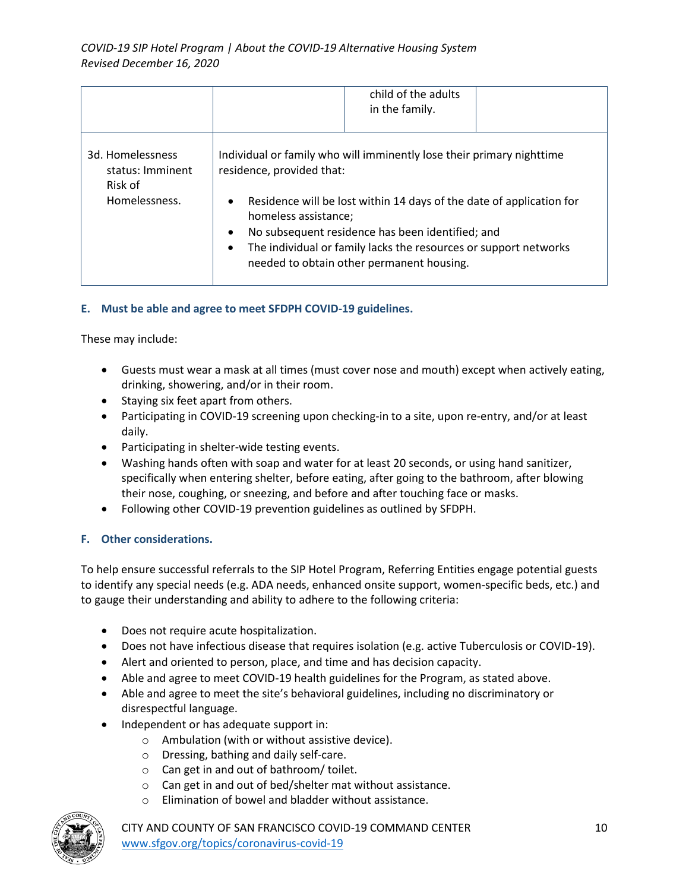|                                                                  | child of the adults<br>in the family.                                                                                                                                                                                                                                                                                                                                                                          |
|------------------------------------------------------------------|----------------------------------------------------------------------------------------------------------------------------------------------------------------------------------------------------------------------------------------------------------------------------------------------------------------------------------------------------------------------------------------------------------------|
| 3d. Homelessness<br>status: Imminent<br>Risk of<br>Homelessness. | Individual or family who will imminently lose their primary nighttime<br>residence, provided that:<br>Residence will be lost within 14 days of the date of application for<br>$\bullet$<br>homeless assistance;<br>No subsequent residence has been identified; and<br>$\bullet$<br>The individual or family lacks the resources or support networks<br>$\bullet$<br>needed to obtain other permanent housing. |

### **E. Must be able and agree to meet SFDPH COVID-19 guidelines.**

These may include:

- Guests must wear a mask at all times (must cover nose and mouth) except when actively eating, drinking, showering, and/or in their room.
- Staying six feet apart from others.
- Participating in COVID-19 screening upon checking-in to a site, upon re-entry, and/or at least daily.
- Participating in shelter-wide testing events.
- Washing hands often with soap and water for at least 20 seconds, or using hand sanitizer, specifically when entering shelter, before eating, after going to the bathroom, after blowing their nose, coughing, or sneezing, and before and after touching face or masks.
- Following other COVID-19 prevention guidelines as outlined by SFDPH.

#### **F. Other considerations.**

To help ensure successful referrals to the SIP Hotel Program, Referring Entities engage potential guests to identify any special needs (e.g. ADA needs, enhanced onsite support, women-specific beds, etc.) and to gauge their understanding and ability to adhere to the following criteria:

- Does not require acute hospitalization.
- Does not have infectious disease that requires isolation (e.g. active Tuberculosis or COVID-19).
- Alert and oriented to person, place, and time and has decision capacity.
- Able and agree to meet COVID-19 health guidelines for the Program, as stated above.
- Able and agree to meet the site's behavioral guidelines, including no discriminatory or disrespectful language.
- Independent or has adequate support in:
	- o Ambulation (with or without assistive device).
	- o Dressing, bathing and daily self-care.
	- o Can get in and out of bathroom/ toilet.
	- o Can get in and out of bed/shelter mat without assistance.
	- o Elimination of bowel and bladder without assistance.



CITY AND COUNTY OF SAN FRANCISCO COVID-19 COMMAND CENTER 10 www.sfgov.org/topics/coronavirus-covid-19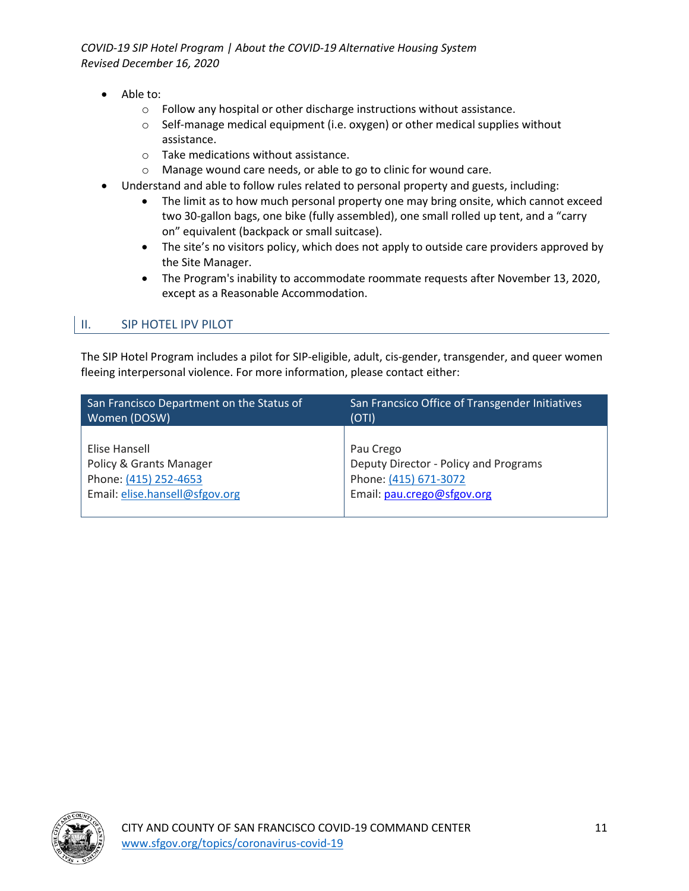*COVID-19 SIP Hotel Program | About the COVID-19 Alternative Housing System Revised December 16, 2020*

- Able to:
	- o Follow any hospital or other discharge instructions without assistance.
	- o Self-manage medical equipment (i.e. oxygen) or other medical supplies without assistance.
	- o Take medications without assistance.
	- o Manage wound care needs, or able to go to clinic for wound care.
- Understand and able to follow rules related to personal property and guests, including:
	- The limit as to how much personal property one may bring onsite, which cannot exceed two 30-gallon bags, one bike (fully assembled), one small rolled up tent, and a "carry on" equivalent (backpack or small suitcase).
	- The site's no visitors policy, which does not apply to outside care providers approved by the Site Manager.
	- The Program's inability to accommodate roommate requests after November 13, 2020, except as a Reasonable Accommodation.

### II. SIP HOTEL IPV PILOT

The SIP Hotel Program includes a pilot for SIP-eligible, adult, cis-gender, transgender, and queer women fleeing interpersonal violence. For more information, please contact either:

| San Francisco Department on the Status of | San Francsico Office of Transgender Initiatives |
|-------------------------------------------|-------------------------------------------------|
| Women (DOSW)                              | (OTI)                                           |
| Elise Hansell                             | Pau Crego                                       |
| Policy & Grants Manager                   | Deputy Director - Policy and Programs           |
| Phone: (415) 252-4653                     | Phone: (415) 671-3072                           |
| Email: elise.hansell@sfgov.org            | Email: pau.crego@sfgov.org                      |
|                                           |                                                 |

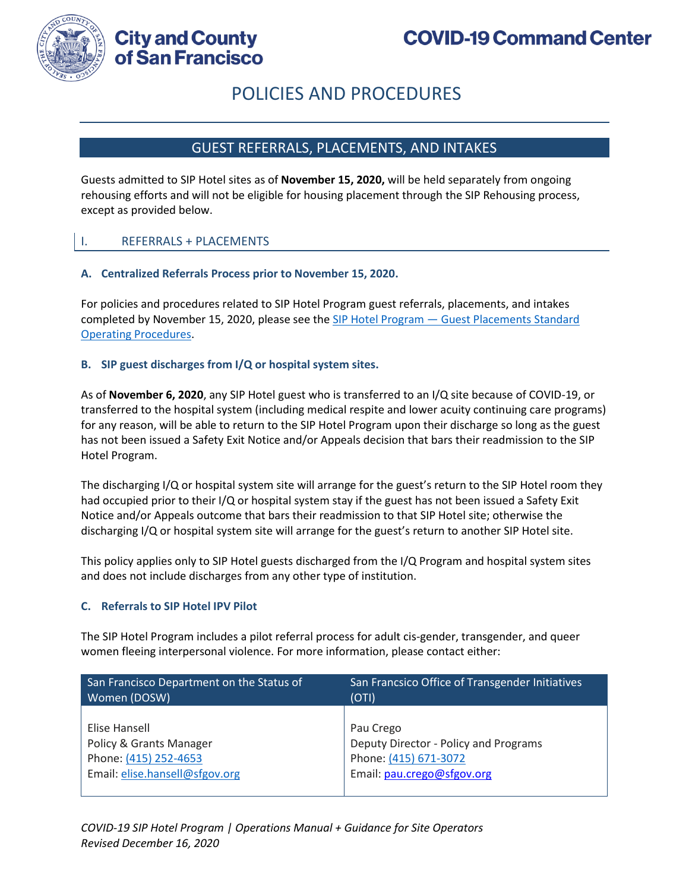

**City and County** of San Francisco

# POLICIES AND PROCEDURES

# GUEST REFERRALS, PLACEMENTS, AND INTAKES

Guests admitted to SIP Hotel sites as of **November 15, 2020,** will be held separately from ongoing rehousing efforts and will not be eligible for housing placement through the SIP Rehousing process, except as provided below.

### I. REFERRALS + PLACEMENTS

#### **A. Centralized Referrals Process prior to November 15, 2020.**

For policies and procedures related to SIP Hotel Program guest referrals, placements, and intakes completed by November 15, 2020, please see the SIP Hotel Program — Guest Placements Standard Operating Procedures.

#### **B. SIP guest discharges from I/Q or hospital system sites.**

As of **November 6, 2020**, any SIP Hotel guest who is transferred to an I/Q site because of COVID-19, or transferred to the hospital system (including medical respite and lower acuity continuing care programs) for any reason, will be able to return to the SIP Hotel Program upon their discharge so long as the guest has not been issued a Safety Exit Notice and/or Appeals decision that bars their readmission to the SIP Hotel Program.

The discharging I/Q or hospital system site will arrange for the guest's return to the SIP Hotel room they had occupied prior to their I/Q or hospital system stay if the guest has not been issued a Safety Exit Notice and/or Appeals outcome that bars their readmission to that SIP Hotel site; otherwise the discharging I/Q or hospital system site will arrange for the guest's return to another SIP Hotel site.

This policy applies only to SIP Hotel guests discharged from the I/Q Program and hospital system sites and does not include discharges from any other type of institution.

#### **C. Referrals to SIP Hotel IPV Pilot**

The SIP Hotel Program includes a pilot referral process for adult cis-gender, transgender, and queer women fleeing interpersonal violence. For more information, please contact either:

| San Francisco Department on the Status of | San Francsico Office of Transgender Initiatives |
|-------------------------------------------|-------------------------------------------------|
| Women (DOSW)                              | (OTI)                                           |
| Elise Hansell                             | Pau Crego                                       |
| Policy & Grants Manager                   | Deputy Director - Policy and Programs           |
| Phone: (415) 252-4653                     | Phone: (415) 671-3072                           |
| Email: elise.hansell@sfgov.org            | Email: pau.crego@sfgov.org                      |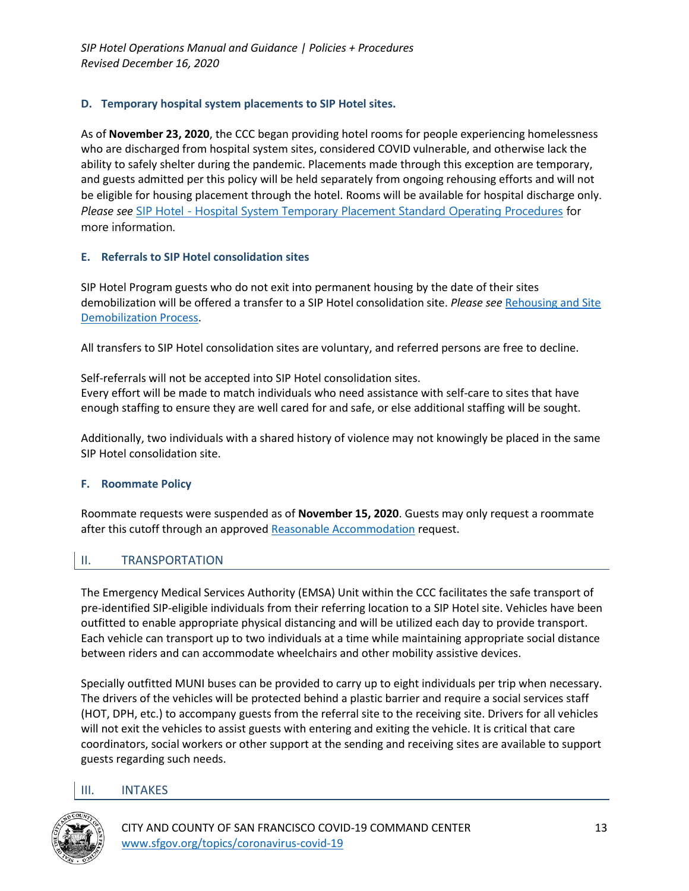### **D. Temporary hospital system placements to SIP Hotel sites.**

As of **November 23, 2020**, the CCC began providing hotel rooms for people experiencing homelessness who are discharged from hospital system sites, considered COVID vulnerable, and otherwise lack the ability to safely shelter during the pandemic. Placements made through this exception are temporary, and guests admitted per this policy will be held separately from ongoing rehousing efforts and will not be eligible for housing placement through the hotel. Rooms will be available for hospital discharge only. *Please see* SIP Hotel - Hospital System Temporary Placement Standard Operating Procedures for more information.

### **E. Referrals to SIP Hotel consolidation sites**

SIP Hotel Program guests who do not exit into permanent housing by the date of their sites demobilization will be offered a transfer to a SIP Hotel consolidation site. *Please see* Rehousing and Site Demobilization Process.

All transfers to SIP Hotel consolidation sites are voluntary, and referred persons are free to decline.

Self-referrals will not be accepted into SIP Hotel consolidation sites. Every effort will be made to match individuals who need assistance with self-care to sites that have enough staffing to ensure they are well cared for and safe, or else additional staffing will be sought.

Additionally, two individuals with a shared history of violence may not knowingly be placed in the same SIP Hotel consolidation site.

### **F. Roommate Policy**

Roommate requests were suspended as of **November 15, 2020**. Guests may only request a roommate after this cutoff through an approved Reasonable Accommodation request.

### II. TRANSPORTATION

The Emergency Medical Services Authority (EMSA) Unit within the CCC facilitates the safe transport of pre-identified SIP-eligible individuals from their referring location to a SIP Hotel site. Vehicles have been outfitted to enable appropriate physical distancing and will be utilized each day to provide transport. Each vehicle can transport up to two individuals at a time while maintaining appropriate social distance between riders and can accommodate wheelchairs and other mobility assistive devices.

Specially outfitted MUNI buses can be provided to carry up to eight individuals per trip when necessary. The drivers of the vehicles will be protected behind a plastic barrier and require a social services staff (HOT, DPH, etc.) to accompany guests from the referral site to the receiving site. Drivers for all vehicles will not exit the vehicles to assist guests with entering and exiting the vehicle. It is critical that care coordinators, social workers or other support at the sending and receiving sites are available to support guests regarding such needs.

### III. INTAKES

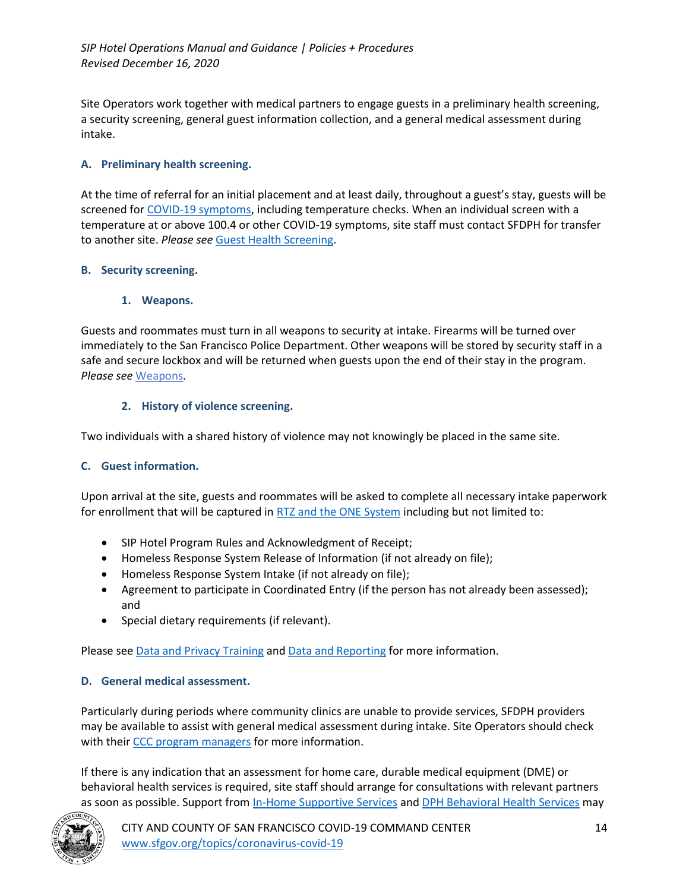Site Operators work together with medical partners to engage guests in a preliminary health screening, a security screening, general guest information collection, and a general medical assessment during intake.

### **A. Preliminary health screening.**

At the time of referral for an initial placement and at least daily, throughout a guest's stay, guests will be screened for COVID-19 symptoms, including temperature checks. When an individual screen with a temperature at or above 100.4 or other COVID-19 symptoms, site staff must contact SFDPH for transfer to another site. *Please see* Guest Health Screening.

#### **B. Security screening.**

#### **1. Weapons.**

Guests and roommates must turn in all weapons to security at intake. Firearms will be turned over immediately to the San Francisco Police Department. Other weapons will be stored by security staff in a safe and secure lockbox and will be returned when guests upon the end of their stay in the program. *Please see* Weapons.

### **2. History of violence screening.**

Two individuals with a shared history of violence may not knowingly be placed in the same site.

### **C. Guest information.**

Upon arrival at the site, guests and roommates will be asked to complete all necessary intake paperwork for enrollment that will be captured in RTZ and the ONE System including but not limited to:

- SIP Hotel Program Rules and Acknowledgment of Receipt;
- Homeless Response System Release of Information (if not already on file);
- Homeless Response System Intake (if not already on file);
- Agreement to participate in Coordinated Entry (if the person has not already been assessed); and
- Special dietary requirements (if relevant).

Please see Data and Privacy Training and Data and Reporting for more information.

### **D. General medical assessment.**

Particularly during periods where community clinics are unable to provide services, SFDPH providers may be available to assist with general medical assessment during intake. Site Operators should check with their CCC program managers for more information.

If there is any indication that an assessment for home care, durable medical equipment (DME) or behavioral health services is required, site staff should arrange for consultations with relevant partners as soon as possible. Support from In-Home Supportive Services and DPH Behavioral Health Services may

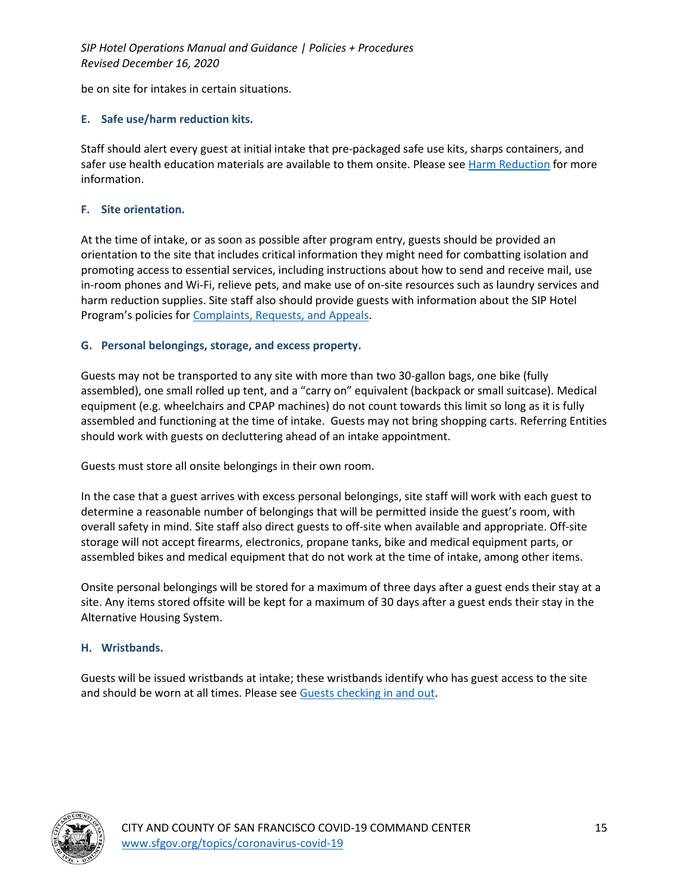be on site for intakes in certain situations.

### **E. Safe use/harm reduction kits.**

Staff should alert every guest at initial intake that pre-packaged safe use kits, sharps containers, and safer use health education materials are available to them onsite. Please see Harm Reduction for more information.

### **F. Site orientation.**

At the time of intake, or as soon as possible after program entry, guests should be provided an orientation to the site that includes critical information they might need for combatting isolation and promoting access to essential services, including instructions about how to send and receive mail, use in-room phones and Wi-Fi, relieve pets, and make use of on-site resources such as laundry services and harm reduction supplies. Site staff also should provide guests with information about the SIP Hotel Program's policies for Complaints, Requests, and Appeals.

### **G. Personal belongings, storage, and excess property.**

Guests may not be transported to any site with more than two 30-gallon bags, one bike (fully assembled), one small rolled up tent, and a "carry on" equivalent (backpack or small suitcase). Medical equipment (e.g. wheelchairs and CPAP machines) do not count towards this limit so long as it is fully assembled and functioning at the time of intake. Guests may not bring shopping carts. Referring Entities should work with guests on decluttering ahead of an intake appointment.

Guests must store all onsite belongings in their own room.

In the case that a guest arrives with excess personal belongings, site staff will work with each guest to determine a reasonable number of belongings that will be permitted inside the guest's room, with overall safety in mind. Site staff also direct guests to off-site when available and appropriate. Off-site storage will not accept firearms, electronics, propane tanks, bike and medical equipment parts, or assembled bikes and medical equipment that do not work at the time of intake, among other items.

Onsite personal belongings will be stored for a maximum of three days after a guest ends their stay at a site. Any items stored offsite will be kept for a maximum of 30 days after a guest ends their stay in the Alternative Housing System.

### **H. Wristbands.**

Guests will be issued wristbands at intake; these wristbands identify who has guest access to the site and should be worn at all times. Please see Guests checking in and out.

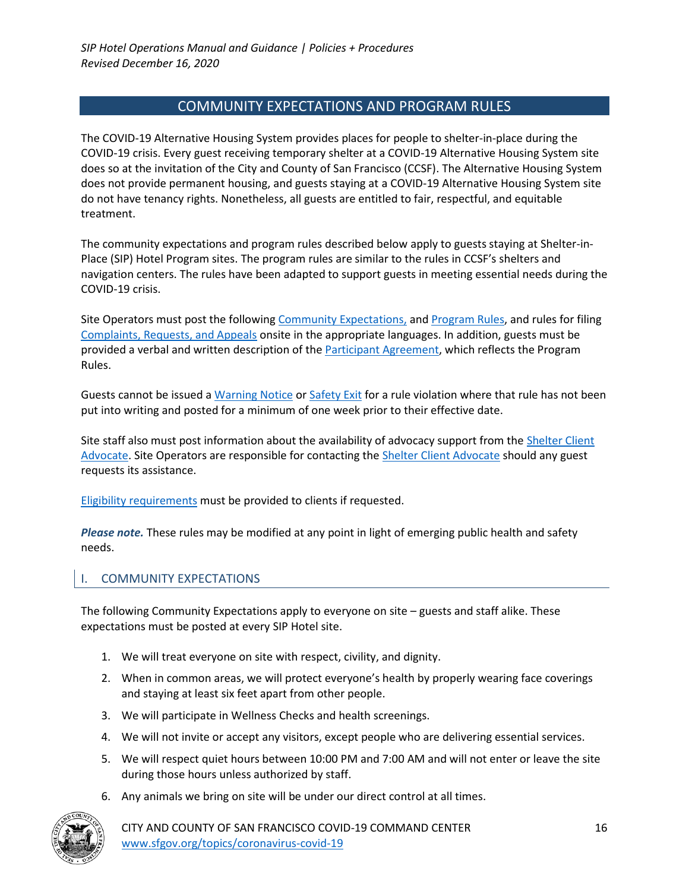## COMMUNITY EXPECTATIONS AND PROGRAM RULES

The COVID-19 Alternative Housing System provides places for people to shelter-in-place during the COVID-19 crisis. Every guest receiving temporary shelter at a COVID-19 Alternative Housing System site does so at the invitation of the City and County of San Francisco (CCSF). The Alternative Housing System does not provide permanent housing, and guests staying at a COVID-19 Alternative Housing System site do not have tenancy rights. Nonetheless, all guests are entitled to fair, respectful, and equitable treatment.

The community expectations and program rules described below apply to guests staying at Shelter-in-Place (SIP) Hotel Program sites. The program rules are similar to the rules in CCSF's shelters and navigation centers. The rules have been adapted to support guests in meeting essential needs during the COVID-19 crisis.

Site Operators must post the following Community Expectations, and Program Rules, and rules for filing Complaints, Requests, and Appeals onsite in the appropriate languages. In addition, guests must be provided a verbal and written description of the Participant Agreement, which reflects the Program Rules.

Guests cannot be issued a Warning Notice or Safety Exit for a rule violation where that rule has not been put into writing and posted for a minimum of one week prior to their effective date.

Site staff also must post information about the availability of advocacy support from the Shelter Client Advocate. Site Operators are responsible for contacting the **Shelter Client Advocate should any guest** requests its assistance.

Eligibility requirements must be provided to clients if requested.

*Please note.* These rules may be modified at any point in light of emerging public health and safety needs.

### I. COMMUNITY EXPECTATIONS

The following Community Expectations apply to everyone on site – guests and staff alike. These expectations must be posted at every SIP Hotel site.

- 1. We will treat everyone on site with respect, civility, and dignity.
- 2. When in common areas, we will protect everyone's health by properly wearing face coverings and staying at least six feet apart from other people.
- 3. We will participate in Wellness Checks and health screenings.
- 4. We will not invite or accept any visitors, except people who are delivering essential services.
- 5. We will respect quiet hours between 10:00 PM and 7:00 AM and will not enter or leave the site during those hours unless authorized by staff.
- 6. Any animals we bring on site will be under our direct control at all times.

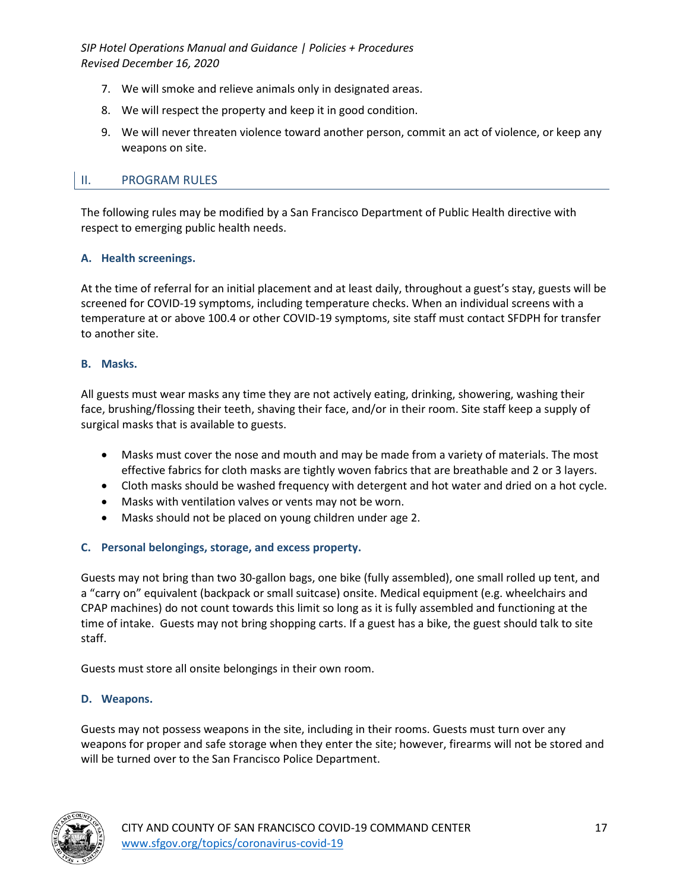- 7. We will smoke and relieve animals only in designated areas.
- 8. We will respect the property and keep it in good condition.
- 9. We will never threaten violence toward another person, commit an act of violence, or keep any weapons on site.

### II. PROGRAM RULES

The following rules may be modified by a San Francisco Department of Public Health directive with respect to emerging public health needs.

#### **A. Health screenings.**

At the time of referral for an initial placement and at least daily, throughout a guest's stay, guests will be screened for COVID-19 symptoms, including temperature checks. When an individual screens with a temperature at or above 100.4 or other COVID-19 symptoms, site staff must contact SFDPH for transfer to another site.

#### **B. Masks.**

All guests must wear masks any time they are not actively eating, drinking, showering, washing their face, brushing/flossing their teeth, shaving their face, and/or in their room. Site staff keep a supply of surgical masks that is available to guests.

- Masks must cover the nose and mouth and may be made from a variety of materials. The most effective fabrics for cloth masks are tightly woven fabrics that are breathable and 2 or 3 layers.
- Cloth masks should be washed frequency with detergent and hot water and dried on a hot cycle.
- Masks with ventilation valves or vents may not be worn.
- Masks should not be placed on young children under age 2.

### **C. Personal belongings, storage, and excess property.**

Guests may not bring than two 30-gallon bags, one bike (fully assembled), one small rolled up tent, and a "carry on" equivalent (backpack or small suitcase) onsite. Medical equipment (e.g. wheelchairs and CPAP machines) do not count towards this limit so long as it is fully assembled and functioning at the time of intake. Guests may not bring shopping carts. If a guest has a bike, the guest should talk to site staff.

Guests must store all onsite belongings in their own room.

#### **D. Weapons.**

Guests may not possess weapons in the site, including in their rooms. Guests must turn over any weapons for proper and safe storage when they enter the site; however, firearms will not be stored and will be turned over to the San Francisco Police Department.

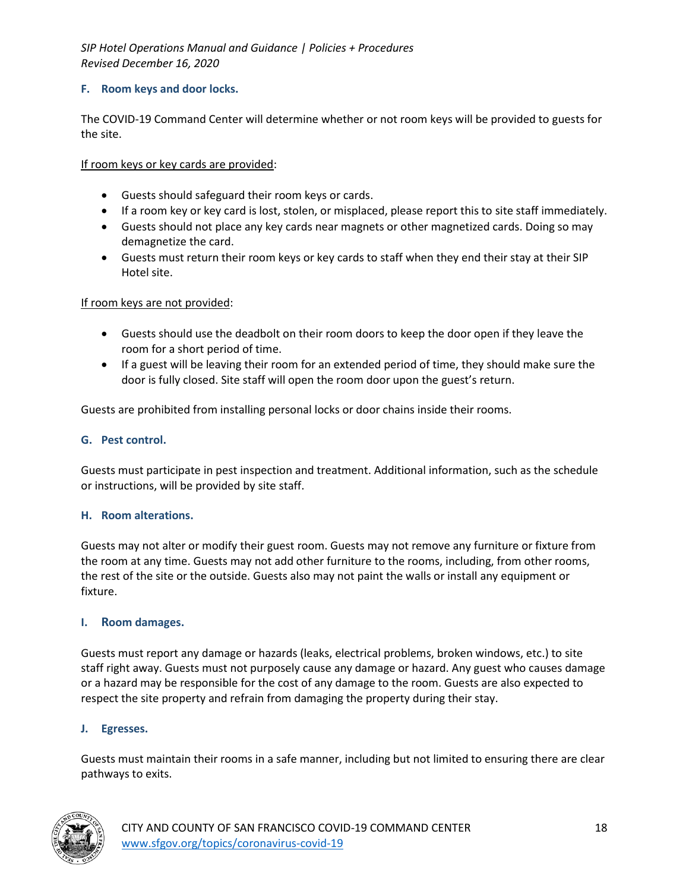### **F. Room keys and door locks.**

The COVID-19 Command Center will determine whether or not room keys will be provided to guests for the site.

If room keys or key cards are provided:

- Guests should safeguard their room keys or cards.
- If a room key or key card is lost, stolen, or misplaced, please report this to site staff immediately.
- Guests should not place any key cards near magnets or other magnetized cards. Doing so may demagnetize the card.
- Guests must return their room keys or key cards to staff when they end their stay at their SIP Hotel site.

If room keys are not provided:

- Guests should use the deadbolt on their room doors to keep the door open if they leave the room for a short period of time.
- If a guest will be leaving their room for an extended period of time, they should make sure the door is fully closed. Site staff will open the room door upon the guest's return.

Guests are prohibited from installing personal locks or door chains inside their rooms.

#### **G. Pest control.**

Guests must participate in pest inspection and treatment. Additional information, such as the schedule or instructions, will be provided by site staff.

#### **H. Room alterations.**

Guests may not alter or modify their guest room. Guests may not remove any furniture or fixture from the room at any time. Guests may not add other furniture to the rooms, including, from other rooms, the rest of the site or the outside. Guests also may not paint the walls or install any equipment or fixture.

#### **I. Room damages.**

Guests must report any damage or hazards (leaks, electrical problems, broken windows, etc.) to site staff right away. Guests must not purposely cause any damage or hazard. Any guest who causes damage or a hazard may be responsible for the cost of any damage to the room. Guests are also expected to respect the site property and refrain from damaging the property during their stay.

#### **J. Egresses.**

Guests must maintain their rooms in a safe manner, including but not limited to ensuring there are clear pathways to exits.



CITY AND COUNTY OF SAN FRANCISCO COVID-19 COMMAND CENTER 18 www.sfgov.org/topics/coronavirus-covid-19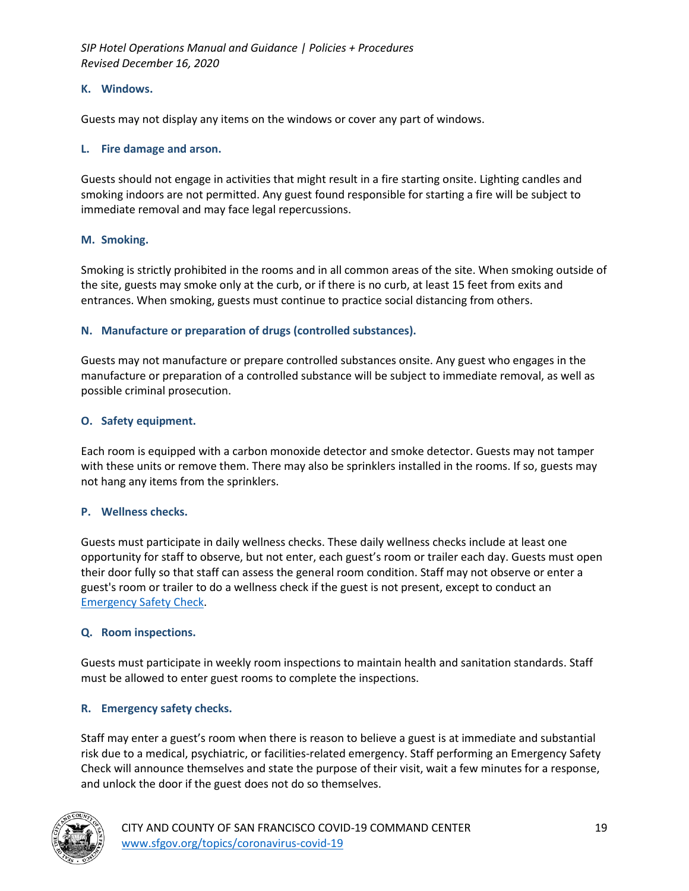#### **K. Windows.**

Guests may not display any items on the windows or cover any part of windows.

#### **L. Fire damage and arson.**

Guests should not engage in activities that might result in a fire starting onsite. Lighting candles and smoking indoors are not permitted. Any guest found responsible for starting a fire will be subject to immediate removal and may face legal repercussions.

#### **M. Smoking.**

Smoking is strictly prohibited in the rooms and in all common areas of the site. When smoking outside of the site, guests may smoke only at the curb, or if there is no curb, at least 15 feet from exits and entrances. When smoking, guests must continue to practice social distancing from others.

### **N. Manufacture or preparation of drugs (controlled substances).**

Guests may not manufacture or prepare controlled substances onsite. Any guest who engages in the manufacture or preparation of a controlled substance will be subject to immediate removal, as well as possible criminal prosecution.

#### **O. Safety equipment.**

Each room is equipped with a carbon monoxide detector and smoke detector. Guests may not tamper with these units or remove them. There may also be sprinklers installed in the rooms. If so, guests may not hang any items from the sprinklers.

### **P. Wellness checks.**

Guests must participate in daily wellness checks. These daily wellness checks include at least one opportunity for staff to observe, but not enter, each guest's room or trailer each day. Guests must open their door fully so that staff can assess the general room condition. Staff may not observe or enter a guest's room or trailer to do a wellness check if the guest is not present, except to conduct an Emergency Safety Check.

#### **Q. Room inspections.**

Guests must participate in weekly room inspections to maintain health and sanitation standards. Staff must be allowed to enter guest rooms to complete the inspections.

### **R. Emergency safety checks.**

Staff may enter a guest's room when there is reason to believe a guest is at immediate and substantial risk due to a medical, psychiatric, or facilities-related emergency. Staff performing an Emergency Safety Check will announce themselves and state the purpose of their visit, wait a few minutes for a response, and unlock the door if the guest does not do so themselves.

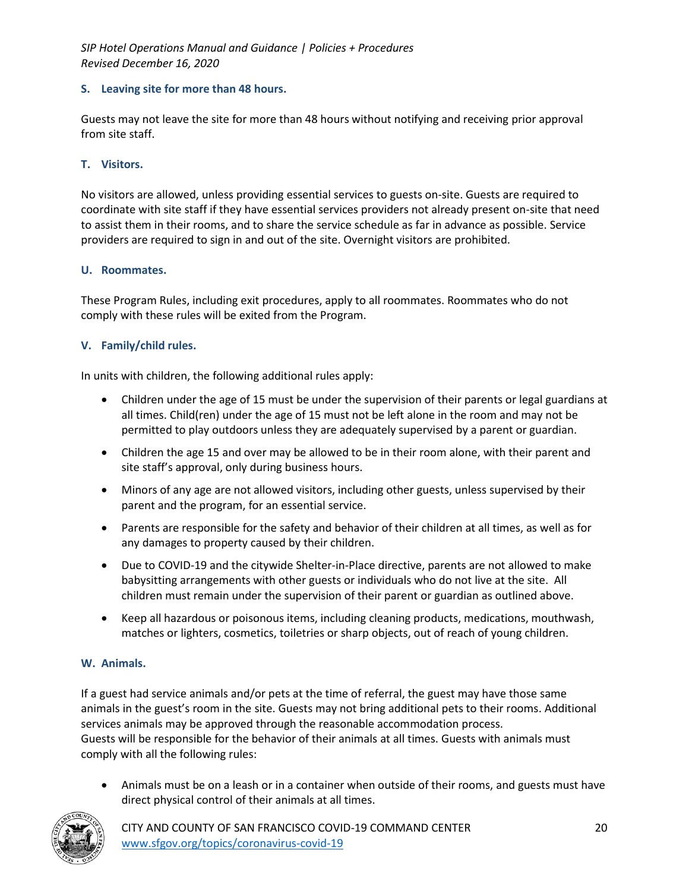#### **S. Leaving site for more than 48 hours.**

Guests may not leave the site for more than 48 hours without notifying and receiving prior approval from site staff.

#### **T. Visitors.**

No visitors are allowed, unless providing essential services to guests on-site. Guests are required to coordinate with site staff if they have essential services providers not already present on-site that need to assist them in their rooms, and to share the service schedule as far in advance as possible. Service providers are required to sign in and out of the site. Overnight visitors are prohibited.

#### **U. Roommates.**

These Program Rules, including exit procedures, apply to all roommates. Roommates who do not comply with these rules will be exited from the Program.

#### **V. Family/child rules.**

In units with children, the following additional rules apply:

- Children under the age of 15 must be under the supervision of their parents or legal guardians at all times. Child(ren) under the age of 15 must not be left alone in the room and may not be permitted to play outdoors unless they are adequately supervised by a parent or guardian.
- Children the age 15 and over may be allowed to be in their room alone, with their parent and site staff's approval, only during business hours.
- Minors of any age are not allowed visitors, including other guests, unless supervised by their parent and the program, for an essential service.
- Parents are responsible for the safety and behavior of their children at all times, as well as for any damages to property caused by their children.
- Due to COVID-19 and the citywide Shelter-in-Place directive, parents are not allowed to make babysitting arrangements with other guests or individuals who do not live at the site. All children must remain under the supervision of their parent or guardian as outlined above.
- Keep all hazardous or poisonous items, including cleaning products, medications, mouthwash, matches or lighters, cosmetics, toiletries or sharp objects, out of reach of young children.

### **W. Animals.**

If a guest had service animals and/or pets at the time of referral, the guest may have those same animals in the guest's room in the site. Guests may not bring additional pets to their rooms. Additional services animals may be approved through the reasonable accommodation process. Guests will be responsible for the behavior of their animals at all times. Guests with animals must comply with all the following rules:

• Animals must be on a leash or in a container when outside of their rooms, and guests must have direct physical control of their animals at all times.



CITY AND COUNTY OF SAN FRANCISCO COVID-19 COMMAND CENTER 20 www.sfgov.org/topics/coronavirus-covid-19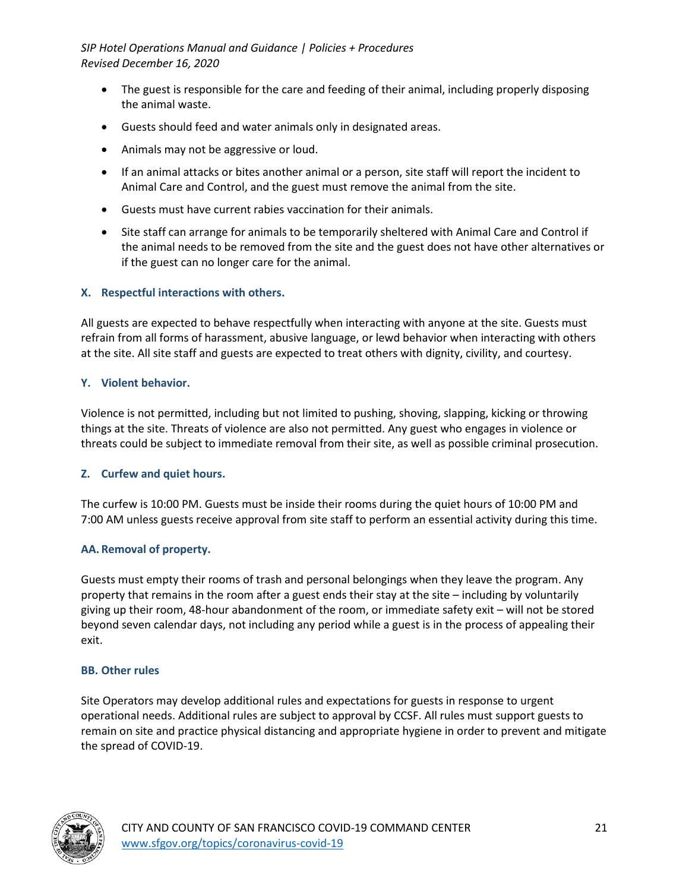- The guest is responsible for the care and feeding of their animal, including properly disposing the animal waste.
- Guests should feed and water animals only in designated areas.
- Animals may not be aggressive or loud.
- If an animal attacks or bites another animal or a person, site staff will report the incident to Animal Care and Control, and the guest must remove the animal from the site.
- Guests must have current rabies vaccination for their animals.
- Site staff can arrange for animals to be temporarily sheltered with Animal Care and Control if the animal needs to be removed from the site and the guest does not have other alternatives or if the guest can no longer care for the animal.

### **X. Respectful interactions with others.**

All guests are expected to behave respectfully when interacting with anyone at the site. Guests must refrain from all forms of harassment, abusive language, or lewd behavior when interacting with others at the site. All site staff and guests are expected to treat others with dignity, civility, and courtesy.

### **Y. Violent behavior.**

Violence is not permitted, including but not limited to pushing, shoving, slapping, kicking or throwing things at the site. Threats of violence are also not permitted. Any guest who engages in violence or threats could be subject to immediate removal from their site, as well as possible criminal prosecution.

### **Z. Curfew and quiet hours.**

The curfew is 10:00 PM. Guests must be inside their rooms during the quiet hours of 10:00 PM and 7:00 AM unless guests receive approval from site staff to perform an essential activity during this time.

### **AA. Removal of property.**

Guests must empty their rooms of trash and personal belongings when they leave the program. Any property that remains in the room after a guest ends their stay at the site – including by voluntarily giving up their room, 48-hour abandonment of the room, or immediate safety exit – will not be stored beyond seven calendar days, not including any period while a guest is in the process of appealing their exit.

#### **BB. Other rules**

Site Operators may develop additional rules and expectations for guests in response to urgent operational needs. Additional rules are subject to approval by CCSF. All rules must support guests to remain on site and practice physical distancing and appropriate hygiene in order to prevent and mitigate the spread of COVID-19.

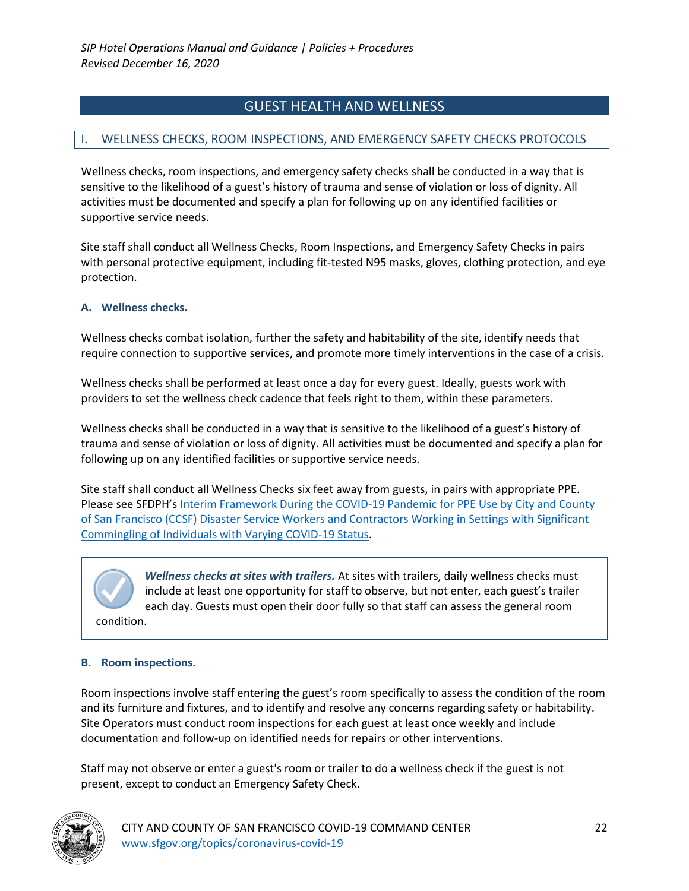# GUEST HEALTH AND WELLNESS

### I. WELLNESS CHECKS, ROOM INSPECTIONS, AND EMERGENCY SAFETY CHECKS PROTOCOLS

Wellness checks, room inspections, and emergency safety checks shall be conducted in a way that is sensitive to the likelihood of a guest's history of trauma and sense of violation or loss of dignity. All activities must be documented and specify a plan for following up on any identified facilities or supportive service needs.

Site staff shall conduct all Wellness Checks, Room Inspections, and Emergency Safety Checks in pairs with personal protective equipment, including fit-tested N95 masks, gloves, clothing protection, and eye protection.

#### **A. Wellness checks.**

Wellness checks combat isolation, further the safety and habitability of the site, identify needs that require connection to supportive services, and promote more timely interventions in the case of a crisis.

Wellness checks shall be performed at least once a day for every guest. Ideally, guests work with providers to set the wellness check cadence that feels right to them, within these parameters.

Wellness checks shall be conducted in a way that is sensitive to the likelihood of a guest's history of trauma and sense of violation or loss of dignity. All activities must be documented and specify a plan for following up on any identified facilities or supportive service needs.

Site staff shall conduct all Wellness Checks six feet away from guests, in pairs with appropriate PPE. Please see SFDPH's Interim Framework During the COVID-19 Pandemic for PPE Use by City and County of San Francisco (CCSF) Disaster Service Workers and Contractors Working in Settings with Significant Commingling of Individuals with Varying COVID-19 Status.

*Wellness checks at sites with trailers.* At sites with trailers, daily wellness checks must include at least one opportunity for staff to observe, but not enter, each guest's trailer each day. Guests must open their door fully so that staff can assess the general room condition.

#### **B. Room inspections.**

Room inspections involve staff entering the guest's room specifically to assess the condition of the room and its furniture and fixtures, and to identify and resolve any concerns regarding safety or habitability. Site Operators must conduct room inspections for each guest at least once weekly and include documentation and follow-up on identified needs for repairs or other interventions.

Staff may not observe or enter a guest's room or trailer to do a wellness check if the guest is not present, except to conduct an Emergency Safety Check.

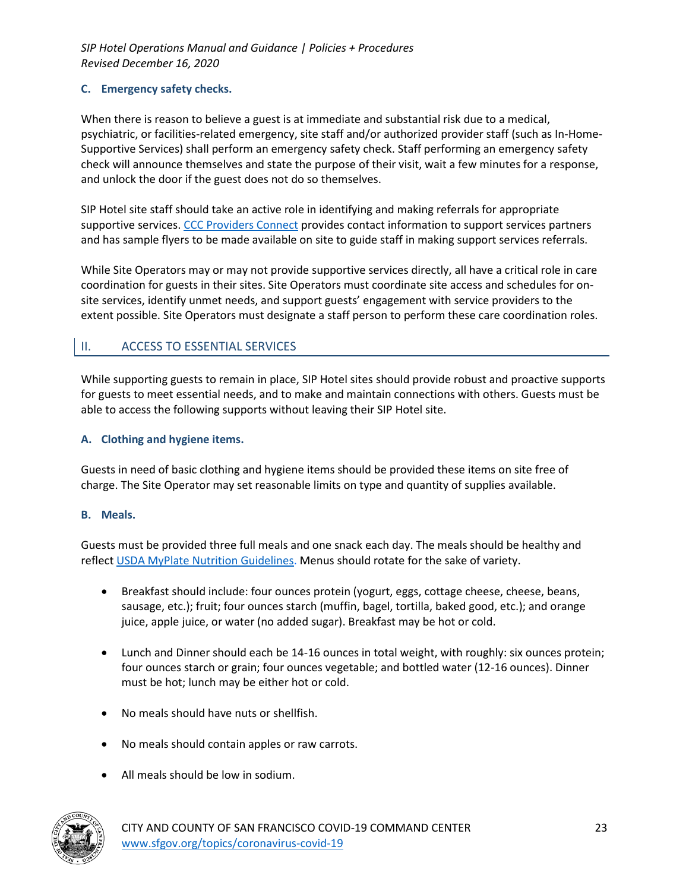### **C. Emergency safety checks.**

When there is reason to believe a guest is at immediate and substantial risk due to a medical, psychiatric, or facilities-related emergency, site staff and/or authorized provider staff (such as In-Home-Supportive Services) shall perform an emergency safety check. Staff performing an emergency safety check will announce themselves and state the purpose of their visit, wait a few minutes for a response, and unlock the door if the guest does not do so themselves.

SIP Hotel site staff should take an active role in identifying and making referrals for appropriate supportive services. CCC Providers Connect provides contact information to support services partners and has sample flyers to be made available on site to guide staff in making support services referrals.

While Site Operators may or may not provide supportive services directly, all have a critical role in care coordination for guests in their sites. Site Operators must coordinate site access and schedules for onsite services, identify unmet needs, and support guests' engagement with service providers to the extent possible. Site Operators must designate a staff person to perform these care coordination roles.

# II. ACCESS TO ESSENTIAL SERVICES

While supporting guests to remain in place, SIP Hotel sites should provide robust and proactive supports for guests to meet essential needs, and to make and maintain connections with others. Guests must be able to access the following supports without leaving their SIP Hotel site.

#### **A. Clothing and hygiene items.**

Guests in need of basic clothing and hygiene items should be provided these items on site free of charge. The Site Operator may set reasonable limits on type and quantity of supplies available.

#### **B. Meals.**

Guests must be provided three full meals and one snack each day. The meals should be healthy and reflect USDA MyPlate Nutrition Guidelines. Menus should rotate for the sake of variety.

- Breakfast should include: four ounces protein (yogurt, eggs, cottage cheese, cheese, beans, sausage, etc.); fruit; four ounces starch (muffin, bagel, tortilla, baked good, etc.); and orange juice, apple juice, or water (no added sugar). Breakfast may be hot or cold.
- Lunch and Dinner should each be 14-16 ounces in total weight, with roughly: six ounces protein; four ounces starch or grain; four ounces vegetable; and bottled water (12-16 ounces). Dinner must be hot; lunch may be either hot or cold.
- No meals should have nuts or shellfish.
- No meals should contain apples or raw carrots.
- All meals should be low in sodium.

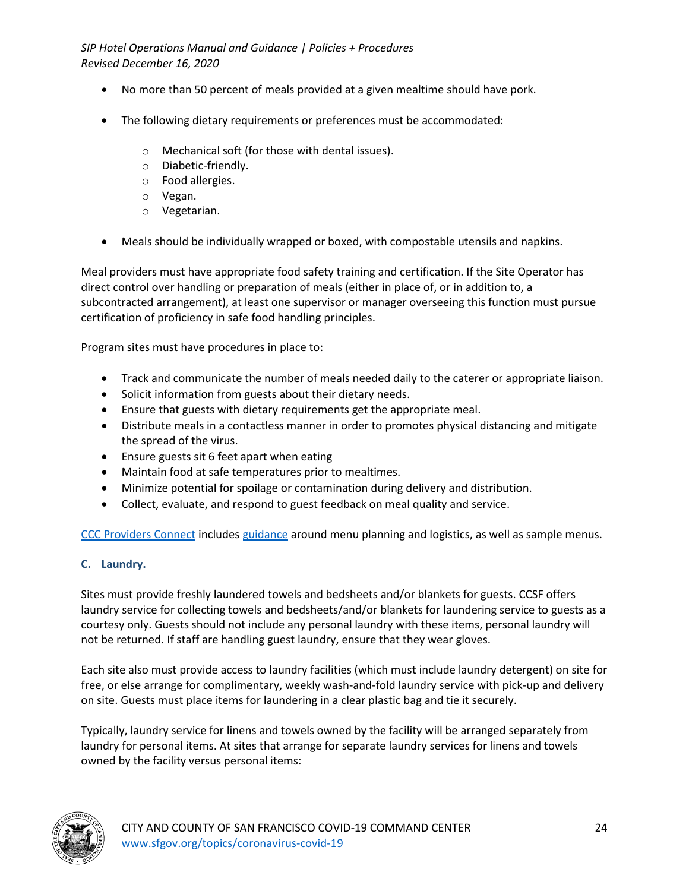- No more than 50 percent of meals provided at a given mealtime should have pork.
- The following dietary requirements or preferences must be accommodated:
	- o Mechanical soft (for those with dental issues).
	- o Diabetic-friendly.
	- o Food allergies.
	- o Vegan.
	- o Vegetarian.
- Meals should be individually wrapped or boxed, with compostable utensils and napkins.

Meal providers must have appropriate food safety training and certification. If the Site Operator has direct control over handling or preparation of meals (either in place of, or in addition to, a subcontracted arrangement), at least one supervisor or manager overseeing this function must pursue certification of proficiency in safe food handling principles.

Program sites must have procedures in place to:

- Track and communicate the number of meals needed daily to the caterer or appropriate liaison.
- Solicit information from guests about their dietary needs.
- Ensure that guests with dietary requirements get the appropriate meal.
- Distribute meals in a contactless manner in order to promotes physical distancing and mitigate the spread of the virus.
- Ensure guests sit 6 feet apart when eating
- Maintain food at safe temperatures prior to mealtimes.
- Minimize potential for spoilage or contamination during delivery and distribution.
- Collect, evaluate, and respond to guest feedback on meal quality and service.

CCC Providers Connect includes guidance around menu planning and logistics, as well as sample menus.

### **C. Laundry.**

Sites must provide freshly laundered towels and bedsheets and/or blankets for guests. CCSF offers laundry service for collecting towels and bedsheets/and/or blankets for laundering service to guests as a courtesy only. Guests should not include any personal laundry with these items, personal laundry will not be returned. If staff are handling guest laundry, ensure that they wear gloves.

Each site also must provide access to laundry facilities (which must include laundry detergent) on site for free, or else arrange for complimentary, weekly wash-and-fold laundry service with pick-up and delivery on site. Guests must place items for laundering in a clear plastic bag and tie it securely.

Typically, laundry service for linens and towels owned by the facility will be arranged separately from laundry for personal items. At sites that arrange for separate laundry services for linens and towels owned by the facility versus personal items:

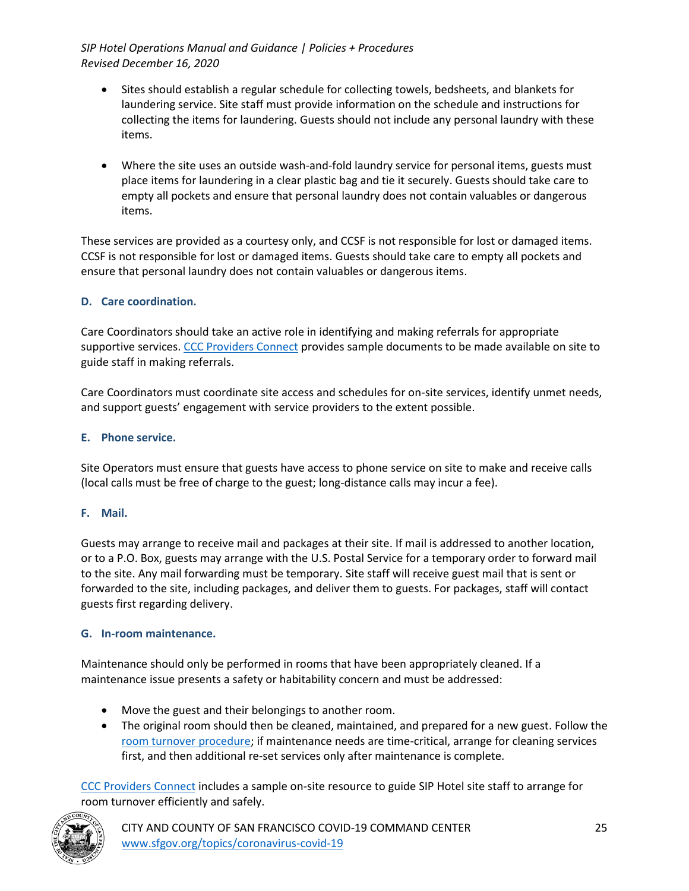- Sites should establish a regular schedule for collecting towels, bedsheets, and blankets for laundering service. Site staff must provide information on the schedule and instructions for collecting the items for laundering. Guests should not include any personal laundry with these items.
- Where the site uses an outside wash-and-fold laundry service for personal items, guests must place items for laundering in a clear plastic bag and tie it securely. Guests should take care to empty all pockets and ensure that personal laundry does not contain valuables or dangerous items.

These services are provided as a courtesy only, and CCSF is not responsible for lost or damaged items. CCSF is not responsible for lost or damaged items. Guests should take care to empty all pockets and ensure that personal laundry does not contain valuables or dangerous items.

### **D. Care coordination.**

Care Coordinators should take an active role in identifying and making referrals for appropriate supportive services. CCC Providers Connect provides sample documents to be made available on site to guide staff in making referrals.

Care Coordinators must coordinate site access and schedules for on-site services, identify unmet needs, and support guests' engagement with service providers to the extent possible.

### **E. Phone service.**

Site Operators must ensure that guests have access to phone service on site to make and receive calls (local calls must be free of charge to the guest; long-distance calls may incur a fee).

### **F. Mail.**

Guests may arrange to receive mail and packages at their site. If mail is addressed to another location, or to a P.O. Box, guests may arrange with the U.S. Postal Service for a temporary order to forward mail to the site. Any mail forwarding must be temporary. Site staff will receive guest mail that is sent or forwarded to the site, including packages, and deliver them to guests. For packages, staff will contact guests first regarding delivery.

### **G. In-room maintenance.**

Maintenance should only be performed in rooms that have been appropriately cleaned. If a maintenance issue presents a safety or habitability concern and must be addressed:

- Move the guest and their belongings to another room.
- The original room should then be cleaned, maintained, and prepared for a new guest. Follow the room turnover procedure; if maintenance needs are time-critical, arrange for cleaning services first, and then additional re-set services only after maintenance is complete.

CCC Providers Connect includes a sample on-site resource to guide SIP Hotel site staff to arrange for room turnover efficiently and safely.

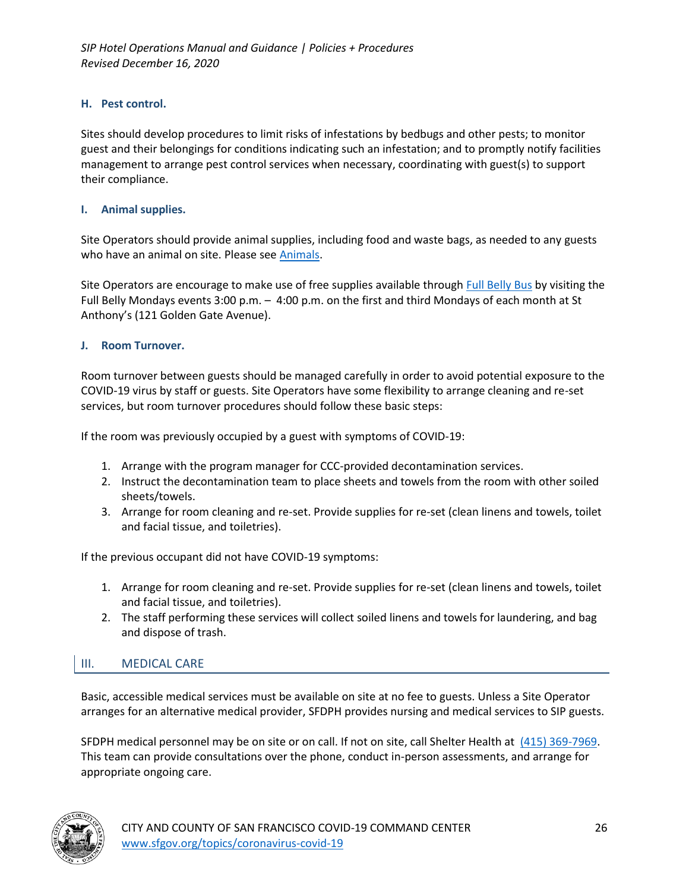### **H. Pest control.**

Sites should develop procedures to limit risks of infestations by bedbugs and other pests; to monitor guest and their belongings for conditions indicating such an infestation; and to promptly notify facilities management to arrange pest control services when necessary, coordinating with guest(s) to support their compliance.

#### **I. Animal supplies.**

Site Operators should provide animal supplies, including food and waste bags, as needed to any guests who have an animal on site. Please see Animals.

Site Operators are encourage to make use of free supplies available through Full Belly Bus by visiting the Full Belly Mondays events 3:00 p.m. – 4:00 p.m. on the first and third Mondays of each month at St Anthony's (121 Golden Gate Avenue).

#### **J. Room Turnover.**

Room turnover between guests should be managed carefully in order to avoid potential exposure to the COVID-19 virus by staff or guests. Site Operators have some flexibility to arrange cleaning and re-set services, but room turnover procedures should follow these basic steps:

If the room was previously occupied by a guest with symptoms of COVID-19:

- 1. Arrange with the program manager for CCC-provided decontamination services.
- 2. Instruct the decontamination team to place sheets and towels from the room with other soiled sheets/towels.
- 3. Arrange for room cleaning and re-set. Provide supplies for re-set (clean linens and towels, toilet and facial tissue, and toiletries).

If the previous occupant did not have COVID-19 symptoms:

- 1. Arrange for room cleaning and re-set. Provide supplies for re-set (clean linens and towels, toilet and facial tissue, and toiletries).
- 2. The staff performing these services will collect soiled linens and towels for laundering, and bag and dispose of trash.

### III. MEDICAL CARE

Basic, accessible medical services must be available on site at no fee to guests. Unless a Site Operator arranges for an alternative medical provider, SFDPH provides nursing and medical services to SIP guests.

SFDPH medical personnel may be on site or on call. If not on site, call Shelter Health at (415) 369-7969. This team can provide consultations over the phone, conduct in-person assessments, and arrange for appropriate ongoing care.

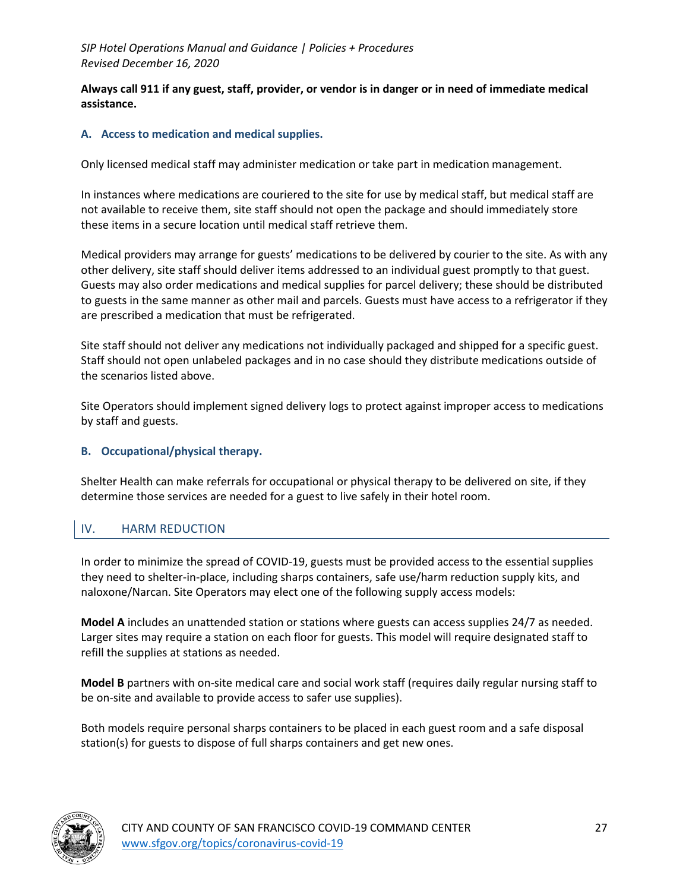**Always call 911 if any guest, staff, provider, or vendor is in danger or in need of immediate medical assistance.**

#### **A. Access to medication and medical supplies.**

Only licensed medical staff may administer medication or take part in medication management.

In instances where medications are couriered to the site for use by medical staff, but medical staff are not available to receive them, site staff should not open the package and should immediately store these items in a secure location until medical staff retrieve them.

Medical providers may arrange for guests' medications to be delivered by courier to the site. As with any other delivery, site staff should deliver items addressed to an individual guest promptly to that guest. Guests may also order medications and medical supplies for parcel delivery; these should be distributed to guests in the same manner as other mail and parcels. Guests must have access to a refrigerator if they are prescribed a medication that must be refrigerated.

Site staff should not deliver any medications not individually packaged and shipped for a specific guest. Staff should not open unlabeled packages and in no case should they distribute medications outside of the scenarios listed above.

Site Operators should implement signed delivery logs to protect against improper access to medications by staff and guests.

#### **B. Occupational/physical therapy.**

Shelter Health can make referrals for occupational or physical therapy to be delivered on site, if they determine those services are needed for a guest to live safely in their hotel room.

### IV. HARM REDUCTION

In order to minimize the spread of COVID-19, guests must be provided access to the essential supplies they need to shelter-in-place, including sharps containers, safe use/harm reduction supply kits, and naloxone/Narcan. Site Operators may elect one of the following supply access models:

**Model A** includes an unattended station or stations where guests can access supplies 24/7 as needed. Larger sites may require a station on each floor for guests. This model will require designated staff to refill the supplies at stations as needed.

**Model B** partners with on-site medical care and social work staff (requires daily regular nursing staff to be on-site and available to provide access to safer use supplies).

Both models require personal sharps containers to be placed in each guest room and a safe disposal station(s) for guests to dispose of full sharps containers and get new ones.

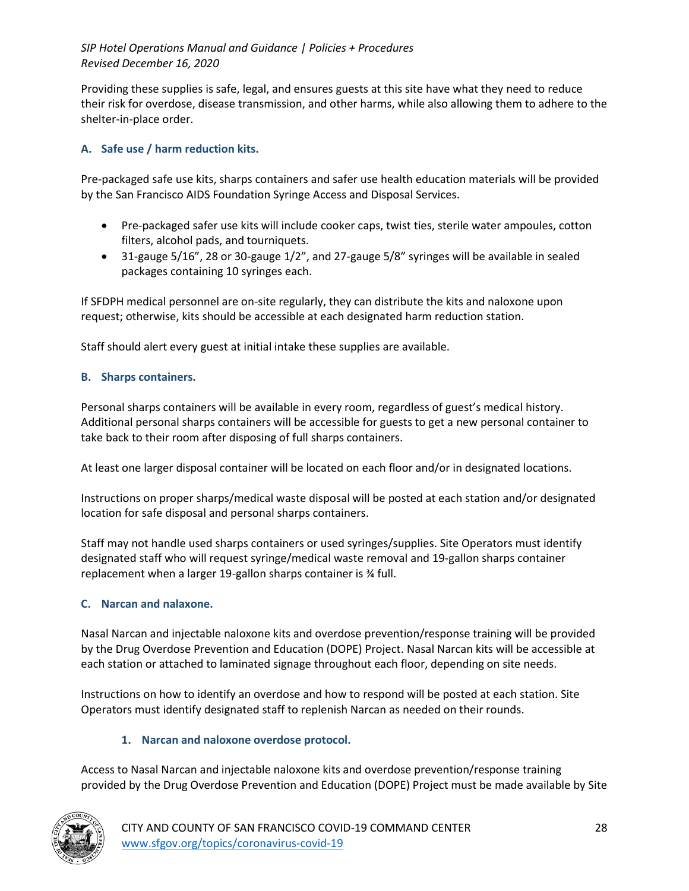Providing these supplies is safe, legal, and ensures guests at this site have what they need to reduce their risk for overdose, disease transmission, and other harms, while also allowing them to adhere to the shelter-in-place order.

### **A. Safe use / harm reduction kits.**

Pre-packaged safe use kits, sharps containers and safer use health education materials will be provided by the San Francisco AIDS Foundation Syringe Access and Disposal Services.

- Pre-packaged safer use kits will include cooker caps, twist ties, sterile water ampoules, cotton filters, alcohol pads, and tourniquets.
- 31-gauge 5/16", 28 or 30-gauge 1/2", and 27-gauge 5/8" syringes will be available in sealed packages containing 10 syringes each.

If SFDPH medical personnel are on-site regularly, they can distribute the kits and naloxone upon request; otherwise, kits should be accessible at each designated harm reduction station.

Staff should alert every guest at initial intake these supplies are available.

### **B. Sharps containers.**

Personal sharps containers will be available in every room, regardless of guest's medical history. Additional personal sharps containers will be accessible for guests to get a new personal container to take back to their room after disposing of full sharps containers.

At least one larger disposal container will be located on each floor and/or in designated locations.

Instructions on proper sharps/medical waste disposal will be posted at each station and/or designated location for safe disposal and personal sharps containers.

Staff may not handle used sharps containers or used syringes/supplies. Site Operators must identify designated staff who will request syringe/medical waste removal and 19-gallon sharps container replacement when a larger 19-gallon sharps container is ¾ full.

### **C. Narcan and nalaxone.**

Nasal Narcan and injectable naloxone kits and overdose prevention/response training will be provided by the Drug Overdose Prevention and Education (DOPE) Project. Nasal Narcan kits will be accessible at each station or attached to laminated signage throughout each floor, depending on site needs.

Instructions on how to identify an overdose and how to respond will be posted at each station. Site Operators must identify designated staff to replenish Narcan as needed on their rounds.

### **1. Narcan and naloxone overdose protocol.**

Access to Nasal Narcan and injectable naloxone kits and overdose prevention/response training provided by the Drug Overdose Prevention and Education (DOPE) Project must be made available by Site

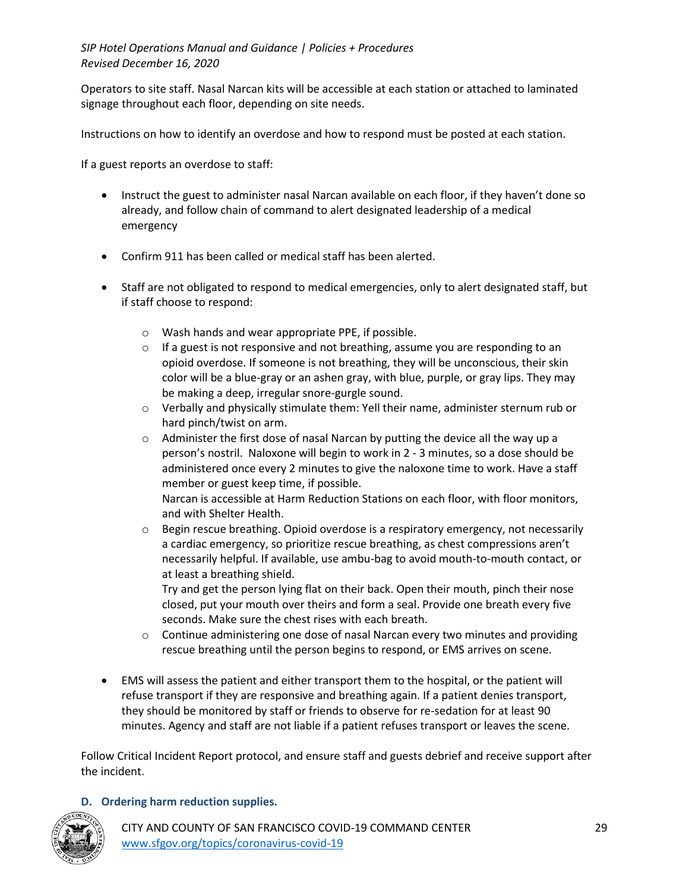Operators to site staff. Nasal Narcan kits will be accessible at each station or attached to laminated signage throughout each floor, depending on site needs.

Instructions on how to identify an overdose and how to respond must be posted at each station.

If a guest reports an overdose to staff:

- Instruct the guest to administer nasal Narcan available on each floor, if they haven't done so already, and follow chain of command to alert designated leadership of a medical emergency
- Confirm 911 has been called or medical staff has been alerted.
- Staff are not obligated to respond to medical emergencies, only to alert designated staff, but if staff choose to respond:
	- o Wash hands and wear appropriate PPE, if possible.
	- $\circ$  If a guest is not responsive and not breathing, assume you are responding to an opioid overdose. If someone is not breathing, they will be unconscious, their skin color will be a blue-gray or an ashen gray, with blue, purple, or gray lips. They may be making a deep, irregular snore-gurgle sound.
	- o Verbally and physically stimulate them: Yell their name, administer sternum rub or hard pinch/twist on arm.
	- o Administer the first dose of nasal Narcan by putting the device all the way up a person's nostril. Naloxone will begin to work in 2 - 3 minutes, so a dose should be administered once every 2 minutes to give the naloxone time to work. Have a staff member or guest keep time, if possible. Narcan is accessible at Harm Reduction Stations on each floor, with floor monitors,
	- and with Shelter Health.  $\circ$  Begin rescue breathing. Opioid overdose is a respiratory emergency, not necessarily
	- a cardiac emergency, so prioritize rescue breathing, as chest compressions aren't necessarily helpful. If available, use ambu-bag to avoid mouth-to-mouth contact, or at least a breathing shield.

Try and get the person lying flat on their back. Open their mouth, pinch their nose closed, put your mouth over theirs and form a seal. Provide one breath every five seconds. Make sure the chest rises with each breath.

- $\circ$  Continue administering one dose of nasal Narcan every two minutes and providing rescue breathing until the person begins to respond, or EMS arrives on scene.
- EMS will assess the patient and either transport them to the hospital, or the patient will refuse transport if they are responsive and breathing again. If a patient denies transport, they should be monitored by staff or friends to observe for re-sedation for at least 90 minutes. Agency and staff are not liable if a patient refuses transport or leaves the scene.

Follow Critical Incident Report protocol, and ensure staff and guests debrief and receive support after the incident.

### **D. Ordering harm reduction supplies.**



CITY AND COUNTY OF SAN FRANCISCO COVID-19 COMMAND CENTER 29 www.sfgov.org/topics/coronavirus-covid-19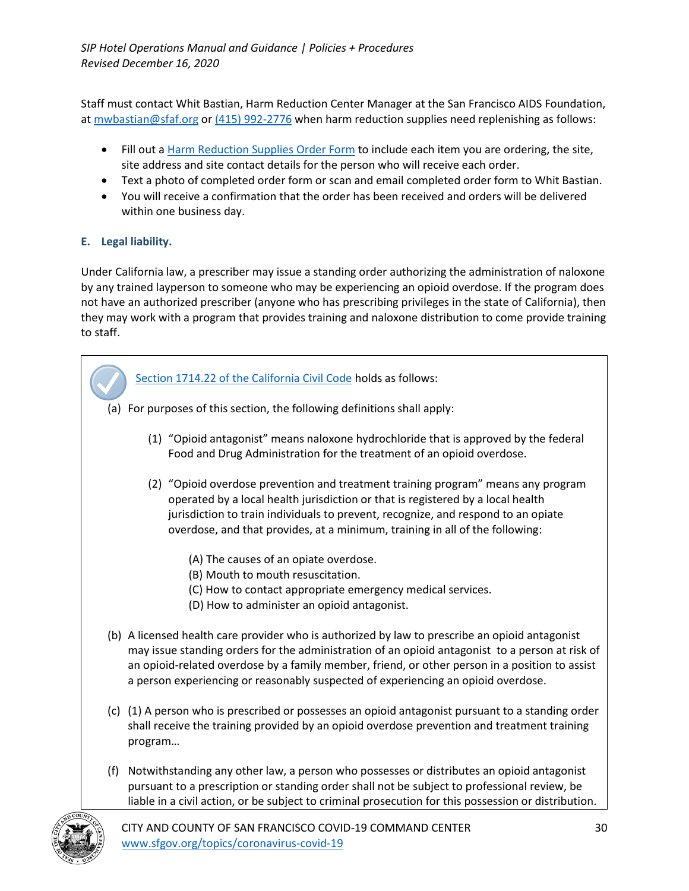Staff must contact Whit Bastian, Harm Reduction Center Manager at the San Francisco AIDS Foundation, at mwbastian@sfaf.org or (415) 992-2776 when harm reduction supplies need replenishing as follows:

- Fill out a Harm Reduction Supplies Order Form to include each item you are ordering, the site, site address and site contact details for the person who will receive each order.
- Text a photo of completed order form or scan and email completed order form to Whit Bastian.
- You will receive a confirmation that the order has been received and orders will be delivered within one business day.

## **E. Legal liability.**

Under California law, a prescriber may issue a standing order authorizing the administration of naloxone by any trained layperson to someone who may be experiencing an opioid overdose. If the program does not have an authorized prescriber (anyone who has prescribing privileges in the state of California), then they may work with a program that provides training and naloxone distribution to come provide training to staff.



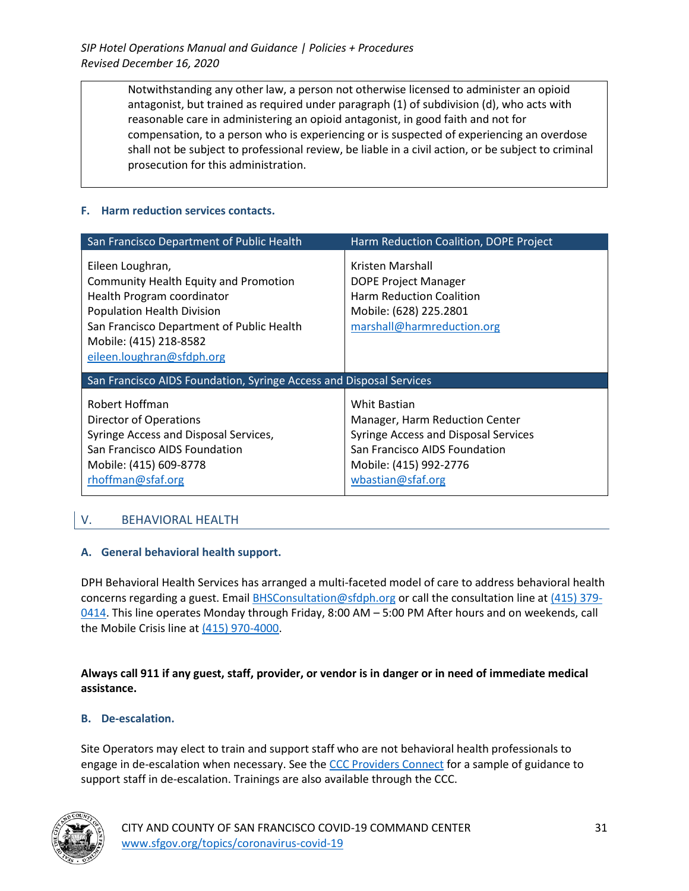> Notwithstanding any other law, a person not otherwise licensed to administer an opioid antagonist, but trained as required under paragraph (1) of subdivision (d), who acts with reasonable care in administering an opioid antagonist, in good faith and not for compensation, to a person who is experiencing or is suspected of experiencing an overdose shall not be subject to professional review, be liable in a civil action, or be subject to criminal prosecution for this administration.

### **F. Harm reduction services contacts.**

| San Francisco Department of Public Health                                                                                                                                                                                               | Harm Reduction Coalition, DOPE Project                                                                                                                                        |
|-----------------------------------------------------------------------------------------------------------------------------------------------------------------------------------------------------------------------------------------|-------------------------------------------------------------------------------------------------------------------------------------------------------------------------------|
| Eileen Loughran,<br><b>Community Health Equity and Promotion</b><br>Health Program coordinator<br><b>Population Health Division</b><br>San Francisco Department of Public Health<br>Mobile: (415) 218-8582<br>eileen.loughran@sfdph.org | Kristen Marshall<br><b>DOPE Project Manager</b><br><b>Harm Reduction Coalition</b><br>Mobile: (628) 225.2801<br>marshall@harmreduction.org                                    |
| San Francisco AIDS Foundation, Syringe Access and Disposal Services                                                                                                                                                                     |                                                                                                                                                                               |
| Robert Hoffman<br>Director of Operations<br>Syringe Access and Disposal Services,<br>San Francisco AIDS Foundation<br>Mobile: (415) 609-8778<br>rhoffman@sfaf.org                                                                       | <b>Whit Bastian</b><br>Manager, Harm Reduction Center<br>Syringe Access and Disposal Services<br>San Francisco AIDS Foundation<br>Mobile: (415) 992-2776<br>wbastian@sfaf.org |

### V. BEHAVIORAL HEALTH

### **A. General behavioral health support.**

DPH Behavioral Health Services has arranged a multi-faceted model of care to address behavioral health concerns regarding a guest. Email BHSConsultation@sfdph.org or call the consultation line at (415) 379- 0414. This line operates Monday through Friday, 8:00 AM – 5:00 PM After hours and on weekends, call the Mobile Crisis line at (415) 970-4000.

**Always call 911 if any guest, staff, provider, or vendor is in danger or in need of immediate medical assistance.**

#### **B. De-escalation.**

Site Operators may elect to train and support staff who are not behavioral health professionals to engage in de-escalation when necessary. See the CCC Providers Connect for a sample of guidance to support staff in de-escalation. Trainings are also available through the CCC.

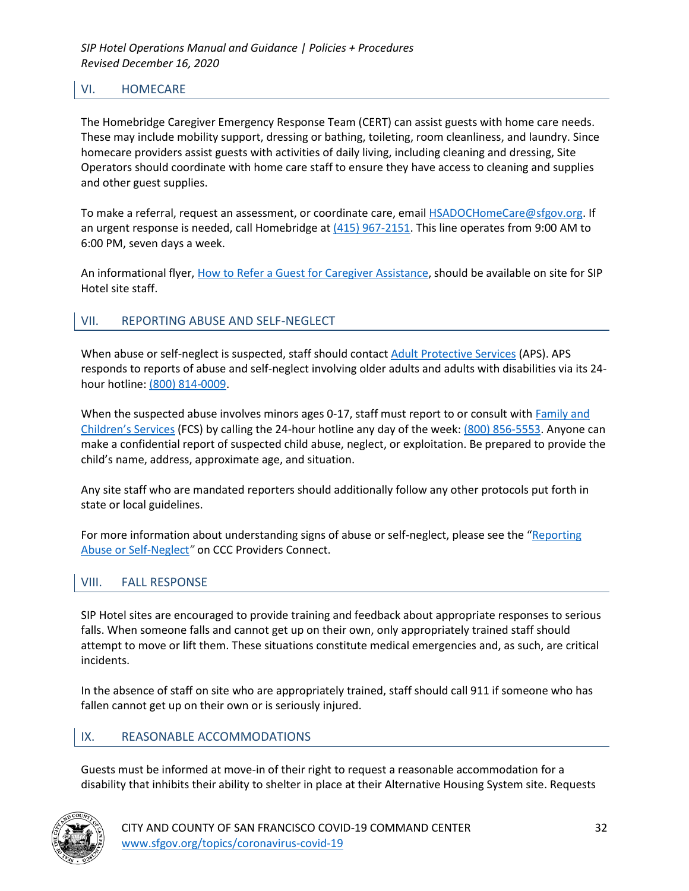### VI. HOMECARE

The Homebridge Caregiver Emergency Response Team (CERT) can assist guests with home care needs. These may include mobility support, dressing or bathing, toileting, room cleanliness, and laundry. Since homecare providers assist guests with activities of daily living, including cleaning and dressing, Site Operators should coordinate with home care staff to ensure they have access to cleaning and supplies and other guest supplies.

To make a referral, request an assessment, or coordinate care, email **HSADOCHomeCare@sfgov.org**. If an urgent response is needed, call Homebridge at  $(415)$  967-2151. This line operates from 9:00 AM to 6:00 PM, seven days a week.

An informational flyer, How to Refer a Guest for Caregiver Assistance, should be available on site for SIP Hotel site staff.

### VII. REPORTING ABUSE AND SELF-NEGLECT

When abuse or self-neglect is suspected, staff should contact Adult Protective Services (APS). APS responds to reports of abuse and self-neglect involving older adults and adults with disabilities via its 24 hour hotline: (800) 814-0009.

When the suspected abuse involves minors ages 0-17, staff must report to or consult with Family and Children's Services (FCS) by calling the 24-hour hotline any day of the week: (800) 856-5553. Anyone can make a confidential report of suspected child abuse, neglect, or exploitation. Be prepared to provide the child's name, address, approximate age, and situation.

Any site staff who are mandated reporters should additionally follow any other protocols put forth in state or local guidelines.

For more information about understanding signs of abuse or self-neglect, please see the "Reporting Abuse or Self-Neglect*"* on CCC Providers Connect.

### VIII. FALL RESPONSE

SIP Hotel sites are encouraged to provide training and feedback about appropriate responses to serious falls. When someone falls and cannot get up on their own, only appropriately trained staff should attempt to move or lift them. These situations constitute medical emergencies and, as such, are critical incidents.

In the absence of staff on site who are appropriately trained, staff should call 911 if someone who has fallen cannot get up on their own or is seriously injured.

### IX. REASONABLE ACCOMMODATIONS

Guests must be informed at move-in of their right to request a reasonable accommodation for a disability that inhibits their ability to shelter in place at their Alternative Housing System site. Requests

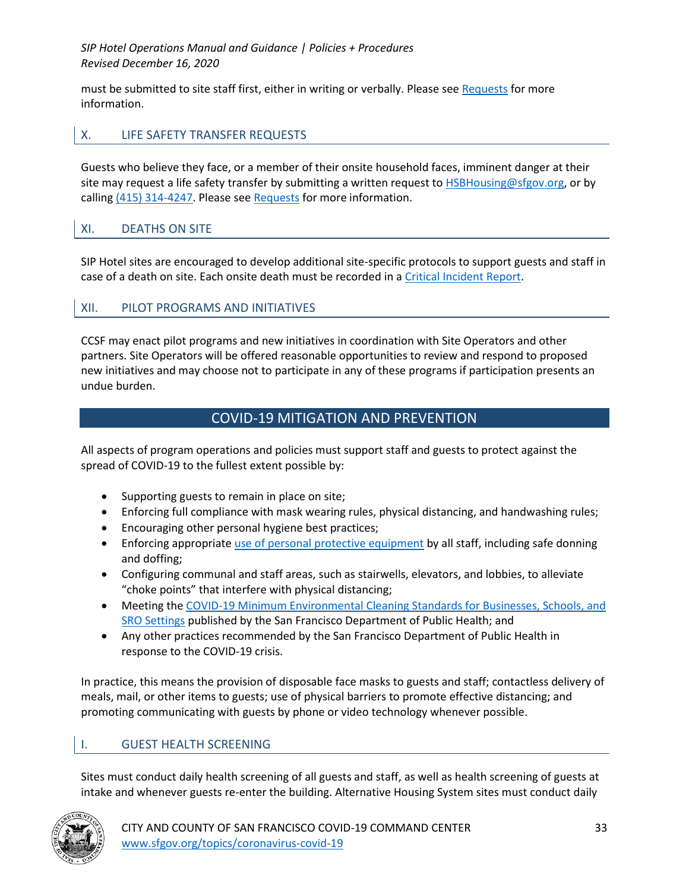must be submitted to site staff first, either in writing or verbally. Please see Requests for more information.

### X. LIFE SAFETY TRANSFER REQUESTS

Guests who believe they face, or a member of their onsite household faces, imminent danger at their site may request a life safety transfer by submitting a written request to HSBHousing@sfgov.org, or by calling (415) 314-4247. Please see Requests for more information.

### XI. DEATHS ON SITE

SIP Hotel sites are encouraged to develop additional site-specific protocols to support guests and staff in case of a death on site. Each onsite death must be recorded in a Critical Incident Report.

### XII. PILOT PROGRAMS AND INITIATIVES

CCSF may enact pilot programs and new initiatives in coordination with Site Operators and other partners. Site Operators will be offered reasonable opportunities to review and respond to proposed new initiatives and may choose not to participate in any of these programs if participation presents an undue burden.

## COVID-19 MITIGATION AND PREVENTION

All aspects of program operations and policies must support staff and guests to protect against the spread of COVID-19 to the fullest extent possible by:

- Supporting guests to remain in place on site;
- Enforcing full compliance with mask wearing rules, physical distancing, and handwashing rules;
- Encouraging other personal hygiene best practices;
- Enforcing appropriate use of personal protective equipment by all staff, including safe donning and doffing;
- Configuring communal and staff areas, such as stairwells, elevators, and lobbies, to alleviate "choke points" that interfere with physical distancing;
- Meeting the COVID-19 Minimum Environmental Cleaning Standards for Businesses, Schools, and SRO Settings published by the San Francisco Department of Public Health; and
- Any other practices recommended by the San Francisco Department of Public Health in response to the COVID-19 crisis.

In practice, this means the provision of disposable face masks to guests and staff; contactless delivery of meals, mail, or other items to guests; use of physical barriers to promote effective distancing; and promoting communicating with guests by phone or video technology whenever possible.

### I. GUEST HEALTH SCREENING

Sites must conduct daily health screening of all guests and staff, as well as health screening of guests at intake and whenever guests re-enter the building. Alternative Housing System sites must conduct daily

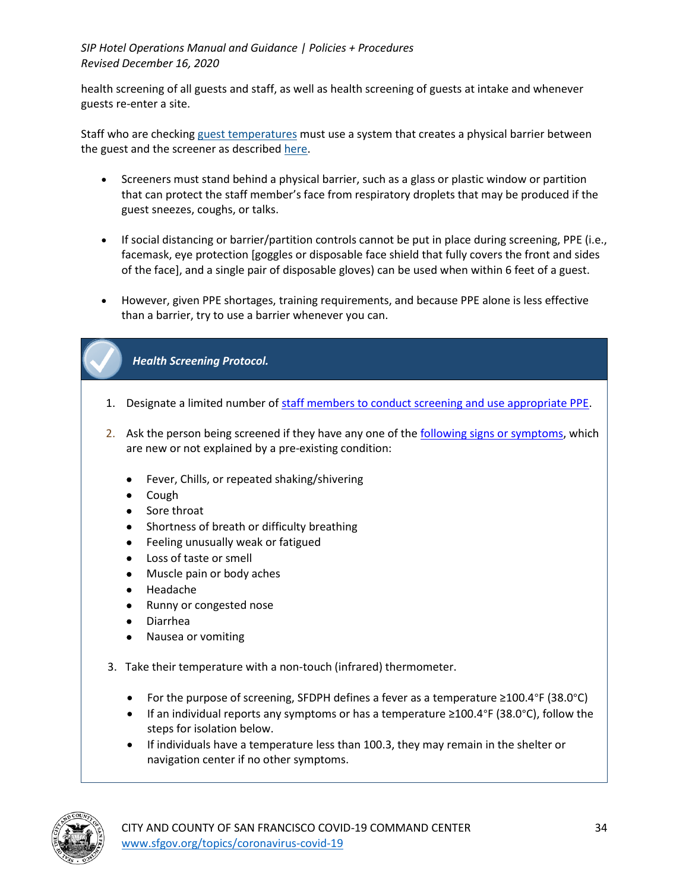health screening of all guests and staff, as well as health screening of guests at intake and whenever guests re-enter a site.

Staff who are checking guest temperatures must use a system that creates a physical barrier between the guest and the screener as described here.

- Screeners must stand behind a physical barrier, such as a glass or plastic window or partition that can protect the staff member's face from respiratory droplets that may be produced if the guest sneezes, coughs, or talks.
- If social distancing or barrier/partition controls cannot be put in place during screening, PPE (i.e., facemask, eye protection [goggles or disposable face shield that fully covers the front and sides of the face], and a single pair of disposable gloves) can be used when within 6 feet of a guest.
- However, given PPE shortages, training requirements, and because PPE alone is less effective than a barrier, try to use a barrier whenever you can.

# *Health Screening Protocol.*

- 1. Designate a limited number of staff members to conduct screening and use appropriate PPE.
- 2. Ask the person being screened if they have any one of the following signs or symptoms, which are new or not explained by a pre-existing condition:
	- Fever, Chills, or repeated shaking/shivering
	- Cough
	- Sore throat
	- Shortness of breath or difficulty breathing
	- Feeling unusually weak or fatigued
	- Loss of taste or smell
	- Muscle pain or body aches
	- Headache
	- Runny or congested nose
	- Diarrhea
	- Nausea or vomiting
- 3. Take their temperature with a non-touch (infrared) thermometer.
	- For the purpose of screening, SFDPH defines a fever as a temperature ≥100.4°F (38.0°C)
	- If an individual reports any symptoms or has a temperature ≥100.4°F (38.0°C), follow the steps for isolation below.
	- If individuals have a temperature less than 100.3, they may remain in the shelter or navigation center if no other symptoms.

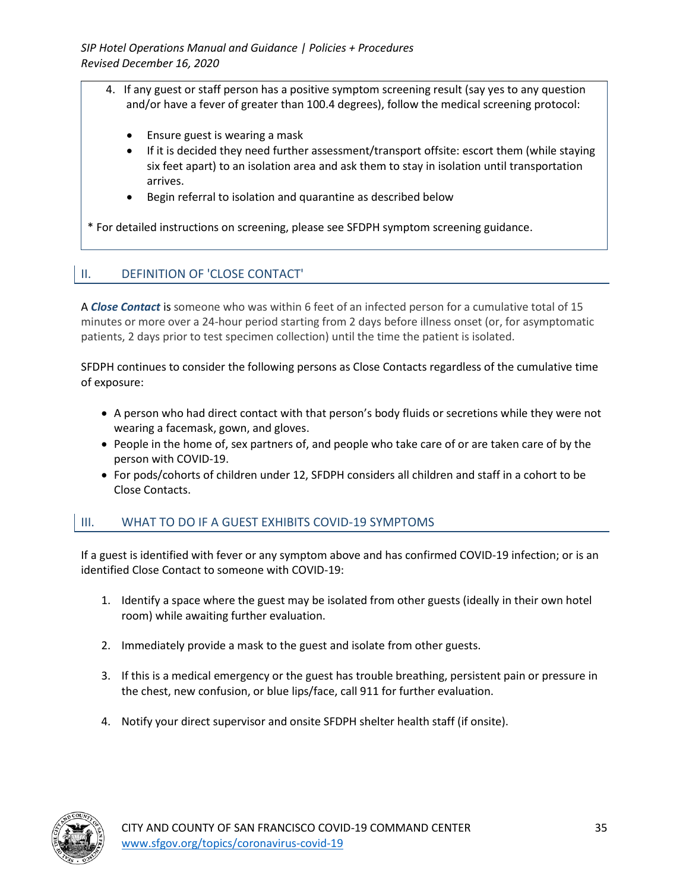- 4. If any guest or staff person has a positive symptom screening result (say yes to any question and/or have a fever of greater than 100.4 degrees), follow the medical screening protocol:
	- Ensure guest is wearing a mask
	- If it is decided they need further assessment/transport offsite: escort them (while staying six feet apart) to an isolation area and ask them to stay in isolation until transportation arrives.
	- Begin referral to isolation and quarantine as described below

\* For detailed instructions on screening, please see SFDPH symptom screening guidance.

## II. DEFINITION OF 'CLOSE CONTACT'

A *Close Contact* is someone who was within 6 feet of an infected person for a cumulative total of 15 minutes or more over a 24-hour period starting from 2 days before illness onset (or, for asymptomatic patients, 2 days prior to test specimen collection) until the time the patient is isolated.

SFDPH continues to consider the following persons as Close Contacts regardless of the cumulative time of exposure:

- A person who had direct contact with that person's body fluids or secretions while they were not wearing a facemask, gown, and gloves.
- People in the home of, sex partners of, and people who take care of or are taken care of by the person with COVID-19.
- For pods/cohorts of children under 12, SFDPH considers all children and staff in a cohort to be Close Contacts.

### III. WHAT TO DO IF A GUEST EXHIBITS COVID-19 SYMPTOMS

If a guest is identified with fever or any symptom above and has confirmed COVID-19 infection; or is an identified Close Contact to someone with COVID-19:

- 1. Identify a space where the guest may be isolated from other guests (ideally in their own hotel room) while awaiting further evaluation.
- 2. Immediately provide a mask to the guest and isolate from other guests.
- 3. If this is a medical emergency or the guest has trouble breathing, persistent pain or pressure in the chest, new confusion, or blue lips/face, call 911 for further evaluation.
- 4. Notify your direct supervisor and onsite SFDPH shelter health staff (if onsite).

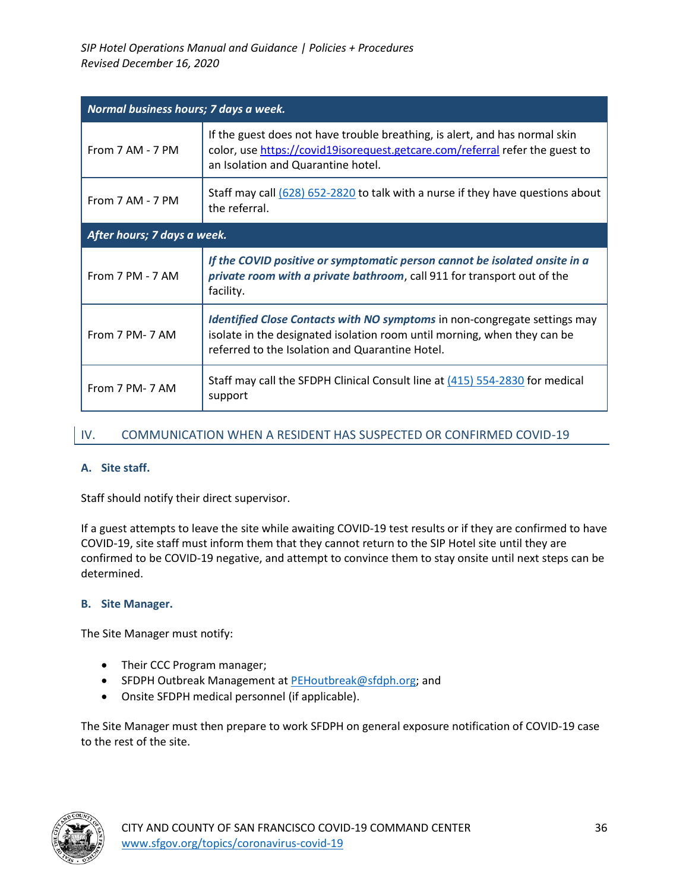| Normal business hours; 7 days a week. |                                                                                                                                                                                                          |  |
|---------------------------------------|----------------------------------------------------------------------------------------------------------------------------------------------------------------------------------------------------------|--|
| From 7 AM - 7 PM                      | If the guest does not have trouble breathing, is alert, and has normal skin<br>color, use https://covid19isorequest.getcare.com/referral refer the guest to<br>an Isolation and Quarantine hotel.        |  |
| From 7 AM - 7 PM                      | Staff may call (628) 652-2820 to talk with a nurse if they have questions about<br>the referral.                                                                                                         |  |
| After hours; 7 days a week.           |                                                                                                                                                                                                          |  |
| From 7 PM - 7 AM                      | If the COVID positive or symptomatic person cannot be isolated onsite in a<br>private room with a private bathroom, call 911 for transport out of the<br>facility.                                       |  |
| From 7 PM- 7 AM                       | Identified Close Contacts with NO symptoms in non-congregate settings may<br>isolate in the designated isolation room until morning, when they can be<br>referred to the Isolation and Quarantine Hotel. |  |
| From 7 PM- 7 AM                       | Staff may call the SFDPH Clinical Consult line at (415) 554-2830 for medical<br>support                                                                                                                  |  |

### IV. COMMUNICATION WHEN A RESIDENT HAS SUSPECTED OR CONFIRMED COVID-19

### **A. Site staff.**

Staff should notify their direct supervisor.

If a guest attempts to leave the site while awaiting COVID-19 test results or if they are confirmed to have COVID-19, site staff must inform them that they cannot return to the SIP Hotel site until they are confirmed to be COVID-19 negative, and attempt to convince them to stay onsite until next steps can be determined.

#### **B. Site Manager.**

The Site Manager must notify:

- Their CCC Program manager;
- SFDPH Outbreak Management at PEHoutbreak@sfdph.org; and
- Onsite SFDPH medical personnel (if applicable).

The Site Manager must then prepare to work SFDPH on general exposure notification of COVID-19 case to the rest of the site.

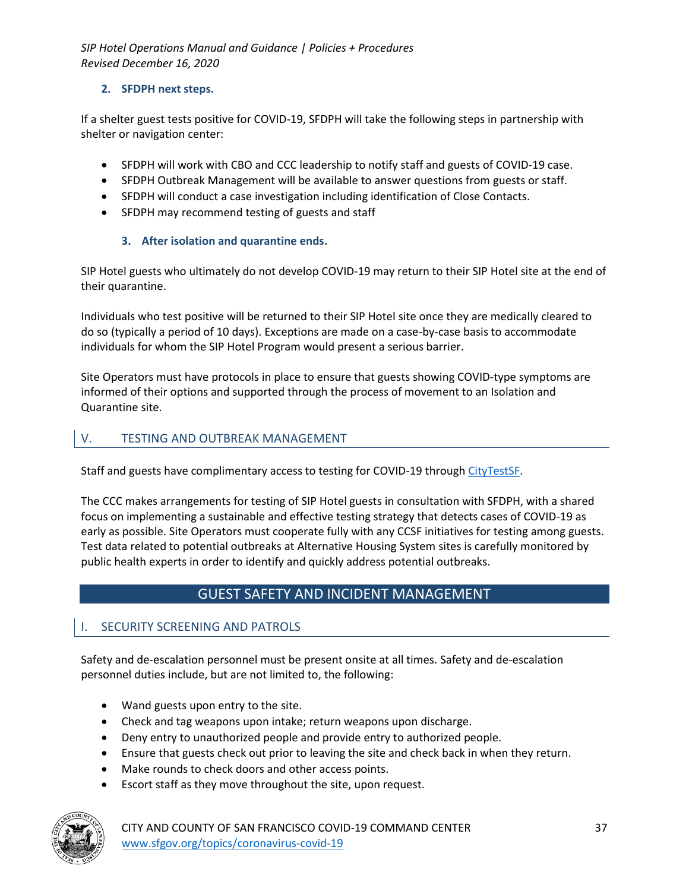### **2. SFDPH next steps.**

If a shelter guest tests positive for COVID-19, SFDPH will take the following steps in partnership with shelter or navigation center:

- SFDPH will work with CBO and CCC leadership to notify staff and guests of COVID-19 case.
- SFDPH Outbreak Management will be available to answer questions from guests or staff.
- SFDPH will conduct a case investigation including identification of Close Contacts.
- SFDPH may recommend testing of guests and staff

### **3. After isolation and quarantine ends.**

SIP Hotel guests who ultimately do not develop COVID-19 may return to their SIP Hotel site at the end of their quarantine.

Individuals who test positive will be returned to their SIP Hotel site once they are medically cleared to do so (typically a period of 10 days). Exceptions are made on a case-by-case basis to accommodate individuals for whom the SIP Hotel Program would present a serious barrier.

Site Operators must have protocols in place to ensure that guests showing COVID-type symptoms are informed of their options and supported through the process of movement to an Isolation and Quarantine site.

### V. TESTING AND OUTBREAK MANAGEMENT

Staff and guests have complimentary access to testing for COVID-19 through CityTestSF.

The CCC makes arrangements for testing of SIP Hotel guests in consultation with SFDPH, with a shared focus on implementing a sustainable and effective testing strategy that detects cases of COVID-19 as early as possible. Site Operators must cooperate fully with any CCSF initiatives for testing among guests. Test data related to potential outbreaks at Alternative Housing System sites is carefully monitored by public health experts in order to identify and quickly address potential outbreaks.

# GUEST SAFETY AND INCIDENT MANAGEMENT

### I. SECURITY SCREENING AND PATROLS

Safety and de-escalation personnel must be present onsite at all times. Safety and de-escalation personnel duties include, but are not limited to, the following:

- Wand guests upon entry to the site.
- Check and tag weapons upon intake; return weapons upon discharge.
- Deny entry to unauthorized people and provide entry to authorized people.
- Ensure that guests check out prior to leaving the site and check back in when they return.
- Make rounds to check doors and other access points.
- Escort staff as they move throughout the site, upon request.

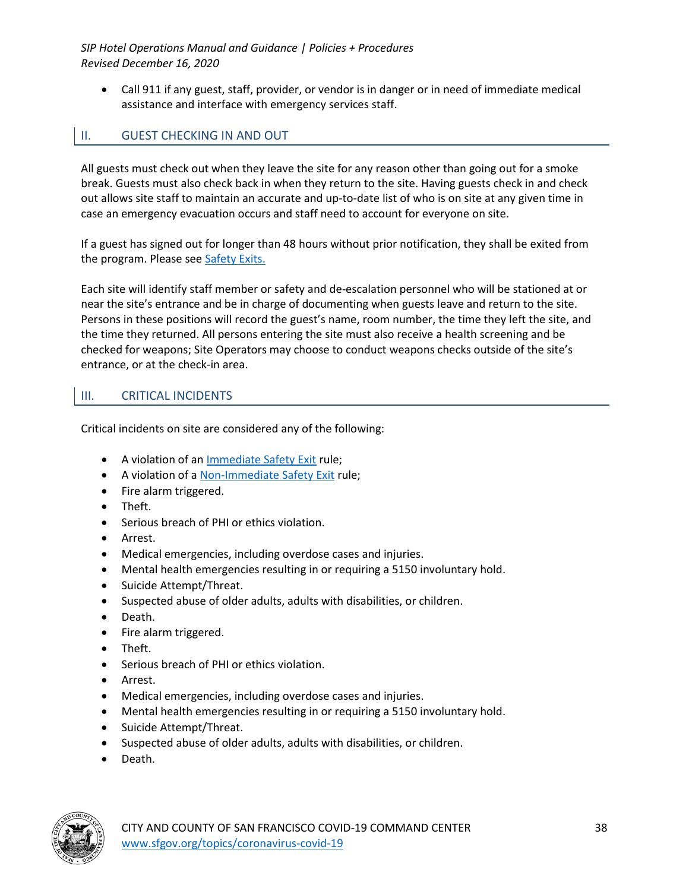• Call 911 if any guest, staff, provider, or vendor is in danger or in need of immediate medical assistance and interface with emergency services staff.

# II. GUEST CHECKING IN AND OUT

All guests must check out when they leave the site for any reason other than going out for a smoke break. Guests must also check back in when they return to the site. Having guests check in and check out allows site staff to maintain an accurate and up-to-date list of who is on site at any given time in case an emergency evacuation occurs and staff need to account for everyone on site.

If a guest has signed out for longer than 48 hours without prior notification, they shall be exited from the program. Please see Safety Exits.

Each site will identify staff member or safety and de-escalation personnel who will be stationed at or near the site's entrance and be in charge of documenting when guests leave and return to the site. Persons in these positions will record the guest's name, room number, the time they left the site, and the time they returned. All persons entering the site must also receive a health screening and be checked for weapons; Site Operators may choose to conduct weapons checks outside of the site's entrance, or at the check-in area.

## III. CRITICAL INCIDENTS

Critical incidents on site are considered any of the following:

- A violation of an Immediate Safety Exit rule;
- A violation of a Non-Immediate Safety Exit rule;
- Fire alarm triggered.
- Theft.
- Serious breach of PHI or ethics violation.
- Arrest.
- Medical emergencies, including overdose cases and injuries.
- Mental health emergencies resulting in or requiring a 5150 involuntary hold.
- Suicide Attempt/Threat.
- Suspected abuse of older adults, adults with disabilities, or children.
- Death.
- Fire alarm triggered.
- Theft.
- Serious breach of PHI or ethics violation.
- Arrest.
- Medical emergencies, including overdose cases and injuries.
- Mental health emergencies resulting in or requiring a 5150 involuntary hold.
- Suicide Attempt/Threat.
- Suspected abuse of older adults, adults with disabilities, or children.
- Death.

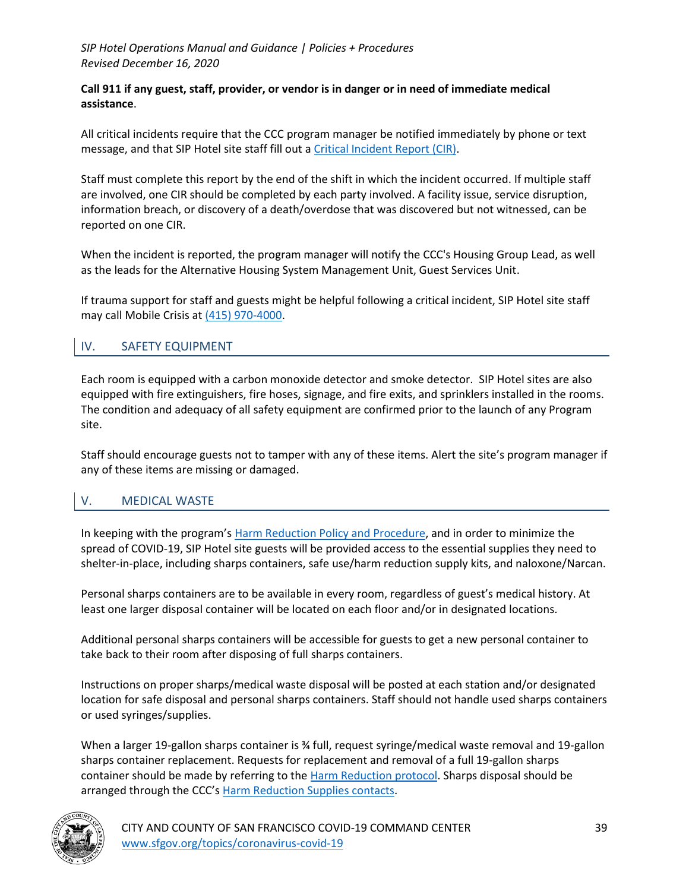#### **Call 911 if any guest, staff, provider, or vendor is in danger or in need of immediate medical assistance**.

All critical incidents require that the CCC program manager be notified immediately by phone or text message, and that SIP Hotel site staff fill out a Critical Incident Report (CIR).

Staff must complete this report by the end of the shift in which the incident occurred. If multiple staff are involved, one CIR should be completed by each party involved. A facility issue, service disruption, information breach, or discovery of a death/overdose that was discovered but not witnessed, can be reported on one CIR.

When the incident is reported, the program manager will notify the CCC's Housing Group Lead, as well as the leads for the Alternative Housing System Management Unit, Guest Services Unit.

If trauma support for staff and guests might be helpful following a critical incident, SIP Hotel site staff may call Mobile Crisis at (415) 970-4000.

## IV. SAFETY EQUIPMENT

Each room is equipped with a carbon monoxide detector and smoke detector. SIP Hotel sites are also equipped with fire extinguishers, fire hoses, signage, and fire exits, and sprinklers installed in the rooms. The condition and adequacy of all safety equipment are confirmed prior to the launch of any Program site.

Staff should encourage guests not to tamper with any of these items. Alert the site's program manager if any of these items are missing or damaged.

### V. MEDICAL WASTE

In keeping with the program's Harm Reduction Policy and Procedure, and in order to minimize the spread of COVID-19, SIP Hotel site guests will be provided access to the essential supplies they need to shelter-in-place, including sharps containers, safe use/harm reduction supply kits, and naloxone/Narcan.

Personal sharps containers are to be available in every room, regardless of guest's medical history. At least one larger disposal container will be located on each floor and/or in designated locations.

Additional personal sharps containers will be accessible for guests to get a new personal container to take back to their room after disposing of full sharps containers.

Instructions on proper sharps/medical waste disposal will be posted at each station and/or designated location for safe disposal and personal sharps containers. Staff should not handle used sharps containers or used syringes/supplies.

When a larger 19-gallon sharps container is ¾ full, request syringe/medical waste removal and 19-gallon sharps container replacement. Requests for replacement and removal of a full 19-gallon sharps container should be made by referring to the Harm Reduction protocol. Sharps disposal should be arranged through the CCC's Harm Reduction Supplies contacts.

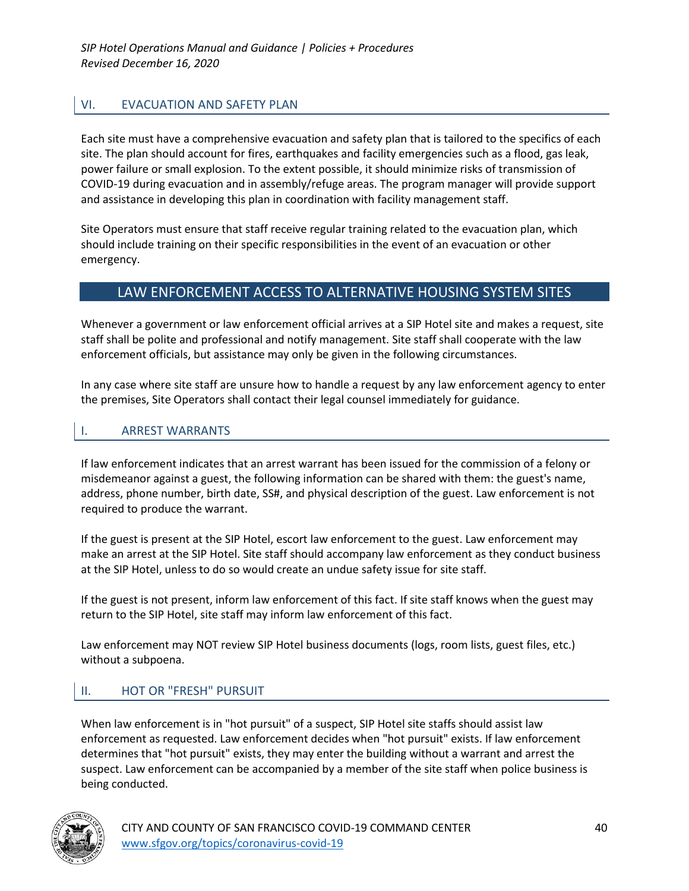# VI. EVACUATION AND SAFETY PLAN

Each site must have a comprehensive evacuation and safety plan that is tailored to the specifics of each site. The plan should account for fires, earthquakes and facility emergencies such as a flood, gas leak, power failure or small explosion. To the extent possible, it should minimize risks of transmission of COVID-19 during evacuation and in assembly/refuge areas. The program manager will provide support and assistance in developing this plan in coordination with facility management staff.

Site Operators must ensure that staff receive regular training related to the evacuation plan, which should include training on their specific responsibilities in the event of an evacuation or other emergency.

# LAW ENFORCEMENT ACCESS TO ALTERNATIVE HOUSING SYSTEM SITES

Whenever a government or law enforcement official arrives at a SIP Hotel site and makes a request, site staff shall be polite and professional and notify management. Site staff shall cooperate with the law enforcement officials, but assistance may only be given in the following circumstances.

In any case where site staff are unsure how to handle a request by any law enforcement agency to enter the premises, Site Operators shall contact their legal counsel immediately for guidance.

### I. ARREST WARRANTS

If law enforcement indicates that an arrest warrant has been issued for the commission of a felony or misdemeanor against a guest, the following information can be shared with them: the guest's name, address, phone number, birth date, SS#, and physical description of the guest. Law enforcement is not required to produce the warrant.

If the guest is present at the SIP Hotel, escort law enforcement to the guest. Law enforcement may make an arrest at the SIP Hotel. Site staff should accompany law enforcement as they conduct business at the SIP Hotel, unless to do so would create an undue safety issue for site staff.

If the guest is not present, inform law enforcement of this fact. If site staff knows when the guest may return to the SIP Hotel, site staff may inform law enforcement of this fact.

Law enforcement may NOT review SIP Hotel business documents (logs, room lists, guest files, etc.) without a subpoena.

### II. HOT OR "FRESH" PURSUIT

When law enforcement is in "hot pursuit" of a suspect, SIP Hotel site staffs should assist law enforcement as requested. Law enforcement decides when "hot pursuit" exists. If law enforcement determines that "hot pursuit" exists, they may enter the building without a warrant and arrest the suspect. Law enforcement can be accompanied by a member of the site staff when police business is being conducted.

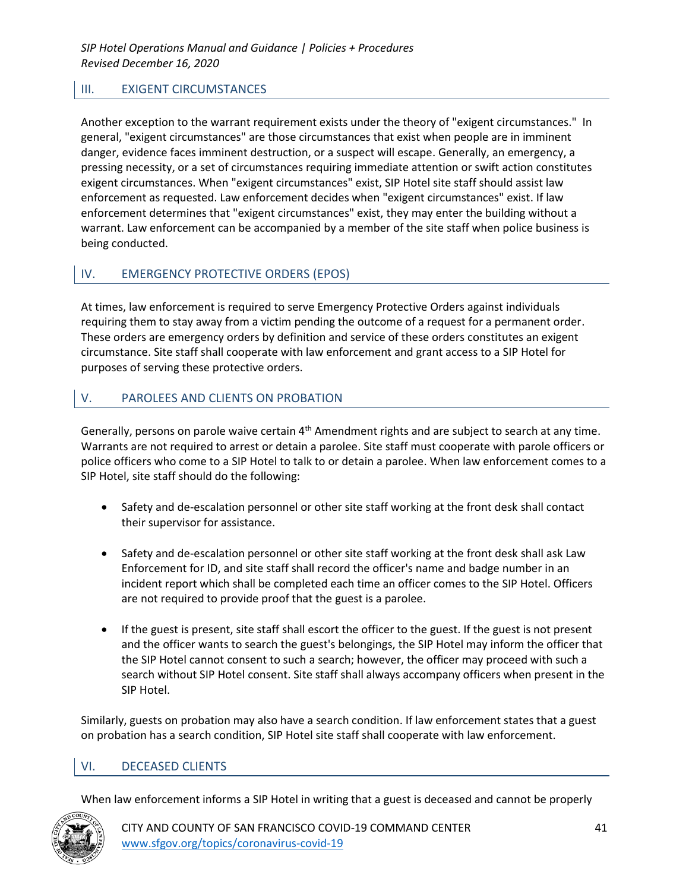# III. EXIGENT CIRCUMSTANCES

Another exception to the warrant requirement exists under the theory of "exigent circumstances." In general, "exigent circumstances" are those circumstances that exist when people are in imminent danger, evidence faces imminent destruction, or a suspect will escape. Generally, an emergency, a pressing necessity, or a set of circumstances requiring immediate attention or swift action constitutes exigent circumstances. When "exigent circumstances" exist, SIP Hotel site staff should assist law enforcement as requested. Law enforcement decides when "exigent circumstances" exist. If law enforcement determines that "exigent circumstances" exist, they may enter the building without a warrant. Law enforcement can be accompanied by a member of the site staff when police business is being conducted.

## IV. EMERGENCY PROTECTIVE ORDERS (EPOS)

At times, law enforcement is required to serve Emergency Protective Orders against individuals requiring them to stay away from a victim pending the outcome of a request for a permanent order. These orders are emergency orders by definition and service of these orders constitutes an exigent circumstance. Site staff shall cooperate with law enforcement and grant access to a SIP Hotel for purposes of serving these protective orders.

## V. PAROLEES AND CLIENTS ON PROBATION

Generally, persons on parole waive certain 4<sup>th</sup> Amendment rights and are subject to search at any time. Warrants are not required to arrest or detain a parolee. Site staff must cooperate with parole officers or police officers who come to a SIP Hotel to talk to or detain a parolee. When law enforcement comes to a SIP Hotel, site staff should do the following:

- Safety and de-escalation personnel or other site staff working at the front desk shall contact their supervisor for assistance.
- Safety and de-escalation personnel or other site staff working at the front desk shall ask Law Enforcement for ID, and site staff shall record the officer's name and badge number in an incident report which shall be completed each time an officer comes to the SIP Hotel. Officers are not required to provide proof that the guest is a parolee.
- If the guest is present, site staff shall escort the officer to the guest. If the guest is not present and the officer wants to search the guest's belongings, the SIP Hotel may inform the officer that the SIP Hotel cannot consent to such a search; however, the officer may proceed with such a search without SIP Hotel consent. Site staff shall always accompany officers when present in the SIP Hotel.

Similarly, guests on probation may also have a search condition. If law enforcement states that a guest on probation has a search condition, SIP Hotel site staff shall cooperate with law enforcement.

### VI. DECEASED CLIENTS

When law enforcement informs a SIP Hotel in writing that a guest is deceased and cannot be properly



CITY AND COUNTY OF SAN FRANCISCO COVID-19 COMMAND CENTER 41 www.sfgov.org/topics/coronavirus-covid-19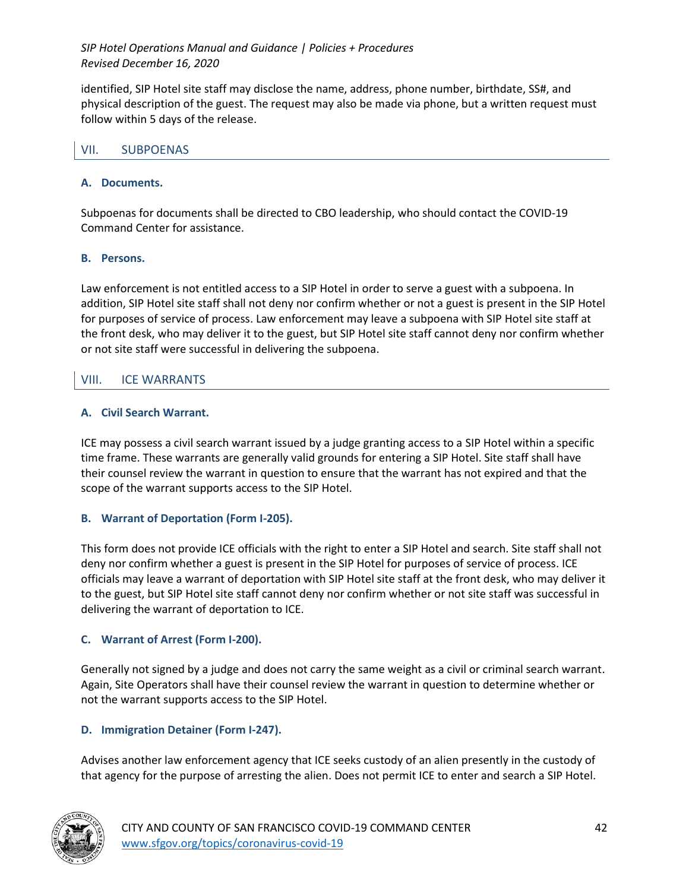identified, SIP Hotel site staff may disclose the name, address, phone number, birthdate, SS#, and physical description of the guest. The request may also be made via phone, but a written request must follow within 5 days of the release.

### VII. SUBPOENAS

### **A. Documents.**

Subpoenas for documents shall be directed to CBO leadership, who should contact the COVID-19 Command Center for assistance.

#### **B. Persons.**

Law enforcement is not entitled access to a SIP Hotel in order to serve a guest with a subpoena. In addition, SIP Hotel site staff shall not deny nor confirm whether or not a guest is present in the SIP Hotel for purposes of service of process. Law enforcement may leave a subpoena with SIP Hotel site staff at the front desk, who may deliver it to the guest, but SIP Hotel site staff cannot deny nor confirm whether or not site staff were successful in delivering the subpoena.

### VIII. ICE WARRANTS

### **A. Civil Search Warrant.**

ICE may possess a civil search warrant issued by a judge granting access to a SIP Hotel within a specific time frame. These warrants are generally valid grounds for entering a SIP Hotel. Site staff shall have their counsel review the warrant in question to ensure that the warrant has not expired and that the scope of the warrant supports access to the SIP Hotel.

### **B. Warrant of Deportation (Form I-205).**

This form does not provide ICE officials with the right to enter a SIP Hotel and search. Site staff shall not deny nor confirm whether a guest is present in the SIP Hotel for purposes of service of process. ICE officials may leave a warrant of deportation with SIP Hotel site staff at the front desk, who may deliver it to the guest, but SIP Hotel site staff cannot deny nor confirm whether or not site staff was successful in delivering the warrant of deportation to ICE.

### **C. Warrant of Arrest (Form I-200).**

Generally not signed by a judge and does not carry the same weight as a civil or criminal search warrant. Again, Site Operators shall have their counsel review the warrant in question to determine whether or not the warrant supports access to the SIP Hotel.

### **D. Immigration Detainer (Form I-247).**

Advises another law enforcement agency that ICE seeks custody of an alien presently in the custody of that agency for the purpose of arresting the alien. Does not permit ICE to enter and search a SIP Hotel.

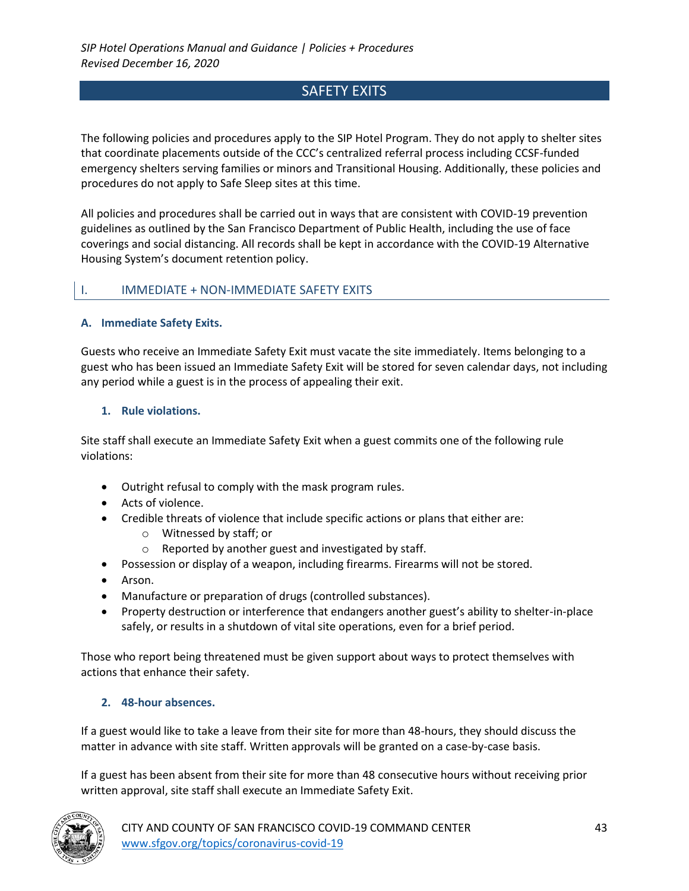# SAFETY EXITS

The following policies and procedures apply to the SIP Hotel Program. They do not apply to shelter sites that coordinate placements outside of the CCC's centralized referral process including CCSF-funded emergency shelters serving families or minors and Transitional Housing. Additionally, these policies and procedures do not apply to Safe Sleep sites at this time.

All policies and procedures shall be carried out in ways that are consistent with COVID-19 prevention guidelines as outlined by the San Francisco Department of Public Health, including the use of face coverings and social distancing. All records shall be kept in accordance with the COVID-19 Alternative Housing System's document retention policy.

### I. IMMEDIATE + NON-IMMEDIATE SAFETY EXITS

### **A. Immediate Safety Exits.**

Guests who receive an Immediate Safety Exit must vacate the site immediately. Items belonging to a guest who has been issued an Immediate Safety Exit will be stored for seven calendar days, not including any period while a guest is in the process of appealing their exit.

#### **1. Rule violations.**

Site staff shall execute an Immediate Safety Exit when a guest commits one of the following rule violations:

- Outright refusal to comply with the mask program rules.
- Acts of violence.
- Credible threats of violence that include specific actions or plans that either are:
	- o Witnessed by staff; or
	- o Reported by another guest and investigated by staff.
- Possession or display of a weapon, including firearms. Firearms will not be stored.
- Arson.
- Manufacture or preparation of drugs (controlled substances).
- Property destruction or interference that endangers another guest's ability to shelter-in-place safely, or results in a shutdown of vital site operations, even for a brief period.

Those who report being threatened must be given support about ways to protect themselves with actions that enhance their safety.

### **2. 48-hour absences.**

If a guest would like to take a leave from their site for more than 48-hours, they should discuss the matter in advance with site staff. Written approvals will be granted on a case-by-case basis.

If a guest has been absent from their site for more than 48 consecutive hours without receiving prior written approval, site staff shall execute an Immediate Safety Exit.

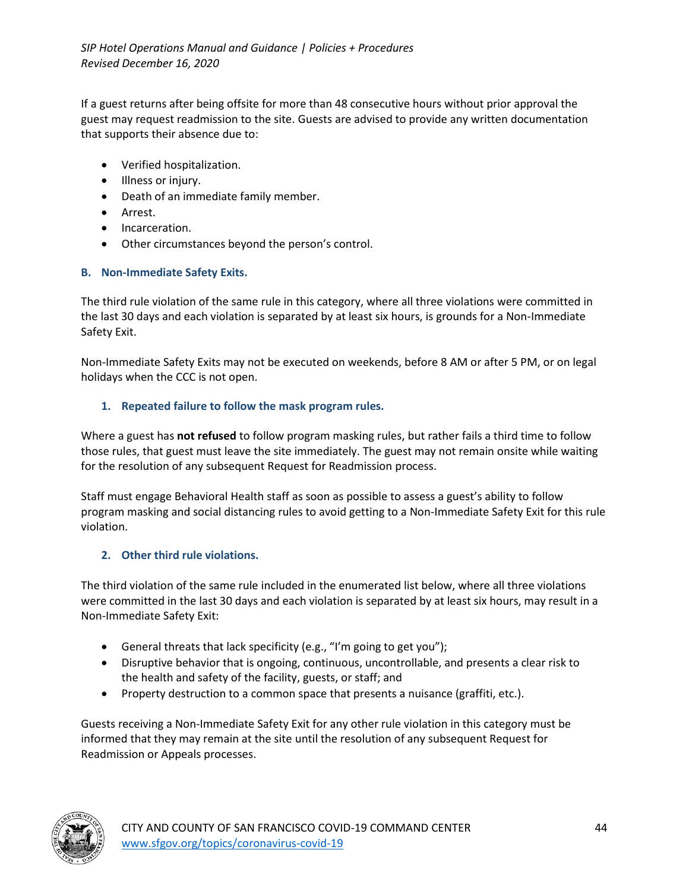If a guest returns after being offsite for more than 48 consecutive hours without prior approval the guest may request readmission to the site. Guests are advised to provide any written documentation that supports their absence due to:

- Verified hospitalization.
- Illness or injury.
- Death of an immediate family member.
- Arrest.
- Incarceration.
- Other circumstances beyond the person's control.

### **B. Non-Immediate Safety Exits.**

The third rule violation of the same rule in this category, where all three violations were committed in the last 30 days and each violation is separated by at least six hours, is grounds for a Non-Immediate Safety Exit.

Non-Immediate Safety Exits may not be executed on weekends, before 8 AM or after 5 PM, or on legal holidays when the CCC is not open.

### **1. Repeated failure to follow the mask program rules.**

Where a guest has **not refused** to follow program masking rules, but rather fails a third time to follow those rules, that guest must leave the site immediately. The guest may not remain onsite while waiting for the resolution of any subsequent Request for Readmission process.

Staff must engage Behavioral Health staff as soon as possible to assess a guest's ability to follow program masking and social distancing rules to avoid getting to a Non-Immediate Safety Exit for this rule violation.

### **2. Other third rule violations.**

The third violation of the same rule included in the enumerated list below, where all three violations were committed in the last 30 days and each violation is separated by at least six hours, may result in a Non-Immediate Safety Exit:

- General threats that lack specificity (e.g., "I'm going to get you");
- Disruptive behavior that is ongoing, continuous, uncontrollable, and presents a clear risk to the health and safety of the facility, guests, or staff; and
- Property destruction to a common space that presents a nuisance (graffiti, etc.).

Guests receiving a Non-Immediate Safety Exit for any other rule violation in this category must be informed that they may remain at the site until the resolution of any subsequent Request for Readmission or Appeals processes.

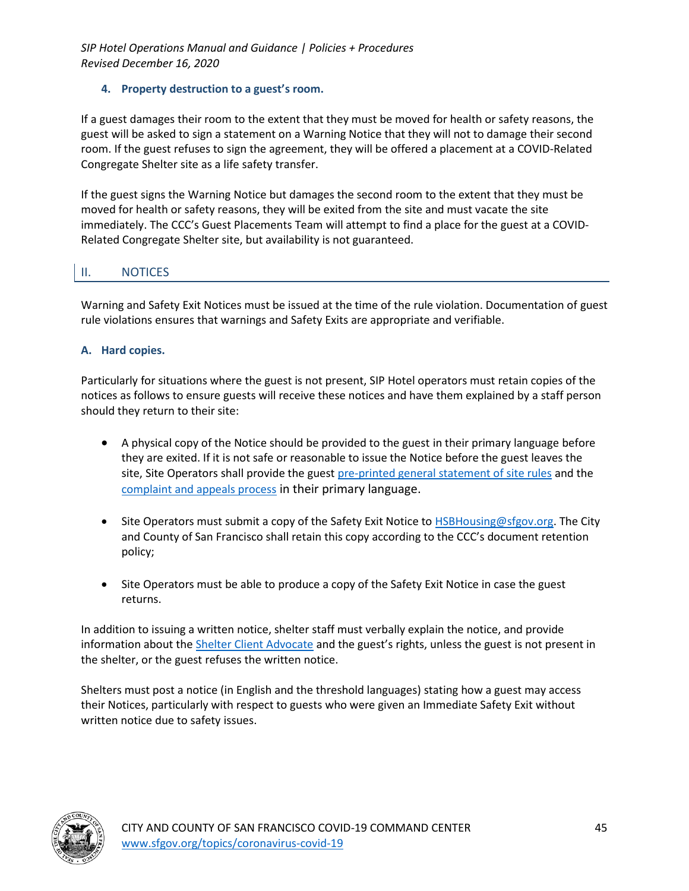### **4. Property destruction to a guest's room.**

If a guest damages their room to the extent that they must be moved for health or safety reasons, the guest will be asked to sign a statement on a Warning Notice that they will not to damage their second room. If the guest refuses to sign the agreement, they will be offered a placement at a COVID-Related Congregate Shelter site as a life safety transfer.

If the guest signs the Warning Notice but damages the second room to the extent that they must be moved for health or safety reasons, they will be exited from the site and must vacate the site immediately. The CCC's Guest Placements Team will attempt to find a place for the guest at a COVID-Related Congregate Shelter site, but availability is not guaranteed.

# II. NOTICES

Warning and Safety Exit Notices must be issued at the time of the rule violation. Documentation of guest rule violations ensures that warnings and Safety Exits are appropriate and verifiable.

### **A. Hard copies.**

Particularly for situations where the guest is not present, SIP Hotel operators must retain copies of the notices as follows to ensure guests will receive these notices and have them explained by a staff person should they return to their site:

- A physical copy of the Notice should be provided to the guest in their primary language before they are exited. If it is not safe or reasonable to issue the Notice before the guest leaves the site, Site Operators shall provide the guest pre-printed general statement of site rules and the complaint and appeals process in their primary language.
- Site Operators must submit a copy of the Safety Exit Notice to HSBHousing@sfgov.org. The City and County of San Francisco shall retain this copy according to the CCC's document retention policy;
- Site Operators must be able to produce a copy of the Safety Exit Notice in case the guest returns.

In addition to issuing a written notice, shelter staff must verbally explain the notice, and provide information about the Shelter Client Advocate and the guest's rights, unless the guest is not present in the shelter, or the guest refuses the written notice.

Shelters must post a notice (in English and the threshold languages) stating how a guest may access their Notices, particularly with respect to guests who were given an Immediate Safety Exit without written notice due to safety issues.

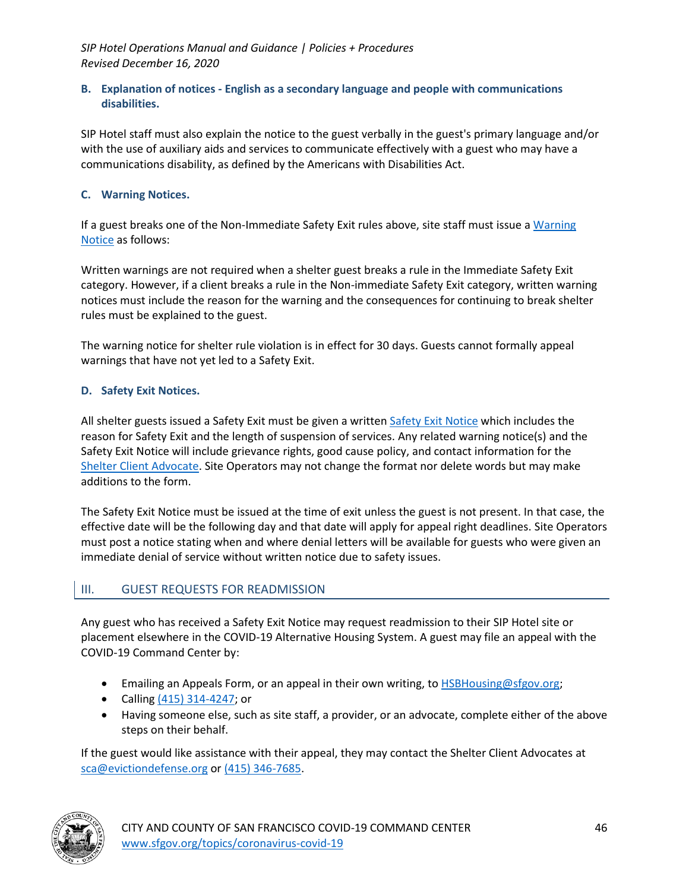#### **B. Explanation of notices - English as a secondary language and people with communications disabilities.**

SIP Hotel staff must also explain the notice to the guest verbally in the guest's primary language and/or with the use of auxiliary aids and services to communicate effectively with a guest who may have a communications disability, as defined by the Americans with Disabilities Act.

### **C. Warning Notices.**

If a guest breaks one of the Non-Immediate Safety Exit rules above, site staff must issue a Warning Notice as follows:

Written warnings are not required when a shelter guest breaks a rule in the Immediate Safety Exit category. However, if a client breaks a rule in the Non-immediate Safety Exit category, written warning notices must include the reason for the warning and the consequences for continuing to break shelter rules must be explained to the guest.

The warning notice for shelter rule violation is in effect for 30 days. Guests cannot formally appeal warnings that have not yet led to a Safety Exit.

#### **D. Safety Exit Notices.**

All shelter guests issued a Safety Exit must be given a written Safety Exit Notice which includes the reason for Safety Exit and the length of suspension of services. Any related warning notice(s) and the Safety Exit Notice will include grievance rights, good cause policy, and contact information for the Shelter Client Advocate. Site Operators may not change the format nor delete words but may make additions to the form.

The Safety Exit Notice must be issued at the time of exit unless the guest is not present. In that case, the effective date will be the following day and that date will apply for appeal right deadlines. Site Operators must post a notice stating when and where denial letters will be available for guests who were given an immediate denial of service without written notice due to safety issues.

### III. GUEST REQUESTS FOR READMISSION

Any guest who has received a Safety Exit Notice may request readmission to their SIP Hotel site or placement elsewhere in the COVID-19 Alternative Housing System. A guest may file an appeal with the COVID-19 Command Center by:

- Emailing an Appeals Form, or an appeal in their own writing, to **HSBHousing@sfgov.org**;
- Calling (415) 314-4247; or
- Having someone else, such as site staff, a provider, or an advocate, complete either of the above steps on their behalf.

If the guest would like assistance with their appeal, they may contact the Shelter Client Advocates at sca@evictiondefense.org or (415) 346-7685.

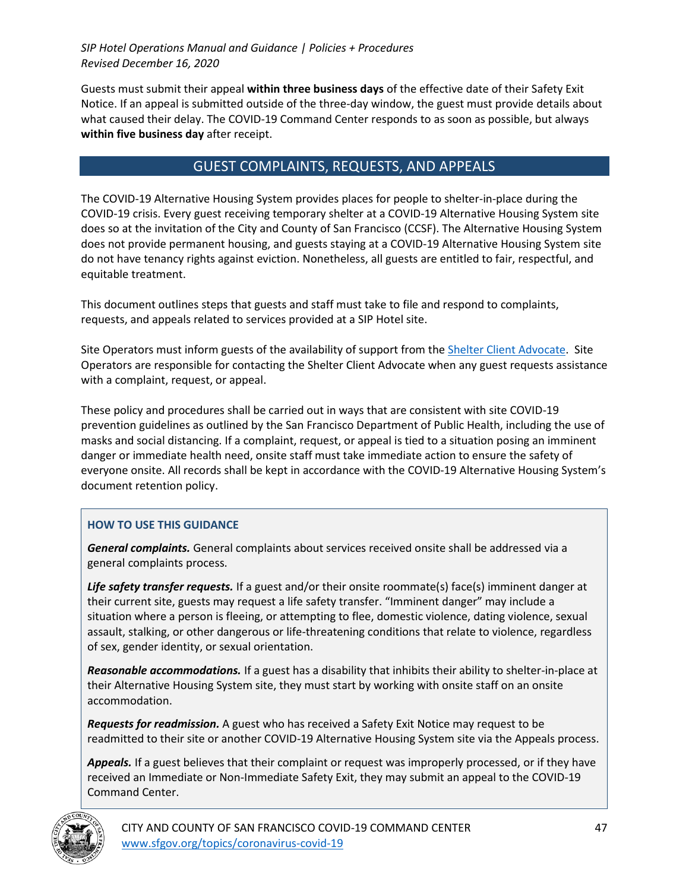Guests must submit their appeal **within three business days** of the effective date of their Safety Exit Notice. If an appeal is submitted outside of the three-day window, the guest must provide details about what caused their delay. The COVID-19 Command Center responds to as soon as possible, but always **within five business day** after receipt.

## GUEST COMPLAINTS, REQUESTS, AND APPEALS

The COVID-19 Alternative Housing System provides places for people to shelter-in-place during the COVID-19 crisis. Every guest receiving temporary shelter at a COVID-19 Alternative Housing System site does so at the invitation of the City and County of San Francisco (CCSF). The Alternative Housing System does not provide permanent housing, and guests staying at a COVID-19 Alternative Housing System site do not have tenancy rights against eviction. Nonetheless, all guests are entitled to fair, respectful, and equitable treatment.

This document outlines steps that guests and staff must take to file and respond to complaints, requests, and appeals related to services provided at a SIP Hotel site.

Site Operators must inform guests of the availability of support from the Shelter Client Advocate. Site Operators are responsible for contacting the Shelter Client Advocate when any guest requests assistance with a complaint, request, or appeal.

These policy and procedures shall be carried out in ways that are consistent with site COVID-19 prevention guidelines as outlined by the San Francisco Department of Public Health, including the use of masks and social distancing. If a complaint, request, or appeal is tied to a situation posing an imminent danger or immediate health need, onsite staff must take immediate action to ensure the safety of everyone onsite. All records shall be kept in accordance with the COVID-19 Alternative Housing System's document retention policy.

### **HOW TO USE THIS GUIDANCE**

*General complaints.* General complaints about services received onsite shall be addressed via a general complaints process.

Life safety transfer requests. If a guest and/or their onsite roommate(s) face(s) imminent danger at their current site, guests may request a life safety transfer. "Imminent danger" may include a situation where a person is fleeing, or attempting to flee, domestic violence, dating violence, sexual assault, stalking, or other dangerous or life-threatening conditions that relate to violence, regardless of sex, gender identity, or sexual orientation.

*Reasonable accommodations.* If a guest has a disability that inhibits their ability to shelter-in-place at their Alternative Housing System site, they must start by working with onsite staff on an onsite accommodation.

*Requests for readmission.* A guest who has received a Safety Exit Notice may request to be readmitted to their site or another COVID-19 Alternative Housing System site via the Appeals process.

*Appeals.* If a guest believes that their complaint or request was improperly processed, or if they have received an Immediate or Non-Immediate Safety Exit, they may submit an appeal to the COVID-19 Command Center.



CITY AND COUNTY OF SAN FRANCISCO COVID-19 COMMAND CENTER 47 www.sfgov.org/topics/coronavirus-covid-19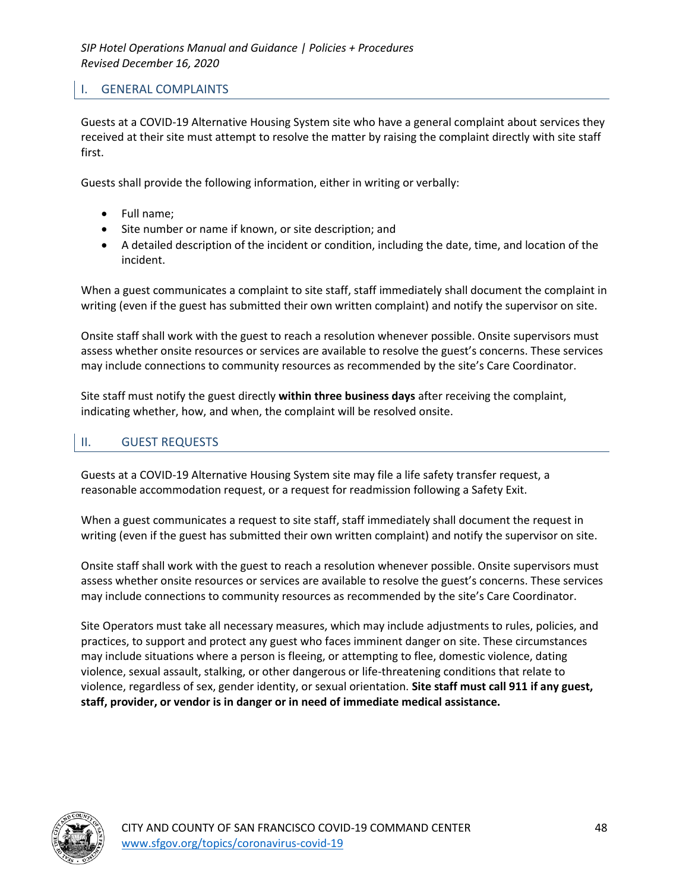### I. GENERAL COMPLAINTS

Guests at a COVID-19 Alternative Housing System site who have a general complaint about services they received at their site must attempt to resolve the matter by raising the complaint directly with site staff first.

Guests shall provide the following information, either in writing or verbally:

- Full name;
- Site number or name if known, or site description; and
- A detailed description of the incident or condition, including the date, time, and location of the incident.

When a guest communicates a complaint to site staff, staff immediately shall document the complaint in writing (even if the guest has submitted their own written complaint) and notify the supervisor on site.

Onsite staff shall work with the guest to reach a resolution whenever possible. Onsite supervisors must assess whether onsite resources or services are available to resolve the guest's concerns. These services may include connections to community resources as recommended by the site's Care Coordinator.

Site staff must notify the guest directly **within three business days** after receiving the complaint, indicating whether, how, and when, the complaint will be resolved onsite.

## II. GUEST REQUESTS

Guests at a COVID-19 Alternative Housing System site may file a life safety transfer request, a reasonable accommodation request, or a request for readmission following a Safety Exit.

When a guest communicates a request to site staff, staff immediately shall document the request in writing (even if the guest has submitted their own written complaint) and notify the supervisor on site.

Onsite staff shall work with the guest to reach a resolution whenever possible. Onsite supervisors must assess whether onsite resources or services are available to resolve the guest's concerns. These services may include connections to community resources as recommended by the site's Care Coordinator.

Site Operators must take all necessary measures, which may include adjustments to rules, policies, and practices, to support and protect any guest who faces imminent danger on site. These circumstances may include situations where a person is fleeing, or attempting to flee, domestic violence, dating violence, sexual assault, stalking, or other dangerous or life-threatening conditions that relate to violence, regardless of sex, gender identity, or sexual orientation. **Site staff must call 911 if any guest, staff, provider, or vendor is in danger or in need of immediate medical assistance.**

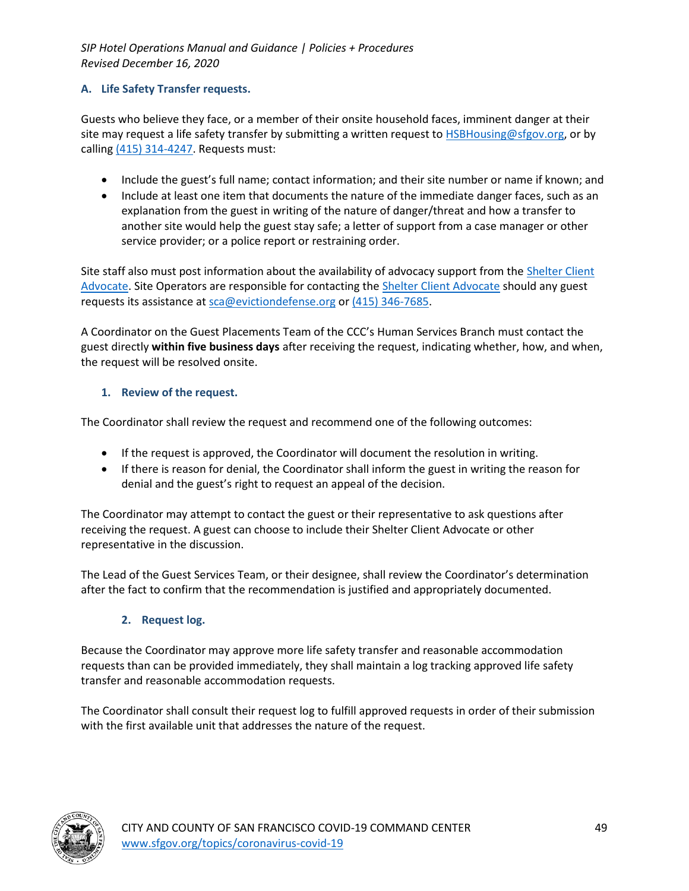### **A. Life Safety Transfer requests.**

Guests who believe they face, or a member of their onsite household faces, imminent danger at their site may request a life safety transfer by submitting a written request to **HSBHousing@sfgov.org**, or by calling (415) 314-4247. Requests must:

- Include the guest's full name; contact information; and their site number or name if known; and
- Include at least one item that documents the nature of the immediate danger faces, such as an explanation from the guest in writing of the nature of danger/threat and how a transfer to another site would help the guest stay safe; a letter of support from a case manager or other service provider; or a police report or restraining order.

Site staff also must post information about the availability of advocacy support from the Shelter Client Advocate. Site Operators are responsible for contacting the Shelter Client Advocate should any guest requests its assistance at sca@evictiondefense.org or (415) 346-7685.

A Coordinator on the Guest Placements Team of the CCC's Human Services Branch must contact the guest directly **within five business days** after receiving the request, indicating whether, how, and when, the request will be resolved onsite.

### **1. Review of the request.**

The Coordinator shall review the request and recommend one of the following outcomes:

- If the request is approved, the Coordinator will document the resolution in writing.
- If there is reason for denial, the Coordinator shall inform the guest in writing the reason for denial and the guest's right to request an appeal of the decision.

The Coordinator may attempt to contact the guest or their representative to ask questions after receiving the request. A guest can choose to include their Shelter Client Advocate or other representative in the discussion.

The Lead of the Guest Services Team, or their designee, shall review the Coordinator's determination after the fact to confirm that the recommendation is justified and appropriately documented.

### **2. Request log.**

Because the Coordinator may approve more life safety transfer and reasonable accommodation requests than can be provided immediately, they shall maintain a log tracking approved life safety transfer and reasonable accommodation requests.

The Coordinator shall consult their request log to fulfill approved requests in order of their submission with the first available unit that addresses the nature of the request.

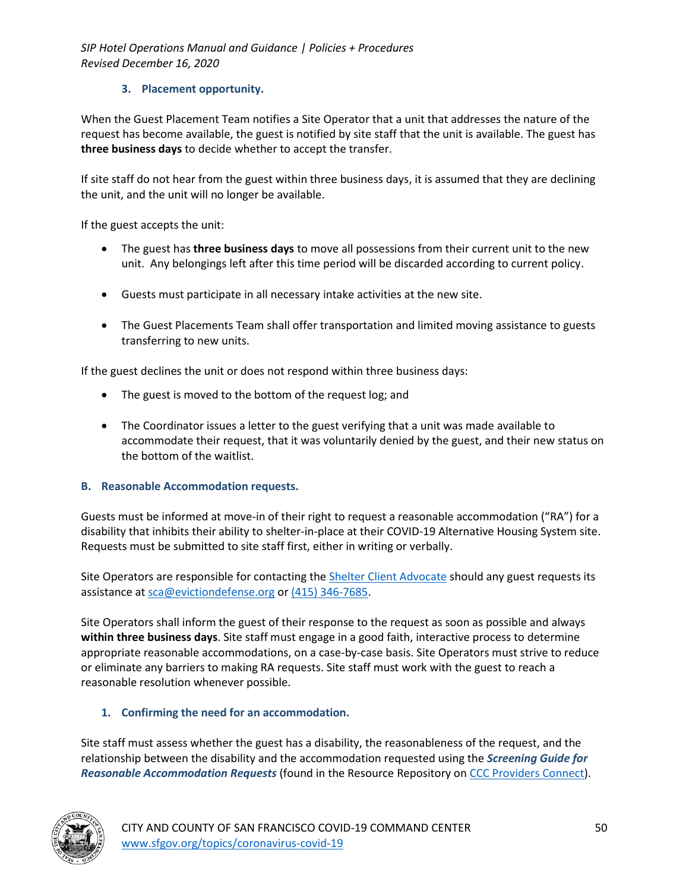### **3. Placement opportunity.**

When the Guest Placement Team notifies a Site Operator that a unit that addresses the nature of the request has become available, the guest is notified by site staff that the unit is available. The guest has **three business days** to decide whether to accept the transfer.

If site staff do not hear from the guest within three business days, it is assumed that they are declining the unit, and the unit will no longer be available.

If the guest accepts the unit:

- The guest has **three business days** to move all possessions from their current unit to the new unit. Any belongings left after this time period will be discarded according to current policy.
- Guests must participate in all necessary intake activities at the new site.
- The Guest Placements Team shall offer transportation and limited moving assistance to guests transferring to new units.

If the guest declines the unit or does not respond within three business days:

- The guest is moved to the bottom of the request log; and
- The Coordinator issues a letter to the guest verifying that a unit was made available to accommodate their request, that it was voluntarily denied by the guest, and their new status on the bottom of the waitlist.

### **B. Reasonable Accommodation requests.**

Guests must be informed at move-in of their right to request a reasonable accommodation ("RA") for a disability that inhibits their ability to shelter-in-place at their COVID-19 Alternative Housing System site. Requests must be submitted to site staff first, either in writing or verbally.

Site Operators are responsible for contacting the Shelter Client Advocate should any guest requests its assistance at sca@evictiondefense.org or (415) 346-7685.

Site Operators shall inform the guest of their response to the request as soon as possible and always **within three business days**. Site staff must engage in a good faith, interactive process to determine appropriate reasonable accommodations, on a case-by-case basis. Site Operators must strive to reduce or eliminate any barriers to making RA requests. Site staff must work with the guest to reach a reasonable resolution whenever possible.

### **1. Confirming the need for an accommodation.**

Site staff must assess whether the guest has a disability, the reasonableness of the request, and the relationship between the disability and the accommodation requested using the *Screening Guide for Reasonable Accommodation Requests* (found in the Resource Repository on CCC Providers Connect).

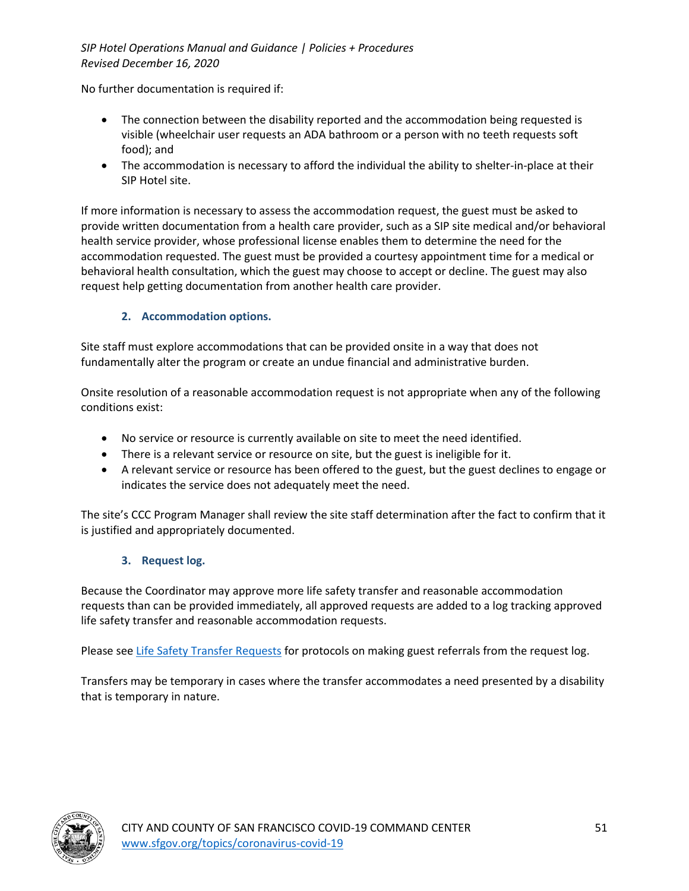No further documentation is required if:

- The connection between the disability reported and the accommodation being requested is visible (wheelchair user requests an ADA bathroom or a person with no teeth requests soft food); and
- The accommodation is necessary to afford the individual the ability to shelter-in-place at their SIP Hotel site.

If more information is necessary to assess the accommodation request, the guest must be asked to provide written documentation from a health care provider, such as a SIP site medical and/or behavioral health service provider, whose professional license enables them to determine the need for the accommodation requested. The guest must be provided a courtesy appointment time for a medical or behavioral health consultation, which the guest may choose to accept or decline. The guest may also request help getting documentation from another health care provider.

### **2. Accommodation options.**

Site staff must explore accommodations that can be provided onsite in a way that does not fundamentally alter the program or create an undue financial and administrative burden.

Onsite resolution of a reasonable accommodation request is not appropriate when any of the following conditions exist:

- No service or resource is currently available on site to meet the need identified.
- There is a relevant service or resource on site, but the guest is ineligible for it.
- A relevant service or resource has been offered to the guest, but the guest declines to engage or indicates the service does not adequately meet the need.

The site's CCC Program Manager shall review the site staff determination after the fact to confirm that it is justified and appropriately documented.

### **3. Request log.**

Because the Coordinator may approve more life safety transfer and reasonable accommodation requests than can be provided immediately, all approved requests are added to a log tracking approved life safety transfer and reasonable accommodation requests.

Please see Life Safety Transfer Requests for protocols on making guest referrals from the request log.

Transfers may be temporary in cases where the transfer accommodates a need presented by a disability that is temporary in nature.

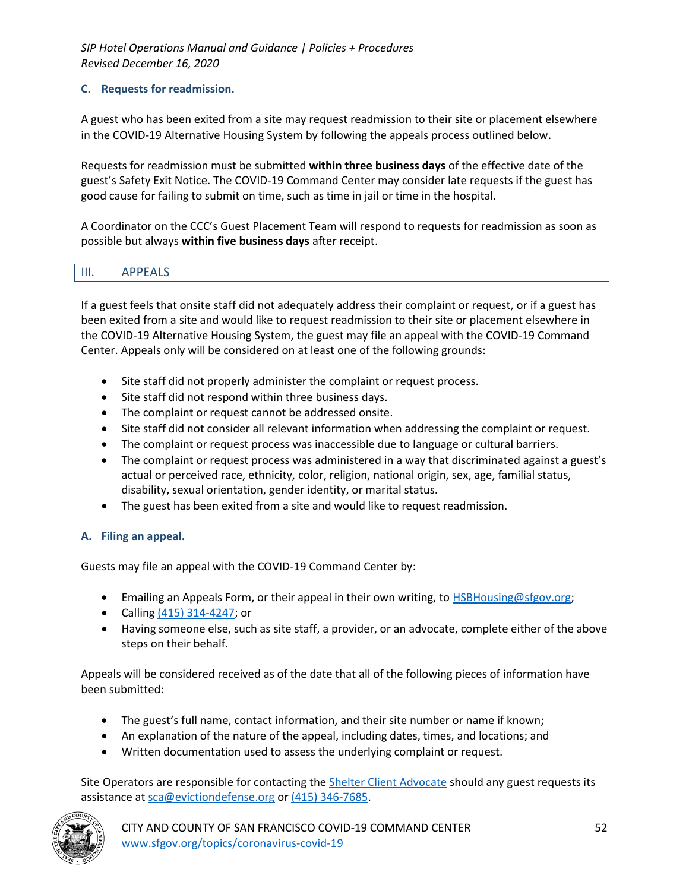### **C. Requests for readmission.**

A guest who has been exited from a site may request readmission to their site or placement elsewhere in the COVID-19 Alternative Housing System by following the appeals process outlined below.

Requests for readmission must be submitted **within three business days** of the effective date of the guest's Safety Exit Notice. The COVID-19 Command Center may consider late requests if the guest has good cause for failing to submit on time, such as time in jail or time in the hospital.

A Coordinator on the CCC's Guest Placement Team will respond to requests for readmission as soon as possible but always **within five business days** after receipt.

# III. APPEALS

If a guest feels that onsite staff did not adequately address their complaint or request, or if a guest has been exited from a site and would like to request readmission to their site or placement elsewhere in the COVID-19 Alternative Housing System, the guest may file an appeal with the COVID-19 Command Center. Appeals only will be considered on at least one of the following grounds:

- Site staff did not properly administer the complaint or request process.
- Site staff did not respond within three business days.
- The complaint or request cannot be addressed onsite.
- Site staff did not consider all relevant information when addressing the complaint or request.
- The complaint or request process was inaccessible due to language or cultural barriers.
- The complaint or request process was administered in a way that discriminated against a guest's actual or perceived race, ethnicity, color, religion, national origin, sex, age, familial status, disability, sexual orientation, gender identity, or marital status.
- The guest has been exited from a site and would like to request readmission.

### **A. Filing an appeal.**

Guests may file an appeal with the COVID-19 Command Center by:

- Emailing an Appeals Form, or their appeal in their own writing, to **HSBHousing@sfgov.org**;
- Calling (415) 314-4247; or
- Having someone else, such as site staff, a provider, or an advocate, complete either of the above steps on their behalf.

Appeals will be considered received as of the date that all of the following pieces of information have been submitted:

- The guest's full name, contact information, and their site number or name if known;
- An explanation of the nature of the appeal, including dates, times, and locations; and
- Written documentation used to assess the underlying complaint or request.

Site Operators are responsible for contacting the Shelter Client Advocate should any guest requests its assistance at sca@evictiondefense.org or (415) 346-7685.

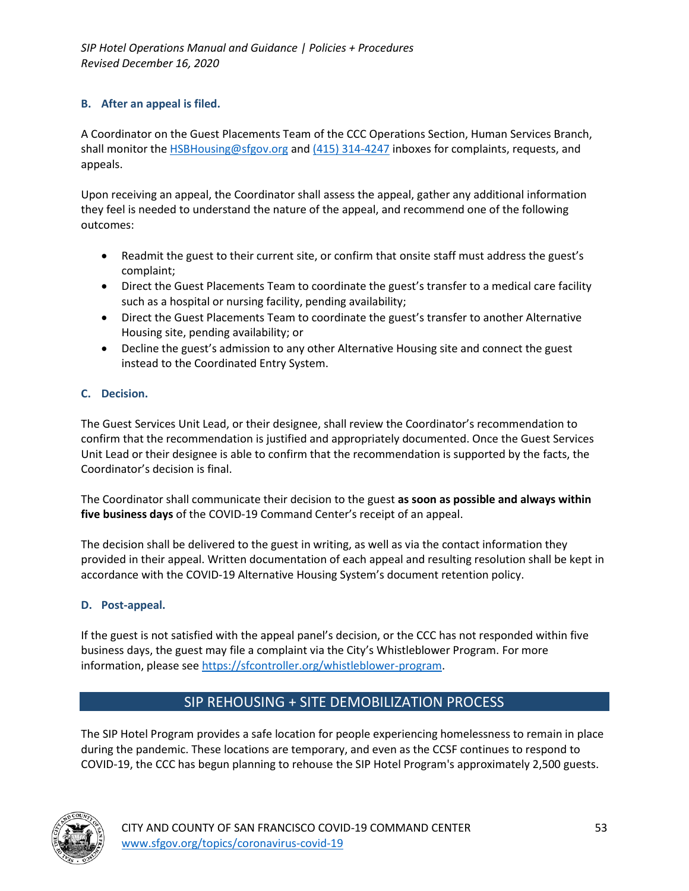### **B. After an appeal is filed.**

A Coordinator on the Guest Placements Team of the CCC Operations Section, Human Services Branch, shall monitor the HSBHousing@sfgov.org and (415) 314-4247 inboxes for complaints, requests, and appeals.

Upon receiving an appeal, the Coordinator shall assess the appeal, gather any additional information they feel is needed to understand the nature of the appeal, and recommend one of the following outcomes:

- Readmit the guest to their current site, or confirm that onsite staff must address the guest's complaint;
- Direct the Guest Placements Team to coordinate the guest's transfer to a medical care facility such as a hospital or nursing facility, pending availability;
- Direct the Guest Placements Team to coordinate the guest's transfer to another Alternative Housing site, pending availability; or
- Decline the guest's admission to any other Alternative Housing site and connect the guest instead to the Coordinated Entry System.

### **C. Decision.**

The Guest Services Unit Lead, or their designee, shall review the Coordinator's recommendation to confirm that the recommendation is justified and appropriately documented. Once the Guest Services Unit Lead or their designee is able to confirm that the recommendation is supported by the facts, the Coordinator's decision is final.

The Coordinator shall communicate their decision to the guest **as soon as possible and always within five business days** of the COVID-19 Command Center's receipt of an appeal.

The decision shall be delivered to the guest in writing, as well as via the contact information they provided in their appeal. Written documentation of each appeal and resulting resolution shall be kept in accordance with the COVID-19 Alternative Housing System's document retention policy.

### **D. Post-appeal.**

If the guest is not satisfied with the appeal panel's decision, or the CCC has not responded within five business days, the guest may file a complaint via the City's Whistleblower Program. For more information, please see https://sfcontroller.org/whistleblower-program.

# SIP REHOUSING + SITE DEMOBILIZATION PROCESS

The SIP Hotel Program provides a safe location for people experiencing homelessness to remain in place during the pandemic. These locations are temporary, and even as the CCSF continues to respond to COVID-19, the CCC has begun planning to rehouse the SIP Hotel Program's approximately 2,500 guests.

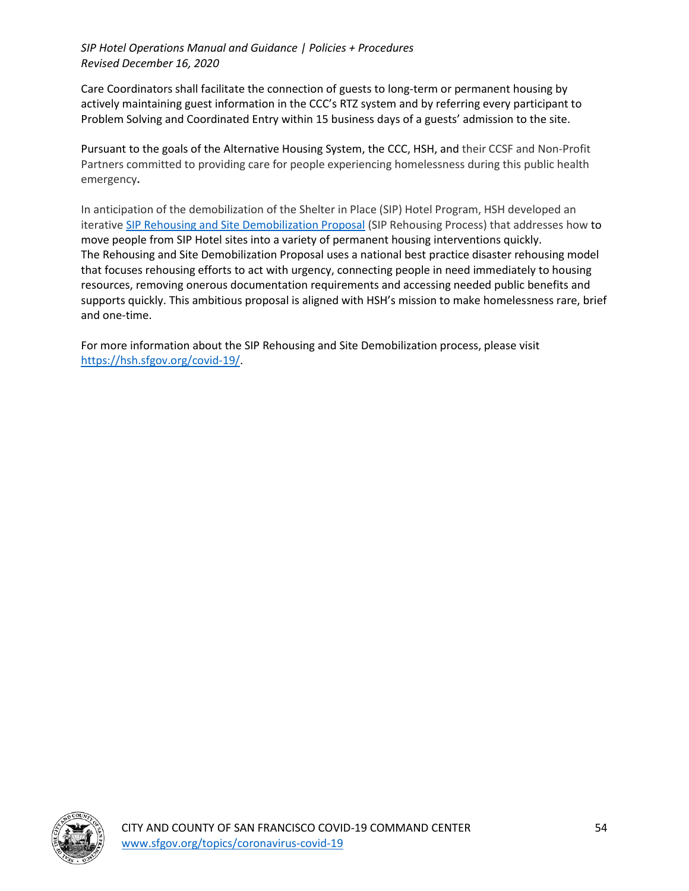Care Coordinators shall facilitate the connection of guests to long-term or permanent housing by actively maintaining guest information in the CCC's RTZ system and by referring every participant to Problem Solving and Coordinated Entry within 15 business days of a guests' admission to the site.

Pursuant to the goals of the Alternative Housing System, the CCC, HSH, and their CCSF and Non-Profit Partners committed to providing care for people experiencing homelessness during this public health emergency**.**

In anticipation of the demobilization of the Shelter in Place (SIP) Hotel Program, HSH developed an iterative SIP Rehousing and Site Demobilization Proposal (SIP Rehousing Process) that addresses how to move people from SIP Hotel sites into a variety of permanent housing interventions quickly. The Rehousing and Site Demobilization Proposal uses a national best practice disaster rehousing model that focuses rehousing efforts to act with urgency, connecting people in need immediately to housing resources, removing onerous documentation requirements and accessing needed public benefits and supports quickly. This ambitious proposal is aligned with HSH's mission to make homelessness rare, brief and one-time.

For more information about the SIP Rehousing and Site Demobilization process, please visit https://hsh.sfgov.org/covid-19/.

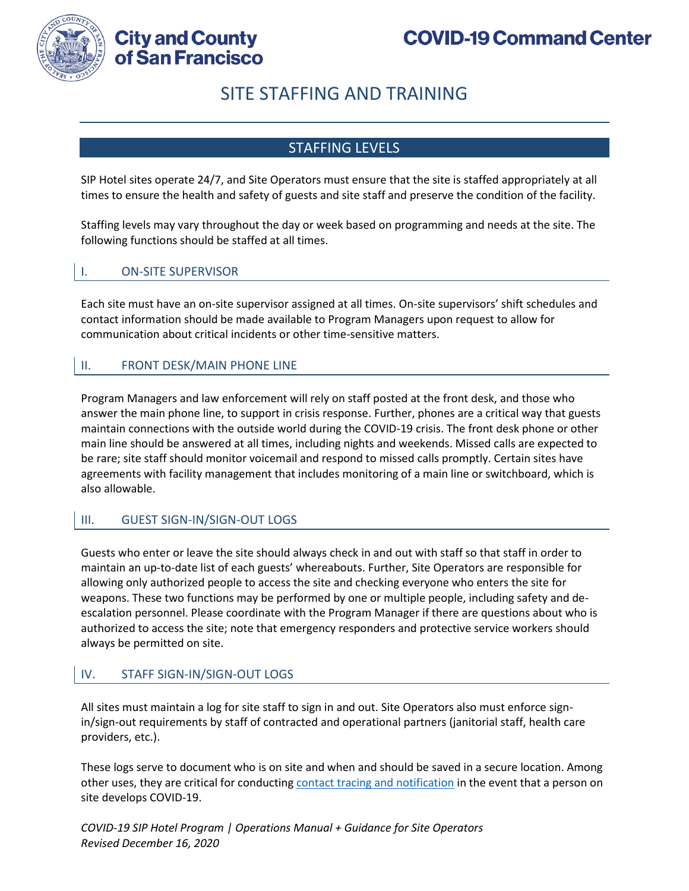

**City and County** of San Francisco

# SITE STAFFING AND TRAINING

# STAFFING LEVELS

SIP Hotel sites operate 24/7, and Site Operators must ensure that the site is staffed appropriately at all times to ensure the health and safety of guests and site staff and preserve the condition of the facility.

Staffing levels may vary throughout the day or week based on programming and needs at the site. The following functions should be staffed at all times.

## I. ON-SITE SUPERVISOR

Each site must have an on-site supervisor assigned at all times. On-site supervisors' shift schedules and contact information should be made available to Program Managers upon request to allow for communication about critical incidents or other time-sensitive matters.

## II. FRONT DESK/MAIN PHONE LINE

Program Managers and law enforcement will rely on staff posted at the front desk, and those who answer the main phone line, to support in crisis response. Further, phones are a critical way that guests maintain connections with the outside world during the COVID-19 crisis. The front desk phone or other main line should be answered at all times, including nights and weekends. Missed calls are expected to be rare; site staff should monitor voicemail and respond to missed calls promptly. Certain sites have agreements with facility management that includes monitoring of a main line or switchboard, which is also allowable.

### III. GUEST SIGN-IN/SIGN-OUT LOGS

Guests who enter or leave the site should always check in and out with staff so that staff in order to maintain an up-to-date list of each guests' whereabouts. Further, Site Operators are responsible for allowing only authorized people to access the site and checking everyone who enters the site for weapons. These two functions may be performed by one or multiple people, including safety and deescalation personnel. Please coordinate with the Program Manager if there are questions about who is authorized to access the site; note that emergency responders and protective service workers should always be permitted on site.

### IV. STAFF SIGN-IN/SIGN-OUT LOGS

All sites must maintain a log for site staff to sign in and out. Site Operators also must enforce signin/sign-out requirements by staff of contracted and operational partners (janitorial staff, health care providers, etc.).

These logs serve to document who is on site and when and should be saved in a secure location. Among other uses, they are critical for conducting contact tracing and notification in the event that a person on site develops COVID-19.

*COVID-19 SIP Hotel Program | Operations Manual + Guidance for Site Operators Revised December 16, 2020*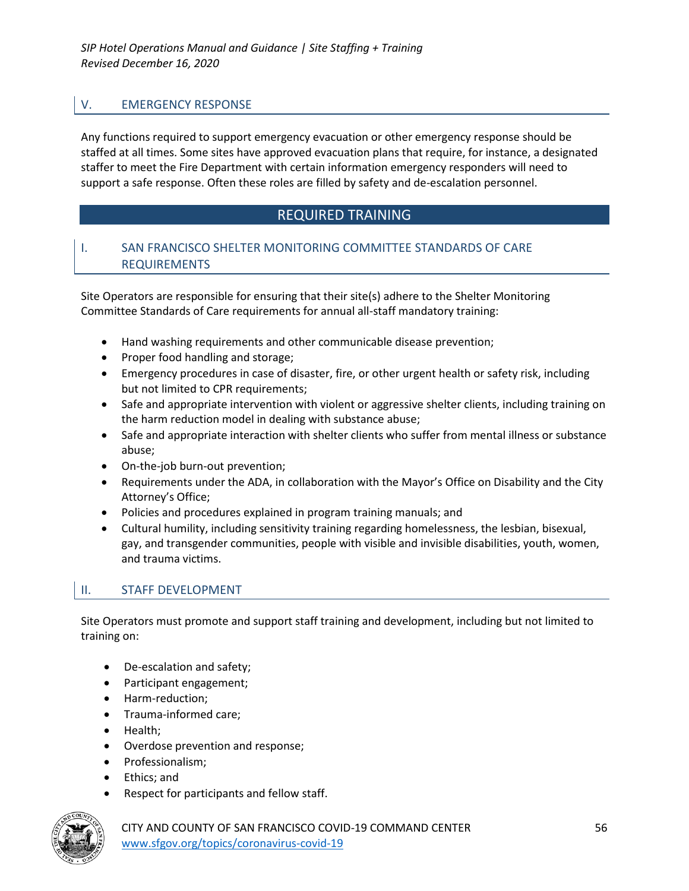## V. EMERGENCY RESPONSE

Any functions required to support emergency evacuation or other emergency response should be staffed at all times. Some sites have approved evacuation plans that require, for instance, a designated staffer to meet the Fire Department with certain information emergency responders will need to support a safe response. Often these roles are filled by safety and de-escalation personnel.

# REQUIRED TRAINING

### I. SAN FRANCISCO SHELTER MONITORING COMMITTEE STANDARDS OF CARE REQUIREMENTS

Site Operators are responsible for ensuring that their site(s) adhere to the Shelter Monitoring Committee Standards of Care requirements for annual all-staff mandatory training:

- Hand washing requirements and other communicable disease prevention;
- Proper food handling and storage;
- Emergency procedures in case of disaster, fire, or other urgent health or safety risk, including but not limited to CPR requirements;
- Safe and appropriate intervention with violent or aggressive shelter clients, including training on the harm reduction model in dealing with substance abuse;
- Safe and appropriate interaction with shelter clients who suffer from mental illness or substance abuse;
- On-the-job burn-out prevention;
- Requirements under the ADA, in collaboration with the Mayor's Office on Disability and the City Attorney's Office;
- Policies and procedures explained in program training manuals; and
- Cultural humility, including sensitivity training regarding homelessness, the lesbian, bisexual, gay, and transgender communities, people with visible and invisible disabilities, youth, women, and trauma victims.

### II. STAFF DEVELOPMENT

Site Operators must promote and support staff training and development, including but not limited to training on:

- De-escalation and safety;
- Participant engagement;
- Harm-reduction;
- Trauma-informed care;
- Health;
- Overdose prevention and response;
- Professionalism;
- Ethics; and
- Respect for participants and fellow staff.



CITY AND COUNTY OF SAN FRANCISCO COVID-19 COMMAND CENTER 56 www.sfgov.org/topics/coronavirus-covid-19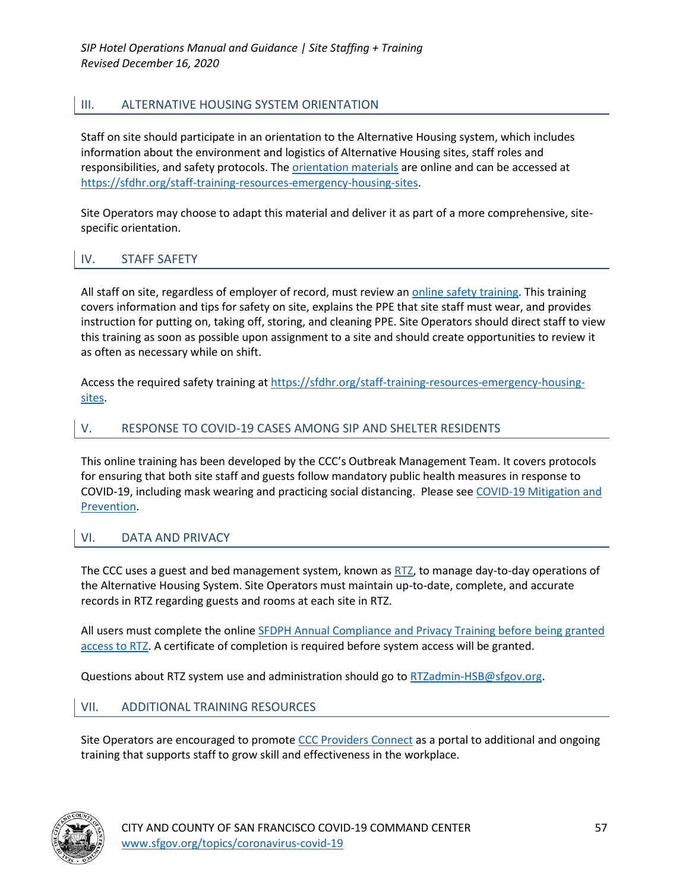# III. ALTERNATIVE HOUSING SYSTEM ORIENTATION

Staff on site should participate in an orientation to the Alternative Housing system, which includes information about the environment and logistics of Alternative Housing sites, staff roles and responsibilities, and safety protocols. The orientation materials are online and can be accessed at https://sfdhr.org/staff-training-resources-emergency-housing-sites.

Site Operators may choose to adapt this material and deliver it as part of a more comprehensive, sitespecific orientation.

### IV. STAFF SAFETY

All staff on site, regardless of employer of record, must review an *online safety training*. This training covers information and tips for safety on site, explains the PPE that site staff must wear, and provides instruction for putting on, taking off, storing, and cleaning PPE. Site Operators should direct staff to view this training as soon as possible upon assignment to a site and should create opportunities to review it as often as necessary while on shift.

Access the required safety training at https://sfdhr.org/staff-training-resources-emergency-housingsites.

### V. RESPONSE TO COVID-19 CASES AMONG SIP AND SHELTER RESIDENTS

This online training has been developed by the CCC's Outbreak Management Team. It covers protocols for ensuring that both site staff and guests follow mandatory public health measures in response to COVID-19, including mask wearing and practicing social distancing. Please see COVID-19 Mitigation and Prevention.

### VI. DATA AND PRIVACY

The CCC uses a guest and bed management system, known as RTZ, to manage day-to-day operations of the Alternative Housing System. Site Operators must maintain up-to-date, complete, and accurate records in RTZ regarding guests and rooms at each site in RTZ.

All users must complete the online SFDPH Annual Compliance and Privacy Training before being granted access to RTZ. A certificate of completion is required before system access will be granted.

Questions about RTZ system use and administration should go to RTZadmin-HSB@sfgov.org.

### VII. ADDITIONAL TRAINING RESOURCES

Site Operators are encouraged to promote CCC Providers Connect as a portal to additional and ongoing training that supports staff to grow skill and effectiveness in the workplace.

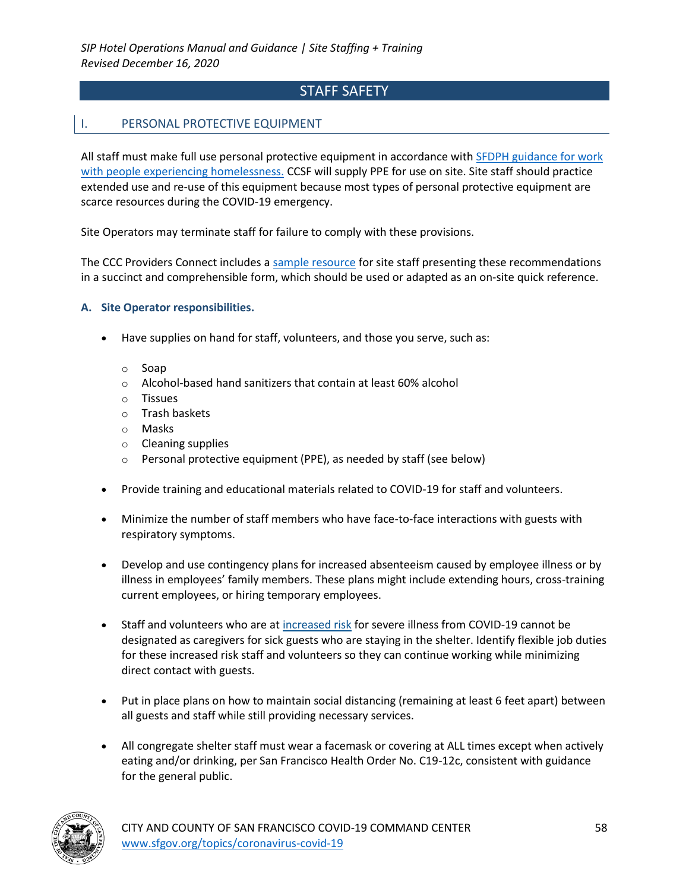# STAFF SAFETY

### I. PERSONAL PROTECTIVE EQUIPMENT

All staff must make full use personal protective equipment in accordance with SFDPH guidance for work with people experiencing homelessness. CCSF will supply PPE for use on site. Site staff should practice extended use and re-use of this equipment because most types of personal protective equipment are scarce resources during the COVID-19 emergency.

Site Operators may terminate staff for failure to comply with these provisions.

The CCC Providers Connect includes a sample resource for site staff presenting these recommendations in a succinct and comprehensible form, which should be used or adapted as an on-site quick reference.

#### **A. Site Operator responsibilities.**

- Have supplies on hand for staff, volunteers, and those you serve, such as:
	- o Soap
	- o Alcohol-based hand sanitizers that contain at least 60% alcohol
	- o Tissues
	- o Trash baskets
	- o Masks
	- o Cleaning supplies
	- o Personal protective equipment (PPE), as needed by staff (see below)
- Provide training and educational materials related to COVID-19 for staff and volunteers.
- Minimize the number of staff members who have face-to-face interactions with guests with respiratory symptoms.
- Develop and use contingency plans for increased absenteeism caused by employee illness or by illness in employees' family members. These plans might include extending hours, cross-training current employees, or hiring temporary employees.
- Staff and volunteers who are at increased risk for severe illness from COVID-19 cannot be designated as caregivers for sick guests who are staying in the shelter. Identify flexible job duties for these increased risk staff and volunteers so they can continue working while minimizing direct contact with guests.
- Put in place plans on how to maintain social distancing (remaining at least 6 feet apart) between all guests and staff while still providing necessary services.
- All congregate shelter staff must wear a facemask or covering at ALL times except when actively eating and/or drinking, per San Francisco Health Order No. C19-12c, consistent with guidance for the general public.

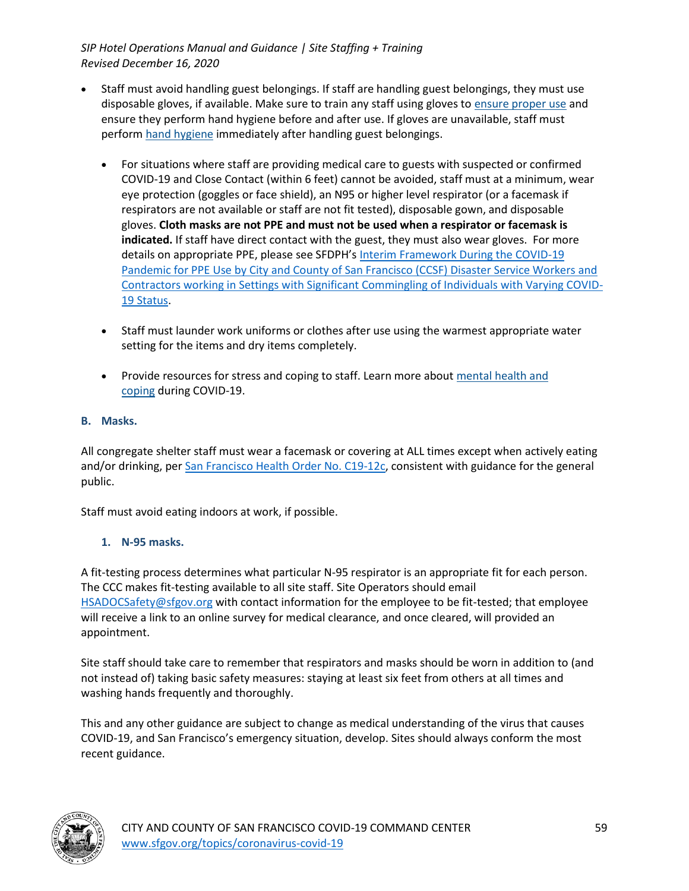- Staff must avoid handling guest belongings. If staff are handling guest belongings, they must use disposable gloves, if available. Make sure to train any staff using gloves to ensure proper use and ensure they perform hand hygiene before and after use. If gloves are unavailable, staff must perform hand hygiene immediately after handling guest belongings.
	- For situations where staff are providing medical care to guests with suspected or confirmed COVID-19 and Close Contact (within 6 feet) cannot be avoided, staff must at a minimum, wear eye protection (goggles or face shield), an N95 or higher level respirator (or a facemask if respirators are not available or staff are not fit tested), disposable gown, and disposable gloves. **Cloth masks are not PPE and must not be used when a respirator or facemask is indicated.** If staff have direct contact with the guest, they must also wear gloves. For more details on appropriate PPE, please see SFDPH's Interim Framework During the COVID-19 Pandemic for PPE Use by City and County of San Francisco (CCSF) Disaster Service Workers and Contractors working in Settings with Significant Commingling of Individuals with Varying COVID-19 Status.
	- Staff must launder work uniforms or clothes after use using the warmest appropriate water setting for the items and dry items completely.
	- Provide resources for stress and coping to staff. Learn more about mental health and coping during COVID-19.

### **B. Masks.**

All congregate shelter staff must wear a facemask or covering at ALL times except when actively eating and/or drinking, per San Francisco Health Order No. C19-12c, consistent with guidance for the general public.

Staff must avoid eating indoors at work, if possible.

### **1. N-95 masks.**

A fit-testing process determines what particular N-95 respirator is an appropriate fit for each person. The CCC makes fit-testing available to all site staff. Site Operators should email HSADOCSafety@sfgov.org with contact information for the employee to be fit-tested; that employee will receive a link to an online survey for medical clearance, and once cleared, will provided an appointment.

Site staff should take care to remember that respirators and masks should be worn in addition to (and not instead of) taking basic safety measures: staying at least six feet from others at all times and washing hands frequently and thoroughly.

This and any other guidance are subject to change as medical understanding of the virus that causes COVID-19, and San Francisco's emergency situation, develop. Sites should always conform the most recent guidance.

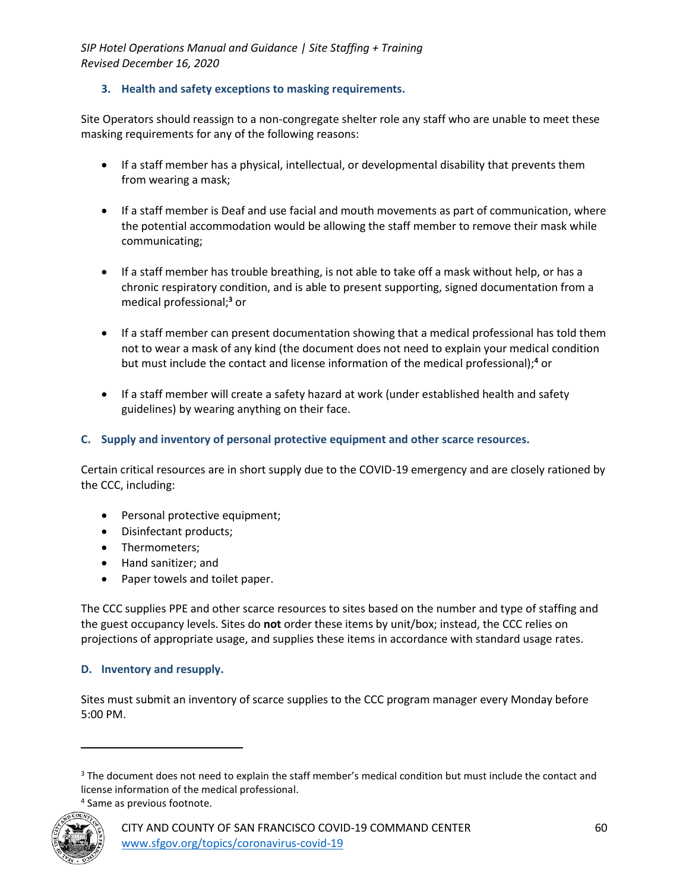### **3. Health and safety exceptions to masking requirements.**

Site Operators should reassign to a non-congregate shelter role any staff who are unable to meet these masking requirements for any of the following reasons:

- If a staff member has a physical, intellectual, or developmental disability that prevents them from wearing a mask;
- If a staff member is Deaf and use facial and mouth movements as part of communication, where the potential accommodation would be allowing the staff member to remove their mask while communicating;
- If a staff member has trouble breathing, is not able to take off a mask without help, or has a chronic respiratory condition, and is able to present supporting, signed documentation from a medical professional;**<sup>3</sup>** or
- If a staff member can present documentation showing that a medical professional has told them not to wear a mask of any kind (the document does not need to explain your medical condition but must include the contact and license information of the medical professional);**<sup>4</sup>** or
- If a staff member will create a safety hazard at work (under established health and safety guidelines) by wearing anything on their face.

#### **C. Supply and inventory of personal protective equipment and other scarce resources.**

Certain critical resources are in short supply due to the COVID-19 emergency and are closely rationed by the CCC, including:

- Personal protective equipment;
- Disinfectant products;
- Thermometers;
- Hand sanitizer; and
- Paper towels and toilet paper.

The CCC supplies PPE and other scarce resources to sites based on the number and type of staffing and the guest occupancy levels. Sites do **not** order these items by unit/box; instead, the CCC relies on projections of appropriate usage, and supplies these items in accordance with standard usage rates.

#### **D. Inventory and resupply.**

Sites must submit an inventory of scarce supplies to the CCC program manager every Monday before 5:00 PM.

<sup>4</sup> Same as previous footnote.



<sup>&</sup>lt;sup>3</sup> The document does not need to explain the staff member's medical condition but must include the contact and license information of the medical professional.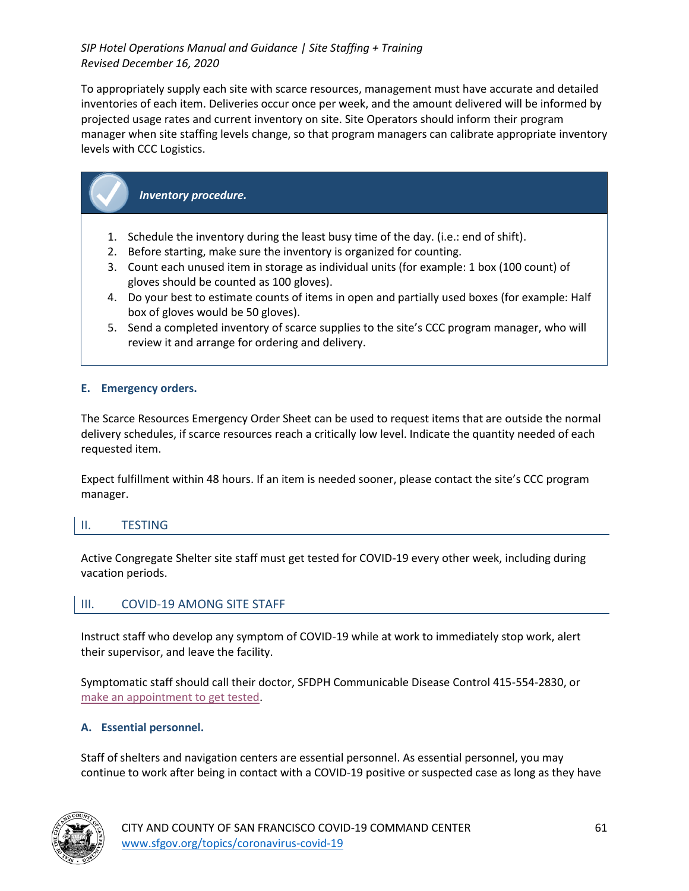To appropriately supply each site with scarce resources, management must have accurate and detailed inventories of each item. Deliveries occur once per week, and the amount delivered will be informed by projected usage rates and current inventory on site. Site Operators should inform their program manager when site staffing levels change, so that program managers can calibrate appropriate inventory levels with CCC Logistics.

# *Inventory procedure.*

- 1. Schedule the inventory during the least busy time of the day. (i.e.: end of shift).
- 2. Before starting, make sure the inventory is organized for counting.
- 3. Count each unused item in storage as individual units (for example: 1 box (100 count) of gloves should be counted as 100 gloves).
- 4. Do your best to estimate counts of items in open and partially used boxes (for example: Half box of gloves would be 50 gloves).
- 5. Send a completed inventory of scarce supplies to the site's CCC program manager, who will review it and arrange for ordering and delivery.

### **E. Emergency orders.**

The Scarce Resources Emergency Order Sheet can be used to request items that are outside the normal delivery schedules, if scarce resources reach a critically low level. Indicate the quantity needed of each requested item.

Expect fulfillment within 48 hours. If an item is needed sooner, please contact the site's CCC program manager.

### II. TESTING

Active Congregate Shelter site staff must get tested for COVID-19 every other week, including during vacation periods.

### III. COVID-19 AMONG SITE STAFF

Instruct staff who develop any symptom of COVID-19 while at work to immediately stop work, alert their supervisor, and leave the facility.

Symptomatic staff should call their doctor, SFDPH Communicable Disease Control 415-554-2830, or make an appointment to get tested.

### **A. Essential personnel.**

Staff of shelters and navigation centers are essential personnel. As essential personnel, you may continue to work after being in contact with a COVID-19 positive or suspected case as long as they have

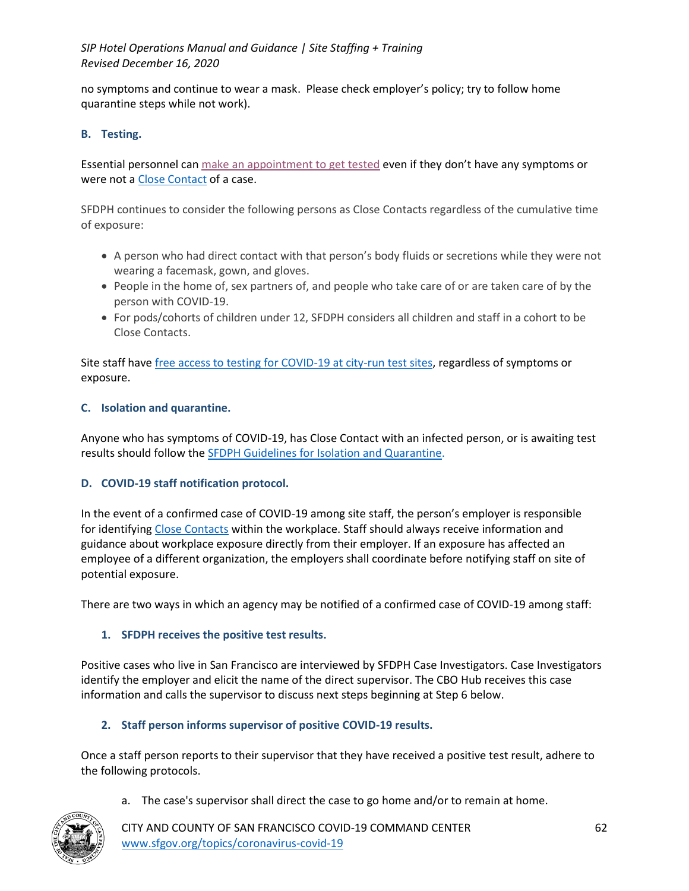no symptoms and continue to wear a mask. Please check employer's policy; try to follow home quarantine steps while not work).

### **B. Testing.**

Essential personnel can make an appointment to get tested even if they don't have any symptoms or were not a Close Contact of a case.

SFDPH continues to consider the following persons as Close Contacts regardless of the cumulative time of exposure:

- A person who had direct contact with that person's body fluids or secretions while they were not wearing a facemask, gown, and gloves.
- People in the home of, sex partners of, and people who take care of or are taken care of by the person with COVID-19.
- For pods/cohorts of children under 12, SFDPH considers all children and staff in a cohort to be Close Contacts.

Site staff have free access to testing for COVID-19 at city-run test sites, regardless of symptoms or exposure.

### **C. Isolation and quarantine.**

Anyone who has symptoms of COVID-19, has Close Contact with an infected person, or is awaiting test results should follow the SFDPH Guidelines for Isolation and Quarantine.

### **D. COVID-19 staff notification protocol.**

In the event of a confirmed case of COVID-19 among site staff, the person's employer is responsible for identifying Close Contacts within the workplace. Staff should always receive information and guidance about workplace exposure directly from their employer. If an exposure has affected an employee of a different organization, the employers shall coordinate before notifying staff on site of potential exposure.

There are two ways in which an agency may be notified of a confirmed case of COVID-19 among staff:

### **1. SFDPH receives the positive test results.**

Positive cases who live in San Francisco are interviewed by SFDPH Case Investigators. Case Investigators identify the employer and elicit the name of the direct supervisor. The CBO Hub receives this case information and calls the supervisor to discuss next steps beginning at Step 6 below.

### **2. Staff person informs supervisor of positive COVID-19 results.**

Once a staff person reports to their supervisor that they have received a positive test result, adhere to the following protocols.

a. The case's supervisor shall direct the case to go home and/or to remain at home.

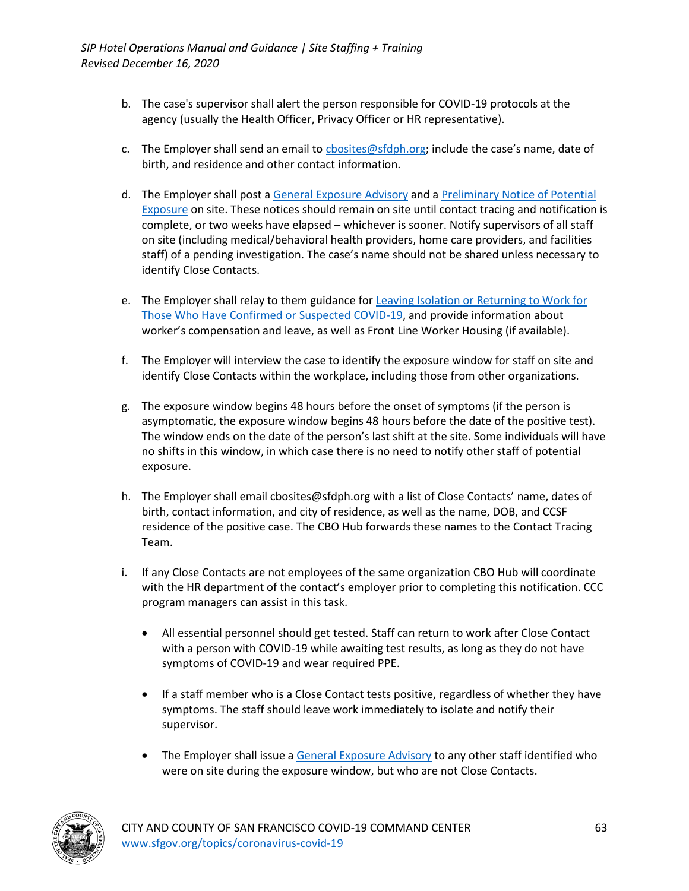- b. The case's supervisor shall alert the person responsible for COVID-19 protocols at the agency (usually the Health Officer, Privacy Officer or HR representative).
- c. The Employer shall send an email to cbosites@sfdph.org; include the case's name, date of birth, and residence and other contact information.
- d. The Employer shall post a General Exposure Advisory and a Preliminary Notice of Potential Exposure on site. These notices should remain on site until contact tracing and notification is complete, or two weeks have elapsed – whichever is sooner. Notify supervisors of all staff on site (including medical/behavioral health providers, home care providers, and facilities staff) of a pending investigation. The case's name should not be shared unless necessary to identify Close Contacts.
- e. The Employer shall relay to them guidance for Leaving Isolation or Returning to Work for Those Who Have Confirmed or Suspected COVID-19, and provide information about worker's compensation and leave, as well as Front Line Worker Housing (if available).
- f. The Employer will interview the case to identify the exposure window for staff on site and identify Close Contacts within the workplace, including those from other organizations.
- g. The exposure window begins 48 hours before the onset of symptoms (if the person is asymptomatic, the exposure window begins 48 hours before the date of the positive test). The window ends on the date of the person's last shift at the site. Some individuals will have no shifts in this window, in which case there is no need to notify other staff of potential exposure.
- h. The Employer shall email cbosites@sfdph.org with a list of Close Contacts' name, dates of birth, contact information, and city of residence, as well as the name, DOB, and CCSF residence of the positive case. The CBO Hub forwards these names to the Contact Tracing Team.
- i. If any Close Contacts are not employees of the same organization CBO Hub will coordinate with the HR department of the contact's employer prior to completing this notification. CCC program managers can assist in this task.
	- All essential personnel should get tested. Staff can return to work after Close Contact with a person with COVID-19 while awaiting test results, as long as they do not have symptoms of COVID-19 and wear required PPE.
	- If a staff member who is a Close Contact tests positive, regardless of whether they have symptoms. The staff should leave work immediately to isolate and notify their supervisor.
	- The Employer shall issue a General Exposure Advisory to any other staff identified who were on site during the exposure window, but who are not Close Contacts.

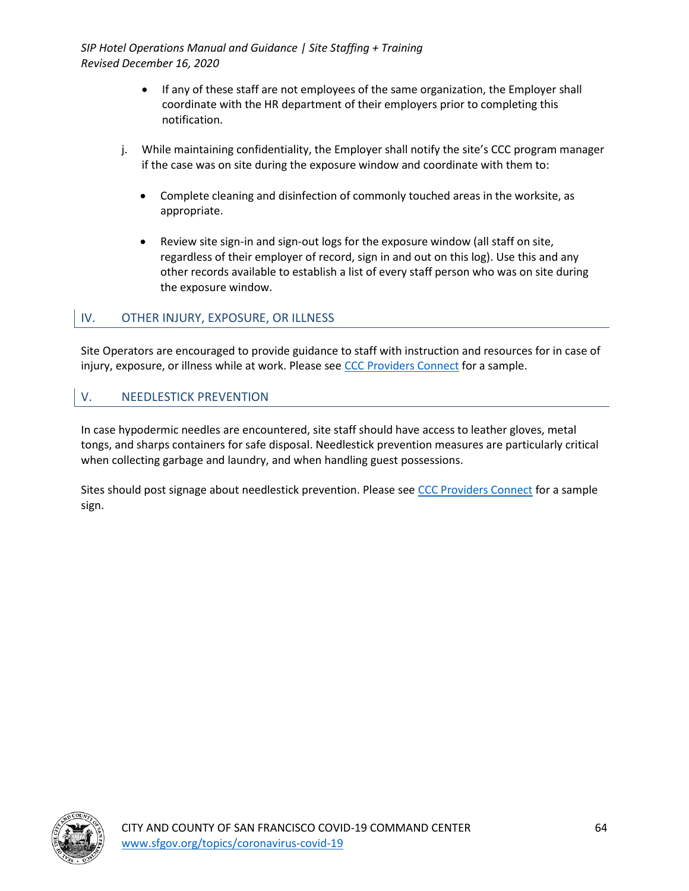- If any of these staff are not employees of the same organization, the Employer shall coordinate with the HR department of their employers prior to completing this notification.
- j. While maintaining confidentiality, the Employer shall notify the site's CCC program manager if the case was on site during the exposure window and coordinate with them to:
	- Complete cleaning and disinfection of commonly touched areas in the worksite, as appropriate.
	- Review site sign-in and sign-out logs for the exposure window (all staff on site, regardless of their employer of record, sign in and out on this log). Use this and any other records available to establish a list of every staff person who was on site during the exposure window.

## IV. OTHER INJURY, EXPOSURE, OR ILLNESS

Site Operators are encouraged to provide guidance to staff with instruction and resources for in case of injury, exposure, or illness while at work. Please see CCC Providers Connect for a sample.

## V. NEEDLESTICK PREVENTION

In case hypodermic needles are encountered, site staff should have access to leather gloves, metal tongs, and sharps containers for safe disposal. Needlestick prevention measures are particularly critical when collecting garbage and laundry, and when handling guest possessions.

Sites should post signage about needlestick prevention. Please see CCC Providers Connect for a sample sign.

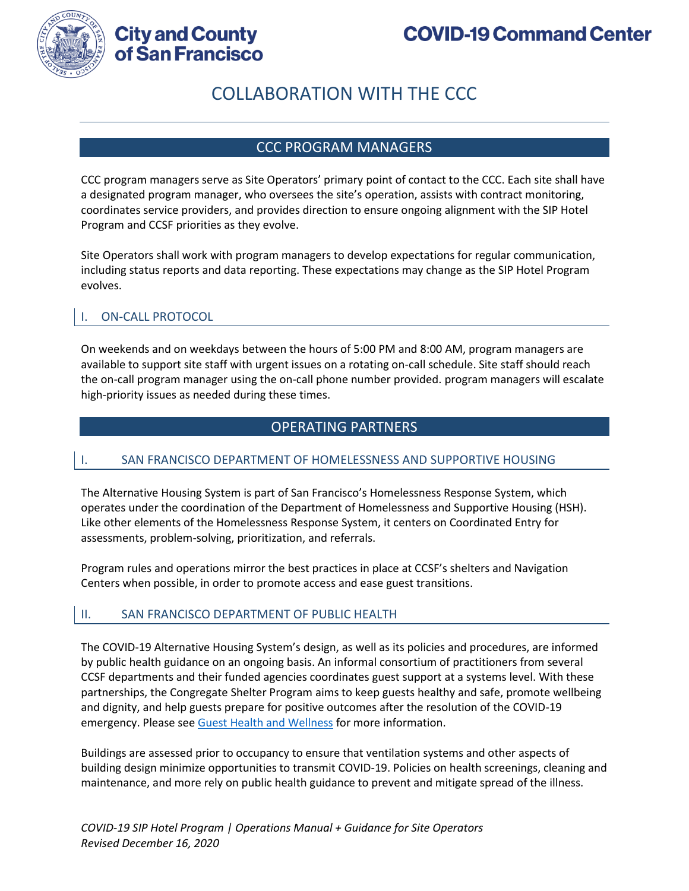

# **City and County** of San Francisco

# COLLABORATION WITH THE CCC

## CCC PROGRAM MANAGERS

CCC program managers serve as Site Operators' primary point of contact to the CCC. Each site shall have a designated program manager, who oversees the site's operation, assists with contract monitoring, coordinates service providers, and provides direction to ensure ongoing alignment with the SIP Hotel Program and CCSF priorities as they evolve.

Site Operators shall work with program managers to develop expectations for regular communication, including status reports and data reporting. These expectations may change as the SIP Hotel Program evolves.

## I. ON-CALL PROTOCOL

On weekends and on weekdays between the hours of 5:00 PM and 8:00 AM, program managers are available to support site staff with urgent issues on a rotating on-call schedule. Site staff should reach the on-call program manager using the on-call phone number provided. program managers will escalate high-priority issues as needed during these times.

# OPERATING PARTNERS

### SAN FRANCISCO DEPARTMENT OF HOMELESSNESS AND SUPPORTIVE HOUSING

The Alternative Housing System is part of San Francisco's Homelessness Response System, which operates under the coordination of the Department of Homelessness and Supportive Housing (HSH). Like other elements of the Homelessness Response System, it centers on Coordinated Entry for assessments, problem-solving, prioritization, and referrals.

Program rules and operations mirror the best practices in place at CCSF's shelters and Navigation Centers when possible, in order to promote access and ease guest transitions.

### II. SAN FRANCISCO DEPARTMENT OF PUBLIC HEALTH

The COVID-19 Alternative Housing System's design, as well as its policies and procedures, are informed by public health guidance on an ongoing basis. An informal consortium of practitioners from several CCSF departments and their funded agencies coordinates guest support at a systems level. With these partnerships, the Congregate Shelter Program aims to keep guests healthy and safe, promote wellbeing and dignity, and help guests prepare for positive outcomes after the resolution of the COVID-19 emergency. Please see Guest Health and Wellness for more information.

Buildings are assessed prior to occupancy to ensure that ventilation systems and other aspects of building design minimize opportunities to transmit COVID-19. Policies on health screenings, cleaning and maintenance, and more rely on public health guidance to prevent and mitigate spread of the illness.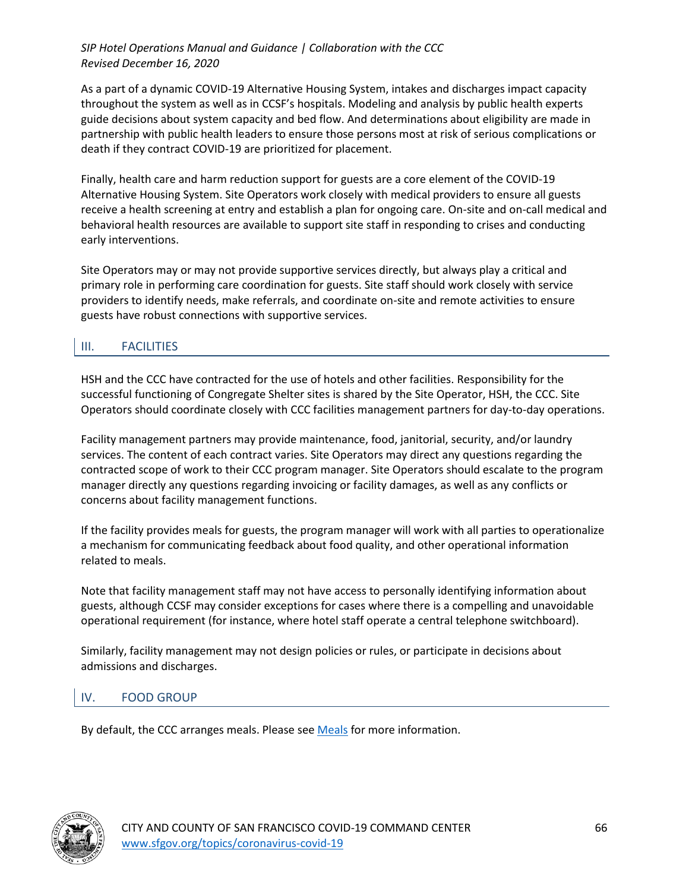### *SIP Hotel Operations Manual and Guidance | Collaboration with the CCC Revised December 16, 2020*

As a part of a dynamic COVID-19 Alternative Housing System, intakes and discharges impact capacity throughout the system as well as in CCSF's hospitals. Modeling and analysis by public health experts guide decisions about system capacity and bed flow. And determinations about eligibility are made in partnership with public health leaders to ensure those persons most at risk of serious complications or death if they contract COVID-19 are prioritized for placement.

Finally, health care and harm reduction support for guests are a core element of the COVID-19 Alternative Housing System. Site Operators work closely with medical providers to ensure all guests receive a health screening at entry and establish a plan for ongoing care. On-site and on-call medical and behavioral health resources are available to support site staff in responding to crises and conducting early interventions.

Site Operators may or may not provide supportive services directly, but always play a critical and primary role in performing care coordination for guests. Site staff should work closely with service providers to identify needs, make referrals, and coordinate on-site and remote activities to ensure guests have robust connections with supportive services.

# III. FACILITIES

HSH and the CCC have contracted for the use of hotels and other facilities. Responsibility for the successful functioning of Congregate Shelter sites is shared by the Site Operator, HSH, the CCC. Site Operators should coordinate closely with CCC facilities management partners for day-to-day operations.

Facility management partners may provide maintenance, food, janitorial, security, and/or laundry services. The content of each contract varies. Site Operators may direct any questions regarding the contracted scope of work to their CCC program manager. Site Operators should escalate to the program manager directly any questions regarding invoicing or facility damages, as well as any conflicts or concerns about facility management functions.

If the facility provides meals for guests, the program manager will work with all parties to operationalize a mechanism for communicating feedback about food quality, and other operational information related to meals.

Note that facility management staff may not have access to personally identifying information about guests, although CCSF may consider exceptions for cases where there is a compelling and unavoidable operational requirement (for instance, where hotel staff operate a central telephone switchboard).

Similarly, facility management may not design policies or rules, or participate in decisions about admissions and discharges.

# IV. FOOD GROUP

By default, the CCC arranges meals. Please see Meals for more information.

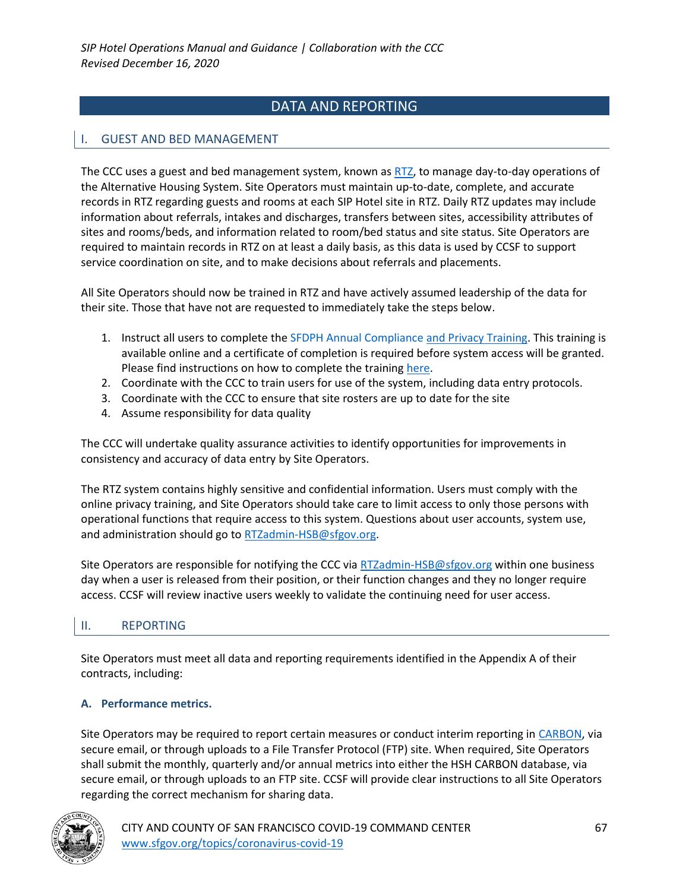# DATA AND REPORTING

## I. GUEST AND BED MANAGEMENT

The CCC uses a guest and bed management system, known as RTZ, to manage day-to-day operations of the Alternative Housing System. Site Operators must maintain up-to-date, complete, and accurate records in RTZ regarding guests and rooms at each SIP Hotel site in RTZ. Daily RTZ updates may include information about referrals, intakes and discharges, transfers between sites, accessibility attributes of sites and rooms/beds, and information related to room/bed status and site status. Site Operators are required to maintain records in RTZ on at least a daily basis, as this data is used by CCSF to support service coordination on site, and to make decisions about referrals and placements.

All Site Operators should now be trained in RTZ and have actively assumed leadership of the data for their site. Those that have not are requested to immediately take the steps below.

- 1. Instruct all users to complete the SFDPH Annual Compliance and Privacy Training. This training is available online and a certificate of completion is required before system access will be granted. Please find instructions on how to complete the training here.
- 2. Coordinate with the CCC to train users for use of the system, including data entry protocols.
- 3. Coordinate with the CCC to ensure that site rosters are up to date for the site
- 4. Assume responsibility for data quality

The CCC will undertake quality assurance activities to identify opportunities for improvements in consistency and accuracy of data entry by Site Operators.

The RTZ system contains highly sensitive and confidential information. Users must comply with the online privacy training, and Site Operators should take care to limit access to only those persons with operational functions that require access to this system. Questions about user accounts, system use, and administration should go to RTZadmin-HSB@sfgov.org.

Site Operators are responsible for notifying the CCC via RTZadmin-HSB@sfgov.org within one business day when a user is released from their position, or their function changes and they no longer require access. CCSF will review inactive users weekly to validate the continuing need for user access.

### II. REPORTING

Site Operators must meet all data and reporting requirements identified in the Appendix A of their contracts, including:

### **A. Performance metrics.**

Site Operators may be required to report certain measures or conduct interim reporting in CARBON, via secure email, or through uploads to a File Transfer Protocol (FTP) site. When required, Site Operators shall submit the monthly, quarterly and/or annual metrics into either the HSH CARBON database, via secure email, or through uploads to an FTP site. CCSF will provide clear instructions to all Site Operators regarding the correct mechanism for sharing data.

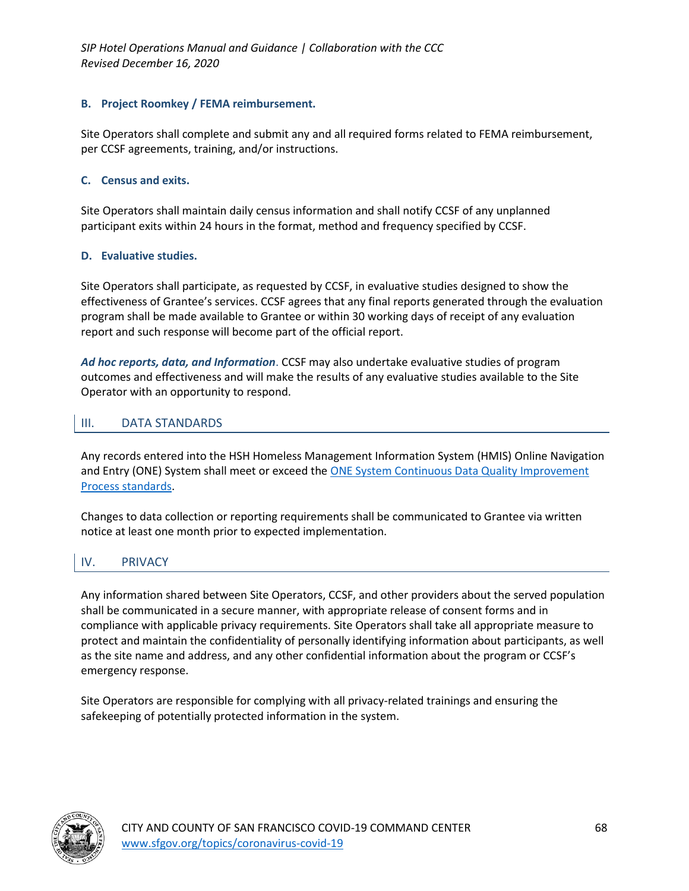*SIP Hotel Operations Manual and Guidance | Collaboration with the CCC Revised December 16, 2020*

#### **B. Project Roomkey / FEMA reimbursement.**

Site Operators shall complete and submit any and all required forms related to FEMA reimbursement, per CCSF agreements, training, and/or instructions.

#### **C. Census and exits.**

Site Operators shall maintain daily census information and shall notify CCSF of any unplanned participant exits within 24 hours in the format, method and frequency specified by CCSF.

#### **D. Evaluative studies.**

Site Operators shall participate, as requested by CCSF, in evaluative studies designed to show the effectiveness of Grantee's services. CCSF agrees that any final reports generated through the evaluation program shall be made available to Grantee or within 30 working days of receipt of any evaluation report and such response will become part of the official report.

*Ad hoc reports, data, and Information*. CCSF may also undertake evaluative studies of program outcomes and effectiveness and will make the results of any evaluative studies available to the Site Operator with an opportunity to respond.

### III. DATA STANDARDS

Any records entered into the HSH Homeless Management Information System (HMIS) Online Navigation and Entry (ONE) System shall meet or exceed the **ONE System Continuous Data Quality Improvement** Process standards.

Changes to data collection or reporting requirements shall be communicated to Grantee via written notice at least one month prior to expected implementation.

### IV. PRIVACY

Any information shared between Site Operators, CCSF, and other providers about the served population shall be communicated in a secure manner, with appropriate release of consent forms and in compliance with applicable privacy requirements. Site Operators shall take all appropriate measure to protect and maintain the confidentiality of personally identifying information about participants, as well as the site name and address, and any other confidential information about the program or CCSF's emergency response.

Site Operators are responsible for complying with all privacy-related trainings and ensuring the safekeeping of potentially protected information in the system.

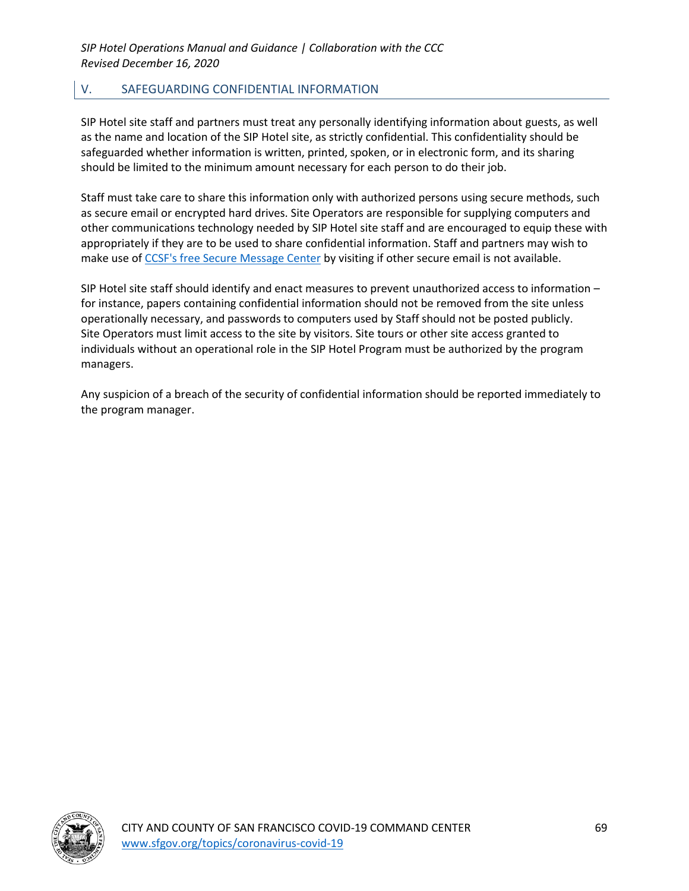# V. SAFEGUARDING CONFIDENTIAL INFORMATION

SIP Hotel site staff and partners must treat any personally identifying information about guests, as well as the name and location of the SIP Hotel site, as strictly confidential. This confidentiality should be safeguarded whether information is written, printed, spoken, or in electronic form, and its sharing should be limited to the minimum amount necessary for each person to do their job.

Staff must take care to share this information only with authorized persons using secure methods, such as secure email or encrypted hard drives. Site Operators are responsible for supplying computers and other communications technology needed by SIP Hotel site staff and are encouraged to equip these with appropriately if they are to be used to share confidential information. Staff and partners may wish to make use of CCSF's free Secure Message Center by visiting if other secure email is not available.

SIP Hotel site staff should identify and enact measures to prevent unauthorized access to information – for instance, papers containing confidential information should not be removed from the site unless operationally necessary, and passwords to computers used by Staff should not be posted publicly. Site Operators must limit access to the site by visitors. Site tours or other site access granted to individuals without an operational role in the SIP Hotel Program must be authorized by the program managers.

Any suspicion of a breach of the security of confidential information should be reported immediately to the program manager.